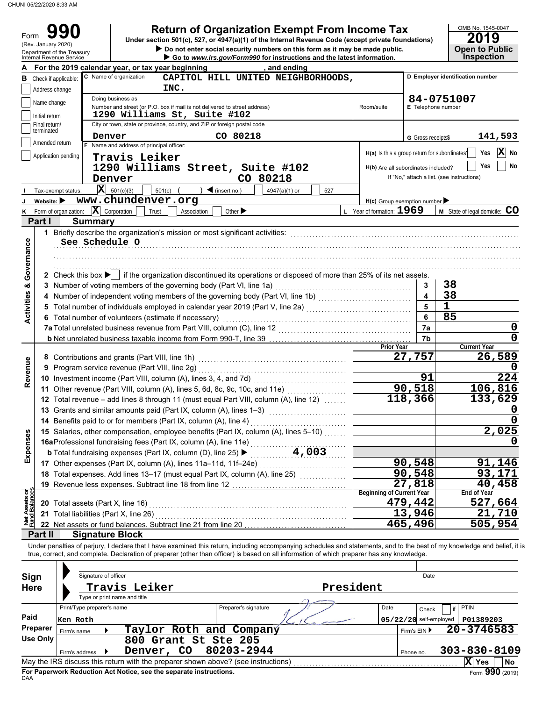CHUNI 05/22/2020 8:33 AM

# **Return of Organization Exempt From Income Tax 990 <sup>2019</sup>**

| For the 2019 calendar year, or tax year beginning<br>C Name of organization<br>INC.<br>Doing business as<br>Number and street (or P.O. box if mail is not delivered to street address)<br>1290 Williams St, Suite #102<br>City or town, state or province, country, and ZIP or foreign postal code<br>Denver<br>F Name and address of principal officer:<br>Travis Leiker<br>1290 Williams Street, Suite #102<br>Denver<br>$ \mathbf{X} $ 501(c)(3)<br>501(c)<br>www.chundenver.org<br>$ \mathbf{X} $ Corporation<br>Trust<br>Association<br><b>Summary</b><br>1 Briefly describe the organization's mission or most significant activities:<br>See Schedule O | Do not enter social security numbers on this form as it may be made public.<br>Go to www.irs.gov/Form990 for instructions and the latest information.<br>, and ending<br>CAPITOL HILL UNITED NEIGHBORHOODS,<br>CO 80218<br>CO 80218<br>$\triangleleft$ (insert no.)<br>4947(a)(1) or<br>527<br>Other $\blacktriangleright$ | Room/suite<br>H(a) Is this a group return for subordinates?<br>H(b) Are all subordinates included?<br>$H(c)$ Group exemption number<br>L Year of formation: 1969                                                                                                                                                                                                                                                                                                                                                                                                                                                                                                      | <b>E</b> Telephone number<br>G Gross receipts\$                                                                                                                                                                                                                                                                                                                                                      | <b>Open to Public</b><br><b>Inspection</b><br>D Employer identification number<br>84-0751007<br>141,593<br>$ \mathbf{X} $<br>Yes<br>No<br>Yes<br>No<br>If "No," attach a list. (see instructions)<br>M State of legal domicile: CO                                                                                                                                                                                                                                                                                                                                                                                                                                                                                                                                                                                                                                                                                                                                                                                                                                                                                                                                                                                                                                                                                                                                        |  |  |  |
|----------------------------------------------------------------------------------------------------------------------------------------------------------------------------------------------------------------------------------------------------------------------------------------------------------------------------------------------------------------------------------------------------------------------------------------------------------------------------------------------------------------------------------------------------------------------------------------------------------------------------------------------------------------|----------------------------------------------------------------------------------------------------------------------------------------------------------------------------------------------------------------------------------------------------------------------------------------------------------------------------|-----------------------------------------------------------------------------------------------------------------------------------------------------------------------------------------------------------------------------------------------------------------------------------------------------------------------------------------------------------------------------------------------------------------------------------------------------------------------------------------------------------------------------------------------------------------------------------------------------------------------------------------------------------------------|------------------------------------------------------------------------------------------------------------------------------------------------------------------------------------------------------------------------------------------------------------------------------------------------------------------------------------------------------------------------------------------------------|---------------------------------------------------------------------------------------------------------------------------------------------------------------------------------------------------------------------------------------------------------------------------------------------------------------------------------------------------------------------------------------------------------------------------------------------------------------------------------------------------------------------------------------------------------------------------------------------------------------------------------------------------------------------------------------------------------------------------------------------------------------------------------------------------------------------------------------------------------------------------------------------------------------------------------------------------------------------------------------------------------------------------------------------------------------------------------------------------------------------------------------------------------------------------------------------------------------------------------------------------------------------------------------------------------------------------------------------------------------------------|--|--|--|
|                                                                                                                                                                                                                                                                                                                                                                                                                                                                                                                                                                                                                                                                |                                                                                                                                                                                                                                                                                                                            |                                                                                                                                                                                                                                                                                                                                                                                                                                                                                                                                                                                                                                                                       |                                                                                                                                                                                                                                                                                                                                                                                                      |                                                                                                                                                                                                                                                                                                                                                                                                                                                                                                                                                                                                                                                                                                                                                                                                                                                                                                                                                                                                                                                                                                                                                                                                                                                                                                                                                                           |  |  |  |
|                                                                                                                                                                                                                                                                                                                                                                                                                                                                                                                                                                                                                                                                |                                                                                                                                                                                                                                                                                                                            |                                                                                                                                                                                                                                                                                                                                                                                                                                                                                                                                                                                                                                                                       |                                                                                                                                                                                                                                                                                                                                                                                                      |                                                                                                                                                                                                                                                                                                                                                                                                                                                                                                                                                                                                                                                                                                                                                                                                                                                                                                                                                                                                                                                                                                                                                                                                                                                                                                                                                                           |  |  |  |
|                                                                                                                                                                                                                                                                                                                                                                                                                                                                                                                                                                                                                                                                |                                                                                                                                                                                                                                                                                                                            |                                                                                                                                                                                                                                                                                                                                                                                                                                                                                                                                                                                                                                                                       |                                                                                                                                                                                                                                                                                                                                                                                                      |                                                                                                                                                                                                                                                                                                                                                                                                                                                                                                                                                                                                                                                                                                                                                                                                                                                                                                                                                                                                                                                                                                                                                                                                                                                                                                                                                                           |  |  |  |
|                                                                                                                                                                                                                                                                                                                                                                                                                                                                                                                                                                                                                                                                |                                                                                                                                                                                                                                                                                                                            |                                                                                                                                                                                                                                                                                                                                                                                                                                                                                                                                                                                                                                                                       |                                                                                                                                                                                                                                                                                                                                                                                                      |                                                                                                                                                                                                                                                                                                                                                                                                                                                                                                                                                                                                                                                                                                                                                                                                                                                                                                                                                                                                                                                                                                                                                                                                                                                                                                                                                                           |  |  |  |
|                                                                                                                                                                                                                                                                                                                                                                                                                                                                                                                                                                                                                                                                |                                                                                                                                                                                                                                                                                                                            |                                                                                                                                                                                                                                                                                                                                                                                                                                                                                                                                                                                                                                                                       |                                                                                                                                                                                                                                                                                                                                                                                                      |                                                                                                                                                                                                                                                                                                                                                                                                                                                                                                                                                                                                                                                                                                                                                                                                                                                                                                                                                                                                                                                                                                                                                                                                                                                                                                                                                                           |  |  |  |
|                                                                                                                                                                                                                                                                                                                                                                                                                                                                                                                                                                                                                                                                |                                                                                                                                                                                                                                                                                                                            |                                                                                                                                                                                                                                                                                                                                                                                                                                                                                                                                                                                                                                                                       |                                                                                                                                                                                                                                                                                                                                                                                                      |                                                                                                                                                                                                                                                                                                                                                                                                                                                                                                                                                                                                                                                                                                                                                                                                                                                                                                                                                                                                                                                                                                                                                                                                                                                                                                                                                                           |  |  |  |
|                                                                                                                                                                                                                                                                                                                                                                                                                                                                                                                                                                                                                                                                |                                                                                                                                                                                                                                                                                                                            |                                                                                                                                                                                                                                                                                                                                                                                                                                                                                                                                                                                                                                                                       |                                                                                                                                                                                                                                                                                                                                                                                                      |                                                                                                                                                                                                                                                                                                                                                                                                                                                                                                                                                                                                                                                                                                                                                                                                                                                                                                                                                                                                                                                                                                                                                                                                                                                                                                                                                                           |  |  |  |
|                                                                                                                                                                                                                                                                                                                                                                                                                                                                                                                                                                                                                                                                |                                                                                                                                                                                                                                                                                                                            |                                                                                                                                                                                                                                                                                                                                                                                                                                                                                                                                                                                                                                                                       |                                                                                                                                                                                                                                                                                                                                                                                                      |                                                                                                                                                                                                                                                                                                                                                                                                                                                                                                                                                                                                                                                                                                                                                                                                                                                                                                                                                                                                                                                                                                                                                                                                                                                                                                                                                                           |  |  |  |
|                                                                                                                                                                                                                                                                                                                                                                                                                                                                                                                                                                                                                                                                |                                                                                                                                                                                                                                                                                                                            |                                                                                                                                                                                                                                                                                                                                                                                                                                                                                                                                                                                                                                                                       |                                                                                                                                                                                                                                                                                                                                                                                                      |                                                                                                                                                                                                                                                                                                                                                                                                                                                                                                                                                                                                                                                                                                                                                                                                                                                                                                                                                                                                                                                                                                                                                                                                                                                                                                                                                                           |  |  |  |
|                                                                                                                                                                                                                                                                                                                                                                                                                                                                                                                                                                                                                                                                |                                                                                                                                                                                                                                                                                                                            |                                                                                                                                                                                                                                                                                                                                                                                                                                                                                                                                                                                                                                                                       |                                                                                                                                                                                                                                                                                                                                                                                                      |                                                                                                                                                                                                                                                                                                                                                                                                                                                                                                                                                                                                                                                                                                                                                                                                                                                                                                                                                                                                                                                                                                                                                                                                                                                                                                                                                                           |  |  |  |
|                                                                                                                                                                                                                                                                                                                                                                                                                                                                                                                                                                                                                                                                |                                                                                                                                                                                                                                                                                                                            |                                                                                                                                                                                                                                                                                                                                                                                                                                                                                                                                                                                                                                                                       |                                                                                                                                                                                                                                                                                                                                                                                                      |                                                                                                                                                                                                                                                                                                                                                                                                                                                                                                                                                                                                                                                                                                                                                                                                                                                                                                                                                                                                                                                                                                                                                                                                                                                                                                                                                                           |  |  |  |
|                                                                                                                                                                                                                                                                                                                                                                                                                                                                                                                                                                                                                                                                |                                                                                                                                                                                                                                                                                                                            |                                                                                                                                                                                                                                                                                                                                                                                                                                                                                                                                                                                                                                                                       |                                                                                                                                                                                                                                                                                                                                                                                                      |                                                                                                                                                                                                                                                                                                                                                                                                                                                                                                                                                                                                                                                                                                                                                                                                                                                                                                                                                                                                                                                                                                                                                                                                                                                                                                                                                                           |  |  |  |
|                                                                                                                                                                                                                                                                                                                                                                                                                                                                                                                                                                                                                                                                |                                                                                                                                                                                                                                                                                                                            |                                                                                                                                                                                                                                                                                                                                                                                                                                                                                                                                                                                                                                                                       |                                                                                                                                                                                                                                                                                                                                                                                                      |                                                                                                                                                                                                                                                                                                                                                                                                                                                                                                                                                                                                                                                                                                                                                                                                                                                                                                                                                                                                                                                                                                                                                                                                                                                                                                                                                                           |  |  |  |
|                                                                                                                                                                                                                                                                                                                                                                                                                                                                                                                                                                                                                                                                |                                                                                                                                                                                                                                                                                                                            |                                                                                                                                                                                                                                                                                                                                                                                                                                                                                                                                                                                                                                                                       |                                                                                                                                                                                                                                                                                                                                                                                                      |                                                                                                                                                                                                                                                                                                                                                                                                                                                                                                                                                                                                                                                                                                                                                                                                                                                                                                                                                                                                                                                                                                                                                                                                                                                                                                                                                                           |  |  |  |
|                                                                                                                                                                                                                                                                                                                                                                                                                                                                                                                                                                                                                                                                |                                                                                                                                                                                                                                                                                                                            |                                                                                                                                                                                                                                                                                                                                                                                                                                                                                                                                                                                                                                                                       |                                                                                                                                                                                                                                                                                                                                                                                                      |                                                                                                                                                                                                                                                                                                                                                                                                                                                                                                                                                                                                                                                                                                                                                                                                                                                                                                                                                                                                                                                                                                                                                                                                                                                                                                                                                                           |  |  |  |
|                                                                                                                                                                                                                                                                                                                                                                                                                                                                                                                                                                                                                                                                |                                                                                                                                                                                                                                                                                                                            |                                                                                                                                                                                                                                                                                                                                                                                                                                                                                                                                                                                                                                                                       |                                                                                                                                                                                                                                                                                                                                                                                                      |                                                                                                                                                                                                                                                                                                                                                                                                                                                                                                                                                                                                                                                                                                                                                                                                                                                                                                                                                                                                                                                                                                                                                                                                                                                                                                                                                                           |  |  |  |
|                                                                                                                                                                                                                                                                                                                                                                                                                                                                                                                                                                                                                                                                |                                                                                                                                                                                                                                                                                                                            |                                                                                                                                                                                                                                                                                                                                                                                                                                                                                                                                                                                                                                                                       |                                                                                                                                                                                                                                                                                                                                                                                                      |                                                                                                                                                                                                                                                                                                                                                                                                                                                                                                                                                                                                                                                                                                                                                                                                                                                                                                                                                                                                                                                                                                                                                                                                                                                                                                                                                                           |  |  |  |
|                                                                                                                                                                                                                                                                                                                                                                                                                                                                                                                                                                                                                                                                |                                                                                                                                                                                                                                                                                                                            |                                                                                                                                                                                                                                                                                                                                                                                                                                                                                                                                                                                                                                                                       |                                                                                                                                                                                                                                                                                                                                                                                                      |                                                                                                                                                                                                                                                                                                                                                                                                                                                                                                                                                                                                                                                                                                                                                                                                                                                                                                                                                                                                                                                                                                                                                                                                                                                                                                                                                                           |  |  |  |
|                                                                                                                                                                                                                                                                                                                                                                                                                                                                                                                                                                                                                                                                |                                                                                                                                                                                                                                                                                                                            |                                                                                                                                                                                                                                                                                                                                                                                                                                                                                                                                                                                                                                                                       |                                                                                                                                                                                                                                                                                                                                                                                                      | 38                                                                                                                                                                                                                                                                                                                                                                                                                                                                                                                                                                                                                                                                                                                                                                                                                                                                                                                                                                                                                                                                                                                                                                                                                                                                                                                                                                        |  |  |  |
|                                                                                                                                                                                                                                                                                                                                                                                                                                                                                                                                                                                                                                                                |                                                                                                                                                                                                                                                                                                                            |                                                                                                                                                                                                                                                                                                                                                                                                                                                                                                                                                                                                                                                                       |                                                                                                                                                                                                                                                                                                                                                                                                      | 38                                                                                                                                                                                                                                                                                                                                                                                                                                                                                                                                                                                                                                                                                                                                                                                                                                                                                                                                                                                                                                                                                                                                                                                                                                                                                                                                                                        |  |  |  |
|                                                                                                                                                                                                                                                                                                                                                                                                                                                                                                                                                                                                                                                                |                                                                                                                                                                                                                                                                                                                            |                                                                                                                                                                                                                                                                                                                                                                                                                                                                                                                                                                                                                                                                       |                                                                                                                                                                                                                                                                                                                                                                                                      | $\mathbf{1}$                                                                                                                                                                                                                                                                                                                                                                                                                                                                                                                                                                                                                                                                                                                                                                                                                                                                                                                                                                                                                                                                                                                                                                                                                                                                                                                                                              |  |  |  |
|                                                                                                                                                                                                                                                                                                                                                                                                                                                                                                                                                                                                                                                                |                                                                                                                                                                                                                                                                                                                            |                                                                                                                                                                                                                                                                                                                                                                                                                                                                                                                                                                                                                                                                       |                                                                                                                                                                                                                                                                                                                                                                                                      | 85                                                                                                                                                                                                                                                                                                                                                                                                                                                                                                                                                                                                                                                                                                                                                                                                                                                                                                                                                                                                                                                                                                                                                                                                                                                                                                                                                                        |  |  |  |
|                                                                                                                                                                                                                                                                                                                                                                                                                                                                                                                                                                                                                                                                |                                                                                                                                                                                                                                                                                                                            |                                                                                                                                                                                                                                                                                                                                                                                                                                                                                                                                                                                                                                                                       |                                                                                                                                                                                                                                                                                                                                                                                                      |                                                                                                                                                                                                                                                                                                                                                                                                                                                                                                                                                                                                                                                                                                                                                                                                                                                                                                                                                                                                                                                                                                                                                                                                                                                                                                                                                                           |  |  |  |
|                                                                                                                                                                                                                                                                                                                                                                                                                                                                                                                                                                                                                                                                |                                                                                                                                                                                                                                                                                                                            |                                                                                                                                                                                                                                                                                                                                                                                                                                                                                                                                                                                                                                                                       |                                                                                                                                                                                                                                                                                                                                                                                                      | 0                                                                                                                                                                                                                                                                                                                                                                                                                                                                                                                                                                                                                                                                                                                                                                                                                                                                                                                                                                                                                                                                                                                                                                                                                                                                                                                                                                         |  |  |  |
|                                                                                                                                                                                                                                                                                                                                                                                                                                                                                                                                                                                                                                                                |                                                                                                                                                                                                                                                                                                                            |                                                                                                                                                                                                                                                                                                                                                                                                                                                                                                                                                                                                                                                                       | <b>Current Year</b>                                                                                                                                                                                                                                                                                                                                                                                  |                                                                                                                                                                                                                                                                                                                                                                                                                                                                                                                                                                                                                                                                                                                                                                                                                                                                                                                                                                                                                                                                                                                                                                                                                                                                                                                                                                           |  |  |  |
|                                                                                                                                                                                                                                                                                                                                                                                                                                                                                                                                                                                                                                                                |                                                                                                                                                                                                                                                                                                                            |                                                                                                                                                                                                                                                                                                                                                                                                                                                                                                                                                                                                                                                                       |                                                                                                                                                                                                                                                                                                                                                                                                      | 26,589                                                                                                                                                                                                                                                                                                                                                                                                                                                                                                                                                                                                                                                                                                                                                                                                                                                                                                                                                                                                                                                                                                                                                                                                                                                                                                                                                                    |  |  |  |
|                                                                                                                                                                                                                                                                                                                                                                                                                                                                                                                                                                                                                                                                |                                                                                                                                                                                                                                                                                                                            |                                                                                                                                                                                                                                                                                                                                                                                                                                                                                                                                                                                                                                                                       |                                                                                                                                                                                                                                                                                                                                                                                                      |                                                                                                                                                                                                                                                                                                                                                                                                                                                                                                                                                                                                                                                                                                                                                                                                                                                                                                                                                                                                                                                                                                                                                                                                                                                                                                                                                                           |  |  |  |
|                                                                                                                                                                                                                                                                                                                                                                                                                                                                                                                                                                                                                                                                |                                                                                                                                                                                                                                                                                                                            | 224<br>106,816                                                                                                                                                                                                                                                                                                                                                                                                                                                                                                                                                                                                                                                        |                                                                                                                                                                                                                                                                                                                                                                                                      |                                                                                                                                                                                                                                                                                                                                                                                                                                                                                                                                                                                                                                                                                                                                                                                                                                                                                                                                                                                                                                                                                                                                                                                                                                                                                                                                                                           |  |  |  |
| 11 Other revenue (Part VIII, column (A), lines 5, 6d, 8c, 9c, 10c, and 11e) [[[[[[[[[[[[[[[[[[[[[[[[[[[[[[[[                                                                                                                                                                                                                                                                                                                                                                                                                                                                                                                                                   |                                                                                                                                                                                                                                                                                                                            |                                                                                                                                                                                                                                                                                                                                                                                                                                                                                                                                                                                                                                                                       |                                                                                                                                                                                                                                                                                                                                                                                                      |                                                                                                                                                                                                                                                                                                                                                                                                                                                                                                                                                                                                                                                                                                                                                                                                                                                                                                                                                                                                                                                                                                                                                                                                                                                                                                                                                                           |  |  |  |
|                                                                                                                                                                                                                                                                                                                                                                                                                                                                                                                                                                                                                                                                |                                                                                                                                                                                                                                                                                                                            |                                                                                                                                                                                                                                                                                                                                                                                                                                                                                                                                                                                                                                                                       |                                                                                                                                                                                                                                                                                                                                                                                                      | 133,629                                                                                                                                                                                                                                                                                                                                                                                                                                                                                                                                                                                                                                                                                                                                                                                                                                                                                                                                                                                                                                                                                                                                                                                                                                                                                                                                                                   |  |  |  |
|                                                                                                                                                                                                                                                                                                                                                                                                                                                                                                                                                                                                                                                                |                                                                                                                                                                                                                                                                                                                            |                                                                                                                                                                                                                                                                                                                                                                                                                                                                                                                                                                                                                                                                       |                                                                                                                                                                                                                                                                                                                                                                                                      | 0                                                                                                                                                                                                                                                                                                                                                                                                                                                                                                                                                                                                                                                                                                                                                                                                                                                                                                                                                                                                                                                                                                                                                                                                                                                                                                                                                                         |  |  |  |
|                                                                                                                                                                                                                                                                                                                                                                                                                                                                                                                                                                                                                                                                |                                                                                                                                                                                                                                                                                                                            |                                                                                                                                                                                                                                                                                                                                                                                                                                                                                                                                                                                                                                                                       |                                                                                                                                                                                                                                                                                                                                                                                                      |                                                                                                                                                                                                                                                                                                                                                                                                                                                                                                                                                                                                                                                                                                                                                                                                                                                                                                                                                                                                                                                                                                                                                                                                                                                                                                                                                                           |  |  |  |
|                                                                                                                                                                                                                                                                                                                                                                                                                                                                                                                                                                                                                                                                |                                                                                                                                                                                                                                                                                                                            |                                                                                                                                                                                                                                                                                                                                                                                                                                                                                                                                                                                                                                                                       |                                                                                                                                                                                                                                                                                                                                                                                                      | 2,025                                                                                                                                                                                                                                                                                                                                                                                                                                                                                                                                                                                                                                                                                                                                                                                                                                                                                                                                                                                                                                                                                                                                                                                                                                                                                                                                                                     |  |  |  |
|                                                                                                                                                                                                                                                                                                                                                                                                                                                                                                                                                                                                                                                                |                                                                                                                                                                                                                                                                                                                            |                                                                                                                                                                                                                                                                                                                                                                                                                                                                                                                                                                                                                                                                       |                                                                                                                                                                                                                                                                                                                                                                                                      | 0                                                                                                                                                                                                                                                                                                                                                                                                                                                                                                                                                                                                                                                                                                                                                                                                                                                                                                                                                                                                                                                                                                                                                                                                                                                                                                                                                                         |  |  |  |
|                                                                                                                                                                                                                                                                                                                                                                                                                                                                                                                                                                                                                                                                |                                                                                                                                                                                                                                                                                                                            |                                                                                                                                                                                                                                                                                                                                                                                                                                                                                                                                                                                                                                                                       |                                                                                                                                                                                                                                                                                                                                                                                                      |                                                                                                                                                                                                                                                                                                                                                                                                                                                                                                                                                                                                                                                                                                                                                                                                                                                                                                                                                                                                                                                                                                                                                                                                                                                                                                                                                                           |  |  |  |
|                                                                                                                                                                                                                                                                                                                                                                                                                                                                                                                                                                                                                                                                |                                                                                                                                                                                                                                                                                                                            |                                                                                                                                                                                                                                                                                                                                                                                                                                                                                                                                                                                                                                                                       |                                                                                                                                                                                                                                                                                                                                                                                                      | 91,146                                                                                                                                                                                                                                                                                                                                                                                                                                                                                                                                                                                                                                                                                                                                                                                                                                                                                                                                                                                                                                                                                                                                                                                                                                                                                                                                                                    |  |  |  |
|                                                                                                                                                                                                                                                                                                                                                                                                                                                                                                                                                                                                                                                                |                                                                                                                                                                                                                                                                                                                            |                                                                                                                                                                                                                                                                                                                                                                                                                                                                                                                                                                                                                                                                       |                                                                                                                                                                                                                                                                                                                                                                                                      | 93,171                                                                                                                                                                                                                                                                                                                                                                                                                                                                                                                                                                                                                                                                                                                                                                                                                                                                                                                                                                                                                                                                                                                                                                                                                                                                                                                                                                    |  |  |  |
|                                                                                                                                                                                                                                                                                                                                                                                                                                                                                                                                                                                                                                                                |                                                                                                                                                                                                                                                                                                                            |                                                                                                                                                                                                                                                                                                                                                                                                                                                                                                                                                                                                                                                                       |                                                                                                                                                                                                                                                                                                                                                                                                      | 40,458<br>End of Year                                                                                                                                                                                                                                                                                                                                                                                                                                                                                                                                                                                                                                                                                                                                                                                                                                                                                                                                                                                                                                                                                                                                                                                                                                                                                                                                                     |  |  |  |
|                                                                                                                                                                                                                                                                                                                                                                                                                                                                                                                                                                                                                                                                |                                                                                                                                                                                                                                                                                                                            |                                                                                                                                                                                                                                                                                                                                                                                                                                                                                                                                                                                                                                                                       |                                                                                                                                                                                                                                                                                                                                                                                                      | 527,664                                                                                                                                                                                                                                                                                                                                                                                                                                                                                                                                                                                                                                                                                                                                                                                                                                                                                                                                                                                                                                                                                                                                                                                                                                                                                                                                                                   |  |  |  |
|                                                                                                                                                                                                                                                                                                                                                                                                                                                                                                                                                                                                                                                                |                                                                                                                                                                                                                                                                                                                            |                                                                                                                                                                                                                                                                                                                                                                                                                                                                                                                                                                                                                                                                       |                                                                                                                                                                                                                                                                                                                                                                                                      | 21,710                                                                                                                                                                                                                                                                                                                                                                                                                                                                                                                                                                                                                                                                                                                                                                                                                                                                                                                                                                                                                                                                                                                                                                                                                                                                                                                                                                    |  |  |  |
|                                                                                                                                                                                                                                                                                                                                                                                                                                                                                                                                                                                                                                                                |                                                                                                                                                                                                                                                                                                                            |                                                                                                                                                                                                                                                                                                                                                                                                                                                                                                                                                                                                                                                                       |                                                                                                                                                                                                                                                                                                                                                                                                      | 505,954                                                                                                                                                                                                                                                                                                                                                                                                                                                                                                                                                                                                                                                                                                                                                                                                                                                                                                                                                                                                                                                                                                                                                                                                                                                                                                                                                                   |  |  |  |
|                                                                                                                                                                                                                                                                                                                                                                                                                                                                                                                                                                                                                                                                |                                                                                                                                                                                                                                                                                                                            |                                                                                                                                                                                                                                                                                                                                                                                                                                                                                                                                                                                                                                                                       |                                                                                                                                                                                                                                                                                                                                                                                                      |                                                                                                                                                                                                                                                                                                                                                                                                                                                                                                                                                                                                                                                                                                                                                                                                                                                                                                                                                                                                                                                                                                                                                                                                                                                                                                                                                                           |  |  |  |
|                                                                                                                                                                                                                                                                                                                                                                                                                                                                                                                                                                                                                                                                |                                                                                                                                                                                                                                                                                                                            |                                                                                                                                                                                                                                                                                                                                                                                                                                                                                                                                                                                                                                                                       |                                                                                                                                                                                                                                                                                                                                                                                                      |                                                                                                                                                                                                                                                                                                                                                                                                                                                                                                                                                                                                                                                                                                                                                                                                                                                                                                                                                                                                                                                                                                                                                                                                                                                                                                                                                                           |  |  |  |
|                                                                                                                                                                                                                                                                                                                                                                                                                                                                                                                                                                                                                                                                |                                                                                                                                                                                                                                                                                                                            |                                                                                                                                                                                                                                                                                                                                                                                                                                                                                                                                                                                                                                                                       | Date                                                                                                                                                                                                                                                                                                                                                                                                 |                                                                                                                                                                                                                                                                                                                                                                                                                                                                                                                                                                                                                                                                                                                                                                                                                                                                                                                                                                                                                                                                                                                                                                                                                                                                                                                                                                           |  |  |  |
|                                                                                                                                                                                                                                                                                                                                                                                                                                                                                                                                                                                                                                                                |                                                                                                                                                                                                                                                                                                                            |                                                                                                                                                                                                                                                                                                                                                                                                                                                                                                                                                                                                                                                                       |                                                                                                                                                                                                                                                                                                                                                                                                      |                                                                                                                                                                                                                                                                                                                                                                                                                                                                                                                                                                                                                                                                                                                                                                                                                                                                                                                                                                                                                                                                                                                                                                                                                                                                                                                                                                           |  |  |  |
|                                                                                                                                                                                                                                                                                                                                                                                                                                                                                                                                                                                                                                                                |                                                                                                                                                                                                                                                                                                                            |                                                                                                                                                                                                                                                                                                                                                                                                                                                                                                                                                                                                                                                                       |                                                                                                                                                                                                                                                                                                                                                                                                      |                                                                                                                                                                                                                                                                                                                                                                                                                                                                                                                                                                                                                                                                                                                                                                                                                                                                                                                                                                                                                                                                                                                                                                                                                                                                                                                                                                           |  |  |  |
|                                                                                                                                                                                                                                                                                                                                                                                                                                                                                                                                                                                                                                                                | Preparer's signature                                                                                                                                                                                                                                                                                                       | Date                                                                                                                                                                                                                                                                                                                                                                                                                                                                                                                                                                                                                                                                  | Check                                                                                                                                                                                                                                                                                                                                                                                                | PTIN<br>if                                                                                                                                                                                                                                                                                                                                                                                                                                                                                                                                                                                                                                                                                                                                                                                                                                                                                                                                                                                                                                                                                                                                                                                                                                                                                                                                                                |  |  |  |
|                                                                                                                                                                                                                                                                                                                                                                                                                                                                                                                                                                                                                                                                |                                                                                                                                                                                                                                                                                                                            |                                                                                                                                                                                                                                                                                                                                                                                                                                                                                                                                                                                                                                                                       |                                                                                                                                                                                                                                                                                                                                                                                                      | P01389203                                                                                                                                                                                                                                                                                                                                                                                                                                                                                                                                                                                                                                                                                                                                                                                                                                                                                                                                                                                                                                                                                                                                                                                                                                                                                                                                                                 |  |  |  |
|                                                                                                                                                                                                                                                                                                                                                                                                                                                                                                                                                                                                                                                                |                                                                                                                                                                                                                                                                                                                            |                                                                                                                                                                                                                                                                                                                                                                                                                                                                                                                                                                                                                                                                       |                                                                                                                                                                                                                                                                                                                                                                                                      | 20-3746583                                                                                                                                                                                                                                                                                                                                                                                                                                                                                                                                                                                                                                                                                                                                                                                                                                                                                                                                                                                                                                                                                                                                                                                                                                                                                                                                                                |  |  |  |
|                                                                                                                                                                                                                                                                                                                                                                                                                                                                                                                                                                                                                                                                |                                                                                                                                                                                                                                                                                                                            |                                                                                                                                                                                                                                                                                                                                                                                                                                                                                                                                                                                                                                                                       |                                                                                                                                                                                                                                                                                                                                                                                                      |                                                                                                                                                                                                                                                                                                                                                                                                                                                                                                                                                                                                                                                                                                                                                                                                                                                                                                                                                                                                                                                                                                                                                                                                                                                                                                                                                                           |  |  |  |
| Denver, CO<br>▸                                                                                                                                                                                                                                                                                                                                                                                                                                                                                                                                                                                                                                                |                                                                                                                                                                                                                                                                                                                            |                                                                                                                                                                                                                                                                                                                                                                                                                                                                                                                                                                                                                                                                       |                                                                                                                                                                                                                                                                                                                                                                                                      | 303-830-8109<br>X Yes                                                                                                                                                                                                                                                                                                                                                                                                                                                                                                                                                                                                                                                                                                                                                                                                                                                                                                                                                                                                                                                                                                                                                                                                                                                                                                                                                     |  |  |  |
|                                                                                                                                                                                                                                                                                                                                                                                                                                                                                                                                                                                                                                                                | 9 Program service revenue (Part VIII, line 2g)<br>21 Total liabilities (Part X, line 26)<br><b>Signature Block</b><br>Signature of officer<br>Travis Leiker<br>Type or print name and title<br>Print/Type preparer's name<br>Ken Roth<br>Firm's address                                                                    | 6 Total number of volunteers (estimate if necessary)<br>13 Grants and similar amounts paid (Part IX, column (A), lines 1-3)<br>14 Benefits paid to or for members (Part IX, column (A), line 4)<br>15 Salaries, other compensation, employee $\sim$<br>16aProfessional fundraising fees (Part IX, column (A), line 11e)<br>16aProfessional fundraising fees (Part IX, column (D), line 25)<br>16.1003<br>17 Other expenses (Part IX, column (A), lines 11a-11d, 11f-24e)<br>19 Revenue less expenses. Subtract line 18 from line 12<br>22 Net assets or fund balances. Subtract line 21 from line 20<br>Taylor Roth and Company<br>800 Grant St Ste 205<br>80203-2944 | 12 Total revenue - add lines 8 through 11 (must equal Part VIII, column (A), line 12)<br>15 Salaries, other compensation, employee benefits (Part IX, column (A), lines 5-10)<br>18 Total expenses. Add lines 13-17 (must equal Part IX, column (A), line 25) [1] [1] 18 Total expenses.<br>20 Total assets (Part X, line 16) Mathematical and Total and Total assets (Part X, line 16)<br>President | 2 Check this box $\blacktriangleright$ if the organization discontinued its operations or disposed of more than 25% of its net assets.<br>3 Number of voting members of the governing body (Part VI, line 1a) [10] Number of voting members of the governing body (Part VI, line 1a)<br>3<br>4 Number of independent voting members of the governing body (Part VI, line 1b) [11] [11] Number of independent voting<br>5<br>5 Total number of individuals employed in calendar year 2019 (Part V, line 2a) [[[[[[[[[[[[[[[[[[[[[[[[[[[[[[<br>6<br>7a<br>b Net unrelated business taxable income from Form 990-T, line 39 [10] [10] Met unrelated business taxable income from Form 990-T, line 39<br>7b<br><b>Prior Year</b><br>27,757<br>91<br>90,518<br>118,366<br>90,548<br>90,548<br>$\overline{27,818}$<br><b>Beginning of Current Year</b><br>$\overline{479}$ , 442<br>13,946<br>465,496<br>Under penalties of perjury, I declare that I have examined this return, including accompanying schedules and statements, and to the best of my knowledge and belief, it is<br>true, correct, and complete. Declaration of preparer (other than officer) is based on all information of which preparer has any knowledge.<br>$05/22/20$ self-employed<br>Firm's EIN ▶<br>Phone no.<br>May the IRS discuss this return with the preparer shown above? (see instructions) |  |  |  |

| Sign<br><b>Here</b> |                | Signature of officer         | Travis Leiker                                                      |                                                                                   | Date<br>President |                            |           |  |                 |                 |
|---------------------|----------------|------------------------------|--------------------------------------------------------------------|-----------------------------------------------------------------------------------|-------------------|----------------------------|-----------|--|-----------------|-----------------|
|                     |                | Type or print name and title |                                                                    |                                                                                   |                   |                            |           |  |                 |                 |
|                     |                | Print/Type preparer's name   |                                                                    | Preparer's signature                                                              |                   | Date                       | Check     |  | <b>PTIN</b>     |                 |
| Paid                | Ken Roth       |                              |                                                                    |                                                                                   |                   |                            |           |  | P01389203       |                 |
| Preparer            | Firm's name    |                              |                                                                    | Taylor Roth and Company                                                           |                   | 20-3746583<br>Firm's $EIN$ |           |  |                 |                 |
| Use Only            |                |                              |                                                                    | 800 Grant St Ste 205                                                              |                   |                            |           |  |                 |                 |
|                     | Firm's address |                              | Denver, CO                                                         | 80203-2944                                                                        |                   |                            | Phone no. |  | 303-830-8109    |                 |
|                     |                |                              |                                                                    | May the IRS discuss this return with the preparer shown above? (see instructions) |                   |                            |           |  | X<br><b>Yes</b> | No              |
| <b>DAA</b>          |                |                              | For Paperwork Reduction Act Notice, see the separate instructions. |                                                                                   |                   |                            |           |  |                 | Form 990 (2019) |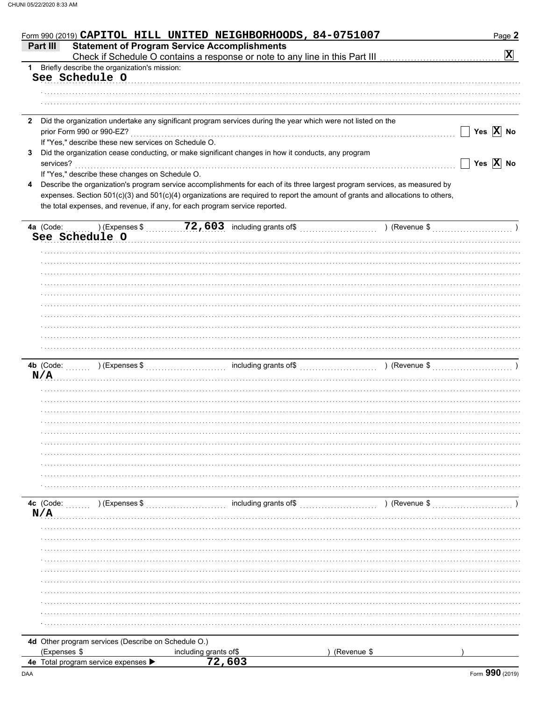| Form 990 (2019) CAPITOL HILL UNITED NEIGHBORHOODS, 84-0751007                                                                |                                 |                       |                                                                                                                                | Page 2                       |
|------------------------------------------------------------------------------------------------------------------------------|---------------------------------|-----------------------|--------------------------------------------------------------------------------------------------------------------------------|------------------------------|
| <b>Statement of Program Service Accomplishments</b><br>Part III                                                              |                                 |                       |                                                                                                                                |                              |
|                                                                                                                              |                                 |                       |                                                                                                                                | $\mathbf{x}$                 |
| 1 Briefly describe the organization's mission:                                                                               |                                 |                       |                                                                                                                                |                              |
| See Schedule O                                                                                                               |                                 |                       |                                                                                                                                |                              |
|                                                                                                                              |                                 |                       |                                                                                                                                |                              |
|                                                                                                                              |                                 |                       |                                                                                                                                |                              |
|                                                                                                                              |                                 |                       |                                                                                                                                |                              |
| Did the organization undertake any significant program services during the year which were not listed on the<br>$\mathbf{2}$ |                                 |                       |                                                                                                                                |                              |
| prior Form 990 or 990-EZ?                                                                                                    |                                 |                       |                                                                                                                                | $\Box$ Yes $\overline{X}$ No |
| If "Yes," describe these new services on Schedule O.                                                                         |                                 |                       |                                                                                                                                |                              |
| Did the organization cease conducting, or make significant changes in how it conducts, any program<br>3                      |                                 |                       |                                                                                                                                |                              |
| services?                                                                                                                    |                                 |                       |                                                                                                                                | Yes $\overline{X}$ No        |
| If "Yes," describe these changes on Schedule O.                                                                              |                                 |                       |                                                                                                                                |                              |
| 4                                                                                                                            |                                 |                       | Describe the organization's program service accomplishments for each of its three largest program services, as measured by     |                              |
|                                                                                                                              |                                 |                       | expenses. Section 501(c)(3) and 501(c)(4) organizations are required to report the amount of grants and allocations to others, |                              |
| the total expenses, and revenue, if any, for each program service reported.                                                  |                                 |                       |                                                                                                                                |                              |
|                                                                                                                              |                                 |                       |                                                                                                                                |                              |
| 4a (Code:                                                                                                                    |                                 |                       | $(1)$ (Expenses \$ 72,603 including grants of \$ ) (Revenue \$                                                                 |                              |
| See Schedule O                                                                                                               |                                 |                       |                                                                                                                                |                              |
|                                                                                                                              |                                 |                       |                                                                                                                                |                              |
|                                                                                                                              |                                 |                       |                                                                                                                                |                              |
|                                                                                                                              |                                 |                       |                                                                                                                                |                              |
|                                                                                                                              |                                 |                       |                                                                                                                                |                              |
|                                                                                                                              |                                 |                       |                                                                                                                                |                              |
|                                                                                                                              |                                 |                       |                                                                                                                                |                              |
|                                                                                                                              |                                 |                       |                                                                                                                                |                              |
|                                                                                                                              |                                 |                       |                                                                                                                                |                              |
|                                                                                                                              |                                 |                       |                                                                                                                                |                              |
|                                                                                                                              |                                 |                       |                                                                                                                                |                              |
|                                                                                                                              |                                 |                       |                                                                                                                                |                              |
|                                                                                                                              |                                 |                       |                                                                                                                                |                              |
|                                                                                                                              |                                 |                       |                                                                                                                                |                              |
|                                                                                                                              |                                 |                       |                                                                                                                                |                              |
| N/A                                                                                                                          |                                 |                       |                                                                                                                                |                              |
|                                                                                                                              |                                 |                       |                                                                                                                                |                              |
|                                                                                                                              |                                 |                       |                                                                                                                                |                              |
|                                                                                                                              |                                 |                       |                                                                                                                                |                              |
|                                                                                                                              |                                 |                       |                                                                                                                                |                              |
|                                                                                                                              |                                 |                       |                                                                                                                                |                              |
|                                                                                                                              |                                 |                       |                                                                                                                                |                              |
|                                                                                                                              |                                 |                       |                                                                                                                                |                              |
|                                                                                                                              |                                 |                       |                                                                                                                                |                              |
|                                                                                                                              |                                 |                       |                                                                                                                                |                              |
|                                                                                                                              |                                 |                       |                                                                                                                                |                              |
|                                                                                                                              |                                 |                       |                                                                                                                                |                              |
|                                                                                                                              |                                 |                       |                                                                                                                                |                              |
| 4c (Code:<br>) (Expenses \$                                                                                                  |                                 | including grants of\$ | ) (Revenue \$                                                                                                                  |                              |
| N/A                                                                                                                          |                                 |                       |                                                                                                                                |                              |
|                                                                                                                              |                                 |                       |                                                                                                                                |                              |
|                                                                                                                              |                                 |                       |                                                                                                                                |                              |
|                                                                                                                              |                                 |                       |                                                                                                                                |                              |
|                                                                                                                              |                                 |                       |                                                                                                                                |                              |
|                                                                                                                              |                                 |                       |                                                                                                                                |                              |
|                                                                                                                              |                                 |                       |                                                                                                                                |                              |
|                                                                                                                              |                                 |                       |                                                                                                                                |                              |
|                                                                                                                              |                                 |                       |                                                                                                                                |                              |
|                                                                                                                              |                                 |                       |                                                                                                                                |                              |
|                                                                                                                              |                                 |                       |                                                                                                                                |                              |
|                                                                                                                              |                                 |                       |                                                                                                                                |                              |
| 4d Other program services (Describe on Schedule O.)                                                                          |                                 |                       |                                                                                                                                |                              |
| (Expenses \$                                                                                                                 | including grants of\$<br>72,603 |                       | (Revenue \$                                                                                                                    |                              |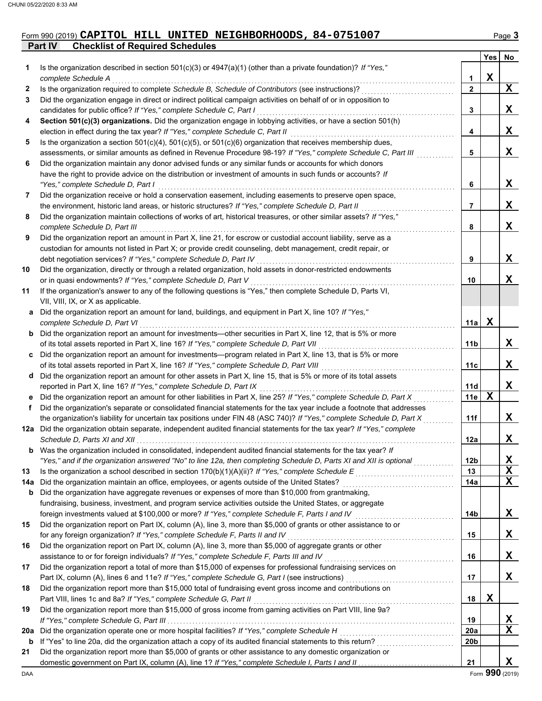### **Part IV Checklist of Required Schedules** Form 990 (2019) **CAPITOL HILL UNITED NEIGHBORHOODS, 84-0751007** Page 3

|     |                                                                                                                                                                                                                                        |                 | Yes         | No          |
|-----|----------------------------------------------------------------------------------------------------------------------------------------------------------------------------------------------------------------------------------------|-----------------|-------------|-------------|
| 1   | Is the organization described in section $501(c)(3)$ or $4947(a)(1)$ (other than a private foundation)? If "Yes,"                                                                                                                      |                 |             |             |
|     | complete Schedule A                                                                                                                                                                                                                    | 1               | $\mathbf X$ |             |
| 2   | Is the organization required to complete Schedule B, Schedule of Contributors (see instructions)?                                                                                                                                      | $\overline{2}$  |             | X           |
| 3   | Did the organization engage in direct or indirect political campaign activities on behalf of or in opposition to                                                                                                                       |                 |             |             |
|     | candidates for public office? If "Yes," complete Schedule C, Part I                                                                                                                                                                    | 3               |             | X           |
| 4   | Section 501(c)(3) organizations. Did the organization engage in lobbying activities, or have a section 501(h)                                                                                                                          |                 |             | $\mathbf X$ |
|     | election in effect during the tax year? If "Yes," complete Schedule C, Part II                                                                                                                                                         | 4               |             |             |
| 5   | Is the organization a section $501(c)(4)$ , $501(c)(5)$ , or $501(c)(6)$ organization that receives membership dues,<br>assessments, or similar amounts as defined in Revenue Procedure 98-19? If "Yes," complete Schedule C, Part III | 5               |             | X           |
| 6   | Did the organization maintain any donor advised funds or any similar funds or accounts for which donors                                                                                                                                |                 |             |             |
|     | have the right to provide advice on the distribution or investment of amounts in such funds or accounts? If                                                                                                                            |                 |             |             |
|     | "Yes," complete Schedule D, Part I                                                                                                                                                                                                     | 6               |             | X           |
| 7   | Did the organization receive or hold a conservation easement, including easements to preserve open space,                                                                                                                              |                 |             |             |
|     | the environment, historic land areas, or historic structures? If "Yes," complete Schedule D, Part II                                                                                                                                   | 7               |             | X           |
| 8   | Did the organization maintain collections of works of art, historical treasures, or other similar assets? If "Yes,"                                                                                                                    |                 |             |             |
|     | complete Schedule D, Part III                                                                                                                                                                                                          | 8               |             | X           |
| 9   | Did the organization report an amount in Part X, line 21, for escrow or custodial account liability, serve as a                                                                                                                        |                 |             |             |
|     | custodian for amounts not listed in Part X; or provide credit counseling, debt management, credit repair, or                                                                                                                           |                 |             |             |
|     | debt negotiation services? If "Yes," complete Schedule D, Part IV                                                                                                                                                                      | 9               |             | X           |
| 10  | Did the organization, directly or through a related organization, hold assets in donor-restricted endowments                                                                                                                           |                 |             |             |
|     | or in quasi endowments? If "Yes," complete Schedule D, Part V                                                                                                                                                                          | 10              |             | X           |
| 11  | If the organization's answer to any of the following questions is "Yes," then complete Schedule D, Parts VI,                                                                                                                           |                 |             |             |
|     | VII, VIII, IX, or X as applicable.                                                                                                                                                                                                     |                 |             |             |
|     | a Did the organization report an amount for land, buildings, and equipment in Part X, line 10? If "Yes,"                                                                                                                               |                 |             |             |
|     | complete Schedule D, Part VI                                                                                                                                                                                                           | 11a             | X           |             |
|     | <b>b</b> Did the organization report an amount for investments—other securities in Part X, line 12, that is 5% or more                                                                                                                 | 11b             |             | X           |
|     | of its total assets reported in Part X, line 16? If "Yes," complete Schedule D, Part VII<br>c Did the organization report an amount for investments—program related in Part X, line 13, that is 5% or more                             |                 |             |             |
|     | of its total assets reported in Part X, line 16? If "Yes," complete Schedule D, Part VIII                                                                                                                                              | 11c             |             | X           |
|     | d Did the organization report an amount for other assets in Part X, line 15, that is 5% or more of its total assets                                                                                                                    |                 |             |             |
|     | reported in Part X, line 16? If "Yes," complete Schedule D, Part IX                                                                                                                                                                    | 11d             |             | X           |
|     | e Did the organization report an amount for other liabilities in Part X, line 25? If "Yes," complete Schedule D, Part X                                                                                                                | 11e             | X           |             |
| f   | Did the organization's separate or consolidated financial statements for the tax year include a footnote that addresses                                                                                                                |                 |             |             |
|     | the organization's liability for uncertain tax positions under FIN 48 (ASC 740)? If "Yes," complete Schedule D, Part X                                                                                                                 | 11f             |             | X           |
|     | 12a Did the organization obtain separate, independent audited financial statements for the tax year? If "Yes," complete                                                                                                                |                 |             |             |
|     |                                                                                                                                                                                                                                        | 12a             |             | X           |
| b   | Was the organization included in consolidated, independent audited financial statements for the tax year? If                                                                                                                           |                 |             |             |
|     | "Yes," and if the organization answered "No" to line 12a, then completing Schedule D, Parts XI and XII is optional                                                                                                                     | 12 <sub>b</sub> |             | X           |
| 13  |                                                                                                                                                                                                                                        | 13              |             | $\mathbf x$ |
| 14a | Did the organization maintain an office, employees, or agents outside of the United States?                                                                                                                                            | 14a             |             | $\mathbf X$ |
| b   | Did the organization have aggregate revenues or expenses of more than \$10,000 from grantmaking,                                                                                                                                       |                 |             |             |
|     | fundraising, business, investment, and program service activities outside the United States, or aggregate<br>foreign investments valued at \$100,000 or more? If "Yes," complete Schedule F, Parts I and IV                            | 14b             |             | X           |
| 15  | Did the organization report on Part IX, column (A), line 3, more than \$5,000 of grants or other assistance to or                                                                                                                      |                 |             |             |
|     | for any foreign organization? If "Yes," complete Schedule F, Parts II and IV                                                                                                                                                           | 15              |             | X           |
| 16  | Did the organization report on Part IX, column (A), line 3, more than \$5,000 of aggregate grants or other                                                                                                                             |                 |             |             |
|     | assistance to or for foreign individuals? If "Yes," complete Schedule F, Parts III and IV                                                                                                                                              | 16              |             | X           |
| 17  | Did the organization report a total of more than \$15,000 of expenses for professional fundraising services on                                                                                                                         |                 |             |             |
|     |                                                                                                                                                                                                                                        | 17              |             | X           |
| 18  | Did the organization report more than \$15,000 total of fundraising event gross income and contributions on                                                                                                                            |                 |             |             |
|     | Part VIII, lines 1c and 8a? If "Yes," complete Schedule G, Part II                                                                                                                                                                     | 18              | X           |             |
| 19  | Did the organization report more than \$15,000 of gross income from gaming activities on Part VIII, line 9a?                                                                                                                           |                 |             |             |
|     |                                                                                                                                                                                                                                        | 19              |             | X           |
| 20a | Did the organization operate one or more hospital facilities? If "Yes," complete Schedule H                                                                                                                                            | <b>20a</b>      |             | $\mathbf X$ |
| b   |                                                                                                                                                                                                                                        | 20b             |             |             |
| 21  | Did the organization report more than \$5,000 of grants or other assistance to any domestic organization or                                                                                                                            |                 |             | X           |
|     |                                                                                                                                                                                                                                        | 21              |             |             |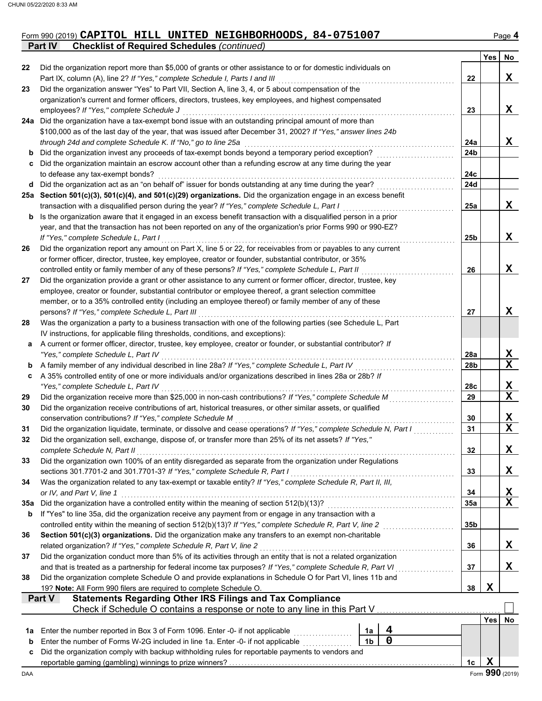#### Form 990 (2019) **CAPITOL HILL UNITED NEIGHBORHOODS, 84-0751007** Page 4 **Part IV Checklist of Required Schedules** *(continued)*

|     |                                                                                                                                                                                                                             |                |             |                 | Yes        | No                      |
|-----|-----------------------------------------------------------------------------------------------------------------------------------------------------------------------------------------------------------------------------|----------------|-------------|-----------------|------------|-------------------------|
| 22  | Did the organization report more than \$5,000 of grants or other assistance to or for domestic individuals on                                                                                                               |                |             |                 |            |                         |
|     | Part IX, column (A), line 2? If "Yes," complete Schedule I, Parts I and III                                                                                                                                                 |                |             | 22              |            | X                       |
| 23  | Did the organization answer "Yes" to Part VII, Section A, line 3, 4, or 5 about compensation of the<br>organization's current and former officers, directors, trustees, key employees, and highest compensated              |                |             |                 |            |                         |
|     | employees? If "Yes," complete Schedule J                                                                                                                                                                                    |                |             | 23              |            | X                       |
| 24a | Did the organization have a tax-exempt bond issue with an outstanding principal amount of more than                                                                                                                         |                |             |                 |            |                         |
|     | \$100,000 as of the last day of the year, that was issued after December 31, 2002? If "Yes," answer lines 24b                                                                                                               |                |             |                 |            |                         |
|     | through 24d and complete Schedule K. If "No," go to line 25a                                                                                                                                                                |                |             | 24a             |            | X                       |
| b   | Did the organization invest any proceeds of tax-exempt bonds beyond a temporary period exception?                                                                                                                           |                |             | 24 <sub>b</sub> |            |                         |
| c   | Did the organization maintain an escrow account other than a refunding escrow at any time during the year                                                                                                                   |                |             |                 |            |                         |
|     | to defease any tax-exempt bonds?                                                                                                                                                                                            |                |             | 24c             |            |                         |
| d   | Did the organization act as an "on behalf of" issuer for bonds outstanding at any time during the year?                                                                                                                     |                |             | 24d             |            |                         |
| 25а | Section 501(c)(3), 501(c)(4), and 501(c)(29) organizations. Did the organization engage in an excess benefit                                                                                                                |                |             |                 |            |                         |
|     | transaction with a disqualified person during the year? If "Yes," complete Schedule L, Part I                                                                                                                               |                |             | 25a             |            | X                       |
| b   | Is the organization aware that it engaged in an excess benefit transaction with a disqualified person in a prior                                                                                                            |                |             |                 |            |                         |
|     | year, and that the transaction has not been reported on any of the organization's prior Forms 990 or 990-EZ?                                                                                                                |                |             |                 |            |                         |
|     | If "Yes," complete Schedule L, Part I                                                                                                                                                                                       |                |             | 25 <sub>b</sub> |            | X                       |
| 26  | Did the organization report any amount on Part X, line 5 or 22, for receivables from or payables to any current                                                                                                             |                |             |                 |            |                         |
|     | or former officer, director, trustee, key employee, creator or founder, substantial contributor, or 35%                                                                                                                     |                |             |                 |            |                         |
|     | controlled entity or family member of any of these persons? If "Yes," complete Schedule L, Part II                                                                                                                          |                |             | 26              |            | X                       |
| 27  | Did the organization provide a grant or other assistance to any current or former officer, director, trustee, key<br>employee, creator or founder, substantial contributor or employee thereof, a grant selection committee |                |             |                 |            |                         |
|     | member, or to a 35% controlled entity (including an employee thereof) or family member of any of these                                                                                                                      |                |             |                 |            |                         |
|     | persons? If "Yes," complete Schedule L, Part III                                                                                                                                                                            |                |             | 27              |            | X                       |
| 28  | Was the organization a party to a business transaction with one of the following parties (see Schedule L, Part                                                                                                              |                |             |                 |            |                         |
|     | IV instructions, for applicable filing thresholds, conditions, and exceptions):                                                                                                                                             |                |             |                 |            |                         |
| а   | A current or former officer, director, trustee, key employee, creator or founder, or substantial contributor? If                                                                                                            |                |             |                 |            |                         |
|     | "Yes," complete Schedule L, Part IV                                                                                                                                                                                         |                |             | 28a             |            | X                       |
| b   | A family member of any individual described in line 28a? If "Yes," complete Schedule L, Part IV                                                                                                                             |                |             | 28b             |            | $\mathbf x$             |
| c   | A 35% controlled entity of one or more individuals and/or organizations described in lines 28a or 28b? If                                                                                                                   |                |             |                 |            |                         |
|     | "Yes," complete Schedule L, Part IV                                                                                                                                                                                         |                |             | 28c             |            | X                       |
| 29  | Did the organization receive more than \$25,000 in non-cash contributions? If "Yes," complete Schedule M                                                                                                                    |                |             | 29              |            | $\overline{\mathbf{x}}$ |
| 30  | Did the organization receive contributions of art, historical treasures, or other similar assets, or qualified                                                                                                              |                |             |                 |            |                         |
|     | conservation contributions? If "Yes," complete Schedule M                                                                                                                                                                   |                |             | 30              |            | X                       |
| 31  | Did the organization liquidate, terminate, or dissolve and cease operations? If "Yes," complete Schedule N, Part I                                                                                                          |                |             | 31              |            | $\mathbf X$             |
| 32  | Did the organization sell, exchange, dispose of, or transfer more than 25% of its net assets? If "Yes,"                                                                                                                     |                |             |                 |            | X                       |
|     | complete Schedule N, Part II                                                                                                                                                                                                |                |             | 32              |            |                         |
| 33  | Did the organization own 100% of an entity disregarded as separate from the organization under Regulations<br>sections 301.7701-2 and 301.7701-3? If "Yes," complete Schedule R, Part I                                     |                |             | 33              |            | X                       |
| 34  | Was the organization related to any tax-exempt or taxable entity? If "Yes," complete Schedule R, Part II, III,                                                                                                              |                |             |                 |            |                         |
|     | or IV, and Part V, line 1                                                                                                                                                                                                   |                |             | 34              |            | X                       |
| 35a | Did the organization have a controlled entity within the meaning of section 512(b)(13)?                                                                                                                                     |                |             | 35a             |            | $\mathbf x$             |
| b   | If "Yes" to line 35a, did the organization receive any payment from or engage in any transaction with a                                                                                                                     |                |             |                 |            |                         |
|     | controlled entity within the meaning of section 512(b)(13)? If "Yes," complete Schedule R, Part V, line 2                                                                                                                   |                |             | 35 <sub>b</sub> |            |                         |
| 36  | Section 501(c)(3) organizations. Did the organization make any transfers to an exempt non-charitable                                                                                                                        |                |             |                 |            |                         |
|     | related organization? If "Yes," complete Schedule R, Part V, line 2                                                                                                                                                         |                |             | 36              |            | X                       |
| 37  | Did the organization conduct more than 5% of its activities through an entity that is not a related organization                                                                                                            |                |             |                 |            |                         |
|     | and that is treated as a partnership for federal income tax purposes? If "Yes," complete Schedule R, Part VI                                                                                                                |                |             | 37              |            | X                       |
| 38  | Did the organization complete Schedule O and provide explanations in Schedule O for Part VI, lines 11b and                                                                                                                  |                |             |                 |            |                         |
|     | 19? Note: All Form 990 filers are required to complete Schedule O.                                                                                                                                                          |                |             | 38              | X          |                         |
|     | <b>Statements Regarding Other IRS Filings and Tax Compliance</b><br>Part V                                                                                                                                                  |                |             |                 |            |                         |
|     | Check if Schedule O contains a response or note to any line in this Part V.                                                                                                                                                 |                |             |                 | <b>Yes</b> | No                      |
| 1a  | Enter the number reported in Box 3 of Form 1096. Enter -0- if not applicable                                                                                                                                                | 1a             | 4           |                 |            |                         |
| b   | Enter the number of Forms W-2G included in line 1a. Enter -0- if not applicable                                                                                                                                             | 1 <sub>b</sub> | $\mathbf 0$ |                 |            |                         |
| c   | Did the organization comply with backup withholding rules for reportable payments to vendors and                                                                                                                            |                |             |                 |            |                         |
|     |                                                                                                                                                                                                                             |                |             | 1c              | X          |                         |
| DAA |                                                                                                                                                                                                                             |                |             |                 |            | Form 990 (2019)         |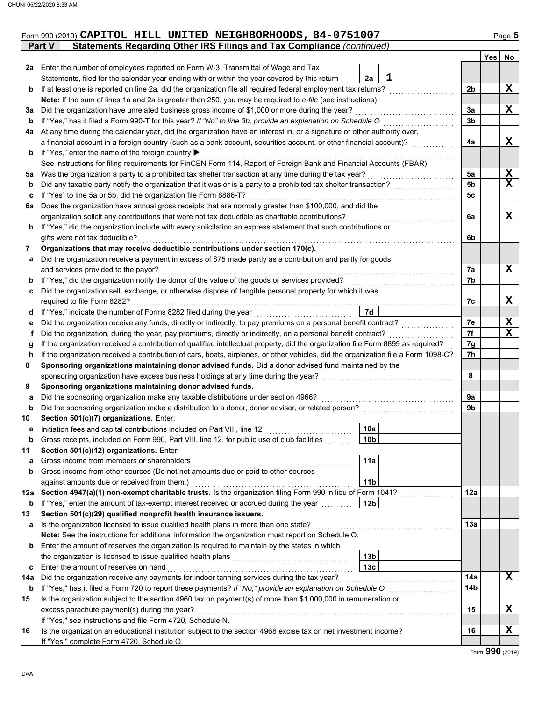|    | Form 990 (2019) CAPITOL HILL UNITED NEIGHBORHOODS, 84-0751007<br>Statements Regarding Other IRS Filings and Tax Compliance (continued)<br>Part V |                |     | Page 5                  |
|----|--------------------------------------------------------------------------------------------------------------------------------------------------|----------------|-----|-------------------------|
|    |                                                                                                                                                  |                | Yes | No                      |
|    | 2a Enter the number of employees reported on Form W-3, Transmittal of Wage and Tax                                                               |                |     |                         |
|    | 1<br>Statements, filed for the calendar year ending with or within the year covered by this return<br>2a                                         |                |     |                         |
| b  | If at least one is reported on line 2a, did the organization file all required federal employment tax returns?                                   | 2 <sub>b</sub> |     | $\mathbf x$             |
|    | Note: If the sum of lines 1a and 2a is greater than 250, you may be required to e-file (see instructions)                                        |                |     |                         |
| За | Did the organization have unrelated business gross income of \$1,000 or more during the year?                                                    | 3a             |     | X                       |
| b  | If "Yes," has it filed a Form 990-T for this year? If "No" to line 3b, provide an explanation on Schedule O                                      | 3b             |     |                         |
| 4a | At any time during the calendar year, did the organization have an interest in, or a signature or other authority over,                          |                |     |                         |
|    | a financial account in a foreign country (such as a bank account, securities account, or other financial account)?                               | 4a             |     | x                       |
| b  | If "Yes," enter the name of the foreign country ▶                                                                                                |                |     |                         |
|    | See instructions for filing requirements for FinCEN Form 114, Report of Foreign Bank and Financial Accounts (FBAR).                              |                |     |                         |
| 5a | Was the organization a party to a prohibited tax shelter transaction at any time during the tax year?                                            | 5a             |     | Х                       |
| b  | Did any taxable party notify the organization that it was or is a party to a prohibited tax shelter transaction?                                 | 5 <sub>b</sub> |     | $\overline{\mathbf{x}}$ |
| c  | If "Yes" to line 5a or 5b, did the organization file Form 8886-T?                                                                                | 5c             |     |                         |
| 6a | Does the organization have annual gross receipts that are normally greater than \$100,000, and did the                                           |                |     |                         |
|    | organization solicit any contributions that were not tax deductible as charitable contributions?                                                 | 6a             |     | X                       |
| b  | If "Yes," did the organization include with every solicitation an express statement that such contributions or                                   |                |     |                         |
|    | gifts were not tax deductible?                                                                                                                   | 6b             |     |                         |
| 7  | Organizations that may receive deductible contributions under section 170(c).                                                                    |                |     |                         |
| а  | Did the organization receive a payment in excess of \$75 made partly as a contribution and partly for goods                                      |                |     |                         |
|    | and services provided to the payor?                                                                                                              | 7а             |     | X                       |
| b  |                                                                                                                                                  | 7b             |     |                         |
| c  | Did the organization sell, exchange, or otherwise dispose of tangible personal property for which it was                                         |                |     |                         |
|    | required to file Form 8282?                                                                                                                      | 7c             |     | x                       |
| d  | <b>7d</b>                                                                                                                                        |                |     |                         |
| е  |                                                                                                                                                  | 7e             |     | X                       |
| f  | Did the organization, during the year, pay premiums, directly or indirectly, on a personal benefit contract?                                     | 7f             |     | $\mathbf x$             |
| g  | If the organization received a contribution of qualified intellectual property, did the organization file Form 8899 as required?                 | 7g             |     |                         |
| h  | If the organization received a contribution of cars, boats, airplanes, or other vehicles, did the organization file a Form 1098-C?               | 7h             |     |                         |
|    | Sponsoring organizations maintaining donor advised funds. Did a donor advised fund maintained by the                                             |                |     |                         |
|    |                                                                                                                                                  | 8              |     |                         |
|    | Sponsoring organizations maintaining donor advised funds.                                                                                        |                |     |                         |
| a  | Did the sponsoring organization make any taxable distributions under section 4966?                                                               | 9a             |     |                         |
| b  | Did the sponsoring organization make a distribution to a donor, donor advisor, or related person?                                                | 9b             |     |                         |
| 10 | Section 501(c)(7) organizations. Enter:                                                                                                          |                |     |                         |

**b** Gross receipts, included on Form 990, Part VIII, line 12, for public use of club facilities  $\ldots\ldots$ 

Initiation fees and capital contributions included on Part VIII, line 12

against amounts due or received from them.) . . . . . . . . . . . . . . . . . . . . . . . . . . . . . . . . . . . . . . . . . . . . . . . . . . . .

**13 Section 501(c)(29) qualified nonprofit health insurance issuers.**

If "Yes," see instructions and file Form 4720, Schedule N.

If "Yes," complete Form 4720, Schedule O.

**Section 501(c)(12) organizations.** Enter:

**a** Gross income from members or shareholders . . . . . . . . . . . . . . . . . . . . . . . . . . . . . . . . . . . . . . . . . . . . . . . . . . . .

Gross income from other sources (Do not net amounts due or paid to other sources

**b** Enter the amount of reserves the organization is required to maintain by the states in which

the organization is licensed to issue qualified health plans . . . . . . . . . . . . . . . . . . . . . . . . . . . . . . . . . . . . . . .

**b** If "Yes," enter the amount of tax-exempt interest received or accrued during the year . . . . . . . . . . **12b**

**Note:** See the instructions for additional information the organization must report on Schedule O.

Enter the amount of reserves on hand . . . . . . . . . . . . . . . . . . . . . . . . . . . . . . . . . . . . . . . . . . . . . . . . . . . . . . . . . . . . **c 13c**

**15** Is the organization subject to the section 4960 tax on payment(s) of more than \$1,000,000 in remuneration or

**16** Is the organization an educational institution subject to the section 4968 excise tax on net investment income?

**14a** Did the organization receive any payments for indoor tanning services during the tax year? . . . . . . . . .

**12a Section 4947(a)(1) non-exempt charitable trusts.** Is the organization filing Form 990 in lieu of Form 1041? <u>. . . . . . . . . . . . . . . .</u>

**a 13a** Is the organization licensed to issue qualified health plans in more than one state? . . . . . . . . . . . . . . . . . . . . . . . . . . . . . . . . . . . . . . . . . . . . .

**b 14b** If "Yes," has it filed a Form 720 to report these payments? *If "No," provide an explanation on Schedule O* . . . . . . . . . . . . . . . . . . . . . .

excess parachute payment(s) during the year? . . . . . . . . . . . . . . . . . . . . . . . . . . . . . . . . . . . . . . . . . . . . . . . . . . . . . . . . . . . . . . . . . . . . . . . . . . . . . . . . . . . **15**

**X**

**X**

**X**

**12a**

**14a**

**16**

**10a 10b**

**11a**

**11b**

**13b**

**a**

**11**

**b**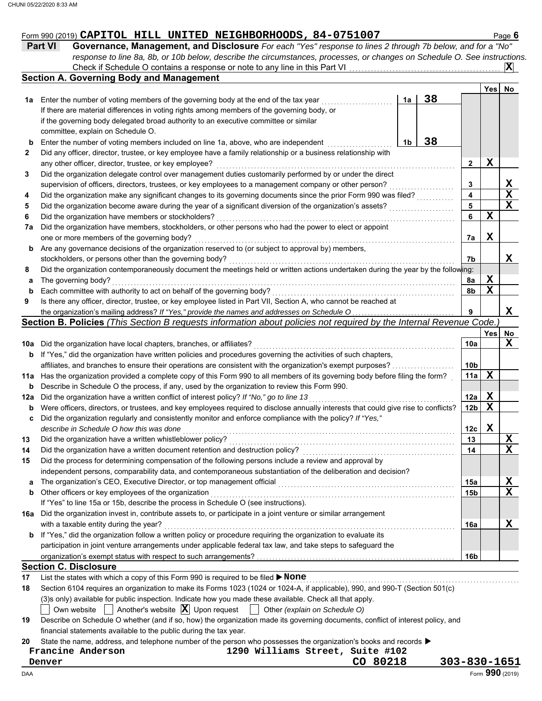# Form 990 (2019) Page **6 CAPITOL HILL UNITED NEIGHBORHOODS, 84-0751007**

| <b>Part VI</b> | Governance, Management, and Disclosure For each "Yes" response to lines 2 through 7b below, and for a "No"                |        |             |
|----------------|---------------------------------------------------------------------------------------------------------------------------|--------|-------------|
|                | response to line 8a, 8b, or 10b below, describe the circumstances, processes, or changes on Schedule O. See instructions. |        |             |
|                |                                                                                                                           |        | $ {\bf X} $ |
|                | Section A. Governing Body and Management                                                                                  |        |             |
|                |                                                                                                                           | Von No |             |

|          |                                                                                                                                                                                          |    |    |                 | Yes | No          |
|----------|------------------------------------------------------------------------------------------------------------------------------------------------------------------------------------------|----|----|-----------------|-----|-------------|
| 1а       | Enter the number of voting members of the governing body at the end of the tax year                                                                                                      | 1a | 38 |                 |     |             |
|          | If there are material differences in voting rights among members of the governing body, or                                                                                               |    |    |                 |     |             |
|          | if the governing body delegated broad authority to an executive committee or similar                                                                                                     |    |    |                 |     |             |
|          | committee, explain on Schedule O.                                                                                                                                                        |    |    |                 |     |             |
| b        | Enter the number of voting members included on line 1a, above, who are independent                                                                                                       | 1b | 38 |                 |     |             |
| 2        | Did any officer, director, trustee, or key employee have a family relationship or a business relationship with                                                                           |    |    |                 |     |             |
|          | any other officer, director, trustee, or key employee?                                                                                                                                   |    |    | 2               | x   |             |
| 3        | Did the organization delegate control over management duties customarily performed by or under the direct                                                                                |    |    |                 |     |             |
|          | supervision of officers, directors, trustees, or key employees to a management company or other person?                                                                                  |    |    | 3               |     | X           |
| 4        | Did the organization make any significant changes to its governing documents since the prior Form 990 was filed?                                                                         |    |    | 4               |     | $\mathbf X$ |
| 5        | Did the organization become aware during the year of a significant diversion of the organization's assets?                                                                               |    |    | 5               |     | $\mathbf x$ |
| 6        | Did the organization have members or stockholders?                                                                                                                                       |    |    | 6               | X   |             |
| 7а       | Did the organization have members, stockholders, or other persons who had the power to elect or appoint                                                                                  |    |    |                 |     |             |
|          | one or more members of the governing body?                                                                                                                                               |    |    | 7a              | X   |             |
| b        | Are any governance decisions of the organization reserved to (or subject to approval by) members,                                                                                        |    |    |                 |     |             |
|          | stockholders, or persons other than the governing body?                                                                                                                                  |    |    | 7b              |     | X.          |
| 8        | Did the organization contemporaneously document the meetings held or written actions undertaken during the year by the following:                                                        |    |    |                 |     |             |
| а        | The governing body?                                                                                                                                                                      |    |    | 8a              | X   |             |
| b        | Each committee with authority to act on behalf of the governing body?                                                                                                                    |    |    | 8b              | X   |             |
| 9        | Is there any officer, director, trustee, or key employee listed in Part VII, Section A, who cannot be reached at                                                                         |    |    |                 |     |             |
|          | the organization's mailing address? If "Yes," provide the names and addresses on Schedule O                                                                                              |    |    | 9               |     | x           |
|          | Section B. Policies (This Section B requests information about policies not required by the Internal Revenue Code.                                                                       |    |    |                 |     |             |
|          |                                                                                                                                                                                          |    |    |                 | Yes | No.         |
| 10a      | Did the organization have local chapters, branches, or affiliates?                                                                                                                       |    |    | 10a             |     | x           |
| b        | If "Yes," did the organization have written policies and procedures governing the activities of such chapters,                                                                           |    |    |                 |     |             |
|          | affiliates, and branches to ensure their operations are consistent with the organization's exempt purposes?                                                                              |    |    | 10 <sub>b</sub> |     |             |
| 11a      | Has the organization provided a complete copy of this Form 990 to all members of its governing body before filing the form?                                                              |    |    | 11a             | X   |             |
| b        | Describe in Schedule O the process, if any, used by the organization to review this Form 990.                                                                                            |    |    |                 |     |             |
| 12a      | Did the organization have a written conflict of interest policy? If "No," go to line 13                                                                                                  |    |    | 12a             | X   |             |
| b        | Were officers, directors, or trustees, and key employees required to disclose annually interests that could give rise to conflicts?                                                      |    |    | 12 <sub>b</sub> | X   |             |
| c        | Did the organization regularly and consistently monitor and enforce compliance with the policy? If "Yes,"                                                                                |    |    |                 |     |             |
|          | describe in Schedule O how this was done                                                                                                                                                 |    |    | 12c             | X   | X           |
| 13       | Did the organization have a written whistleblower policy?                                                                                                                                |    |    | 13<br>14        |     | х           |
| 14<br>15 | Did the organization have a written document retention and destruction policy?<br>Did the process for determining compensation of the following persons include a review and approval by |    |    |                 |     |             |
|          | independent persons, comparability data, and contemporaneous substantiation of the deliberation and decision?                                                                            |    |    |                 |     |             |
|          | The organization's CEO, Executive Director, or top management official                                                                                                                   |    |    | 15a             |     | X           |
|          | <b>b</b> Other officers or key employees of the organization                                                                                                                             |    |    | 15b             |     | $\mathbf x$ |
|          | If "Yes" to line 15a or 15b, describe the process in Schedule O (see instructions).                                                                                                      |    |    |                 |     |             |
| 16a      | Did the organization invest in, contribute assets to, or participate in a joint venture or similar arrangement                                                                           |    |    |                 |     |             |
|          | with a taxable entity during the year?                                                                                                                                                   |    |    | 16a             |     | X           |
|          | <b>b</b> If "Yes," did the organization follow a written policy or procedure requiring the organization to evaluate its                                                                  |    |    |                 |     |             |
|          | participation in joint venture arrangements under applicable federal tax law, and take steps to safeguard the                                                                            |    |    |                 |     |             |
|          |                                                                                                                                                                                          |    |    | 16 <sub>b</sub> |     |             |
|          | <b>Section C. Disclosure</b>                                                                                                                                                             |    |    |                 |     |             |
| 17       | List the states with which a copy of this Form 990 is required to be filed Mone                                                                                                          |    |    |                 |     |             |
|          |                                                                                                                                                                                          |    |    |                 |     |             |

|  | 18 Section 6104 requires an organization to make its Forms 1023 (1024 or 1024-A, if applicable), 990, and 990-T (Section 501(c) |  |  |  |  |
|--|---------------------------------------------------------------------------------------------------------------------------------|--|--|--|--|
|--|---------------------------------------------------------------------------------------------------------------------------------|--|--|--|--|

(3)s only) available for public inspection. Indicate how you made these available. Check all that apply.

Own website  $\[\]$  Another's website  $\[\mathbf{X}\]$  Upon request  $\[\]$  Other *(explain on Schedule O)* 

| 19 Describe on Schedule O whether (and if so, how) the organization made its governing documents, conflict of interest policy, and |
|------------------------------------------------------------------------------------------------------------------------------------|
| financial statements available to the public during the tax year.                                                                  |

**20** State the name, address, and telephone number of the person who possesses the organization's books and records ▶

**Francine Anderson 1290 Williams Street, Suite #102**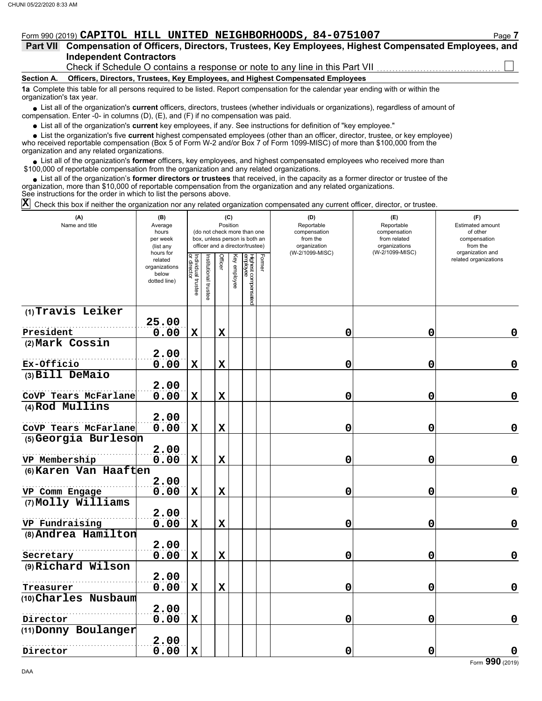### Form 990 (2019) **CAPITOL HILL UNITED NEIGHBORHOODS, 84-0751007** Page **7**

| Part VII Compensation of Officers, Directors, Trustees, Key Employees, Highest Compensated Employees, and |  |  |  |  |
|-----------------------------------------------------------------------------------------------------------|--|--|--|--|
| <b>Independent Contractors</b>                                                                            |  |  |  |  |

Check if Schedule O contains a response or note to any line in this Part VII

#### **Section A. Officers, Directors, Trustees, Key Employees, and Highest Compensated Employees**

**1a** Complete this table for all persons required to be listed. Report compensation for the calendar year ending with or within the organization's tax year.

■ List all of the organization's **current** officers, directors, trustees (whether individuals or organizations), regardless of amount of compensation. Enter -0- in columns (D), (E), and (F) if no compensation was paid.

List all of the organization's **current** key employees, if any. See instructions for definition of "key employee."

■ List all of the organization's **current** key employees, if any. See instructions for definition of "key employee."<br>■ List the organization's five **current** highest compensated employees (other than an officer, director,

who received reportable compensation (Box 5 of Form W-2 and/or Box 7 of Form 1099-MISC) of more than \$100,000 from the organization and any related organizations.

• List all of the organization's **former** officers, key employees, and highest compensated employees who received more than<br>00,000 of reportable compensation from the organization and any related erganizations. \$100,000 of reportable compensation from the organization and any related organizations.

• List all of the organization's **former directors or trustees** that received, in the capacity as a former director or trustee of the anization more than \$10,000 of reportable compensation from the organization and any rel organization, more than \$10,000 of reportable compensation from the organization and any related organizations. See instructions for the order in which to list the persons above.

Check this box if neither the organization nor any related organization compensated any current officer, director, or trustee. **X**

| (A)<br>Name and title                   | (B)<br>Average<br>hours<br>per week<br>(list any               |                                   |                             |             | (C)<br>Position | (do not check more than one<br>box, unless person is both an<br>officer and a director/trustee) |        | (D)<br>Reportable<br>compensation<br>from the<br>organization | (E)<br>Reportable<br>compensation<br>from related<br>organizations<br>(W-2/1099-MISC) | (F)<br>Estimated amount<br>of other<br>compensation<br>from the<br>organization and |
|-----------------------------------------|----------------------------------------------------------------|-----------------------------------|-----------------------------|-------------|-----------------|-------------------------------------------------------------------------------------------------|--------|---------------------------------------------------------------|---------------------------------------------------------------------------------------|-------------------------------------------------------------------------------------|
|                                         | hours for<br>related<br>organizations<br>below<br>dotted line) | Individual trustee<br>or director | <b>Istitutional trustee</b> | Officer     | Key employee    | Highest compensated<br>employee                                                                 | Former | (W-2/1099-MISC)                                               |                                                                                       | related organizations                                                               |
| (1) Travis Leiker                       |                                                                |                                   |                             |             |                 |                                                                                                 |        |                                                               |                                                                                       |                                                                                     |
| President                               | 25.00<br>0.00                                                  | $\mathbf x$                       |                             | $\mathbf X$ |                 |                                                                                                 |        | 0                                                             | $\mathbf 0$                                                                           | 0                                                                                   |
| (2) Mark Cossin                         |                                                                |                                   |                             |             |                 |                                                                                                 |        |                                                               |                                                                                       |                                                                                     |
| Ex-Officio                              | 2.00<br>0.00                                                   | $\mathbf x$                       |                             | $\mathbf X$ |                 |                                                                                                 |        | 0                                                             | 0                                                                                     | $\mathbf 0$                                                                         |
| (3) Bill DeMaio                         |                                                                |                                   |                             |             |                 |                                                                                                 |        |                                                               |                                                                                       |                                                                                     |
| CoVP Tears McFarlane                    | 2.00<br>0.00                                                   | $\mathbf x$                       |                             | $\mathbf x$ |                 |                                                                                                 |        | 0                                                             | 0                                                                                     | $\mathbf 0$                                                                         |
| (4) Rod Mullins                         |                                                                |                                   |                             |             |                 |                                                                                                 |        |                                                               |                                                                                       |                                                                                     |
| CoVP Tears McFarlane                    | 2.00<br>0.00                                                   | $\mathbf x$                       |                             | $\mathbf X$ |                 |                                                                                                 |        | 0                                                             | 0                                                                                     | $\mathbf 0$                                                                         |
| (5) Georgia Burleson                    |                                                                |                                   |                             |             |                 |                                                                                                 |        |                                                               |                                                                                       |                                                                                     |
|                                         | 2.00                                                           |                                   |                             |             |                 |                                                                                                 |        |                                                               |                                                                                       |                                                                                     |
| VP Membership                           | 0.00                                                           | $\mathbf x$                       |                             | $\mathbf x$ |                 |                                                                                                 |        | 0                                                             | 0                                                                                     | $\mathbf 0$                                                                         |
| (6) Karen Van Haaften<br>VP Comm Engage | 2.00<br>0.00                                                   | $\mathbf x$                       |                             | $\mathbf x$ |                 |                                                                                                 |        | 0                                                             | 0                                                                                     | $\mathbf 0$                                                                         |
| (7) Molly Williams                      |                                                                |                                   |                             |             |                 |                                                                                                 |        |                                                               |                                                                                       |                                                                                     |
|                                         | 2.00                                                           |                                   |                             |             |                 |                                                                                                 |        |                                                               |                                                                                       |                                                                                     |
| VP Fundraising                          | 0.00                                                           | $\mathbf x$                       |                             | $\mathbf X$ |                 |                                                                                                 |        | 0                                                             | 0                                                                                     | $\mathbf 0$                                                                         |
| (8) Andrea Hamilton                     | 2.00                                                           |                                   |                             |             |                 |                                                                                                 |        |                                                               |                                                                                       |                                                                                     |
| Secretary                               | 0.00                                                           | $\mathbf x$                       |                             | $\mathbf X$ |                 |                                                                                                 |        | 0                                                             | 0                                                                                     | $\mathbf 0$                                                                         |
| (9) Richard Wilson                      |                                                                |                                   |                             |             |                 |                                                                                                 |        |                                                               |                                                                                       |                                                                                     |
|                                         | 2.00                                                           |                                   |                             |             |                 |                                                                                                 |        |                                                               |                                                                                       |                                                                                     |
| Treasurer<br>(10) Charles Nusbaum       | 0.00                                                           | $\mathbf x$                       |                             | $\mathbf x$ |                 |                                                                                                 |        | 0                                                             | 0                                                                                     | $\mathbf 0$                                                                         |
|                                         | 2.00                                                           |                                   |                             |             |                 |                                                                                                 |        |                                                               |                                                                                       |                                                                                     |
| Director                                | 0.00                                                           | X                                 |                             |             |                 |                                                                                                 |        | 0                                                             | 0                                                                                     | $\mathbf 0$                                                                         |
| (11) Donny Boulanger                    |                                                                |                                   |                             |             |                 |                                                                                                 |        |                                                               |                                                                                       |                                                                                     |
| Director                                | 2.00<br>0.00                                                   | $\mathbf x$                       |                             |             |                 |                                                                                                 |        | $\mathbf 0$                                                   | 0                                                                                     | $\mathbf 0$                                                                         |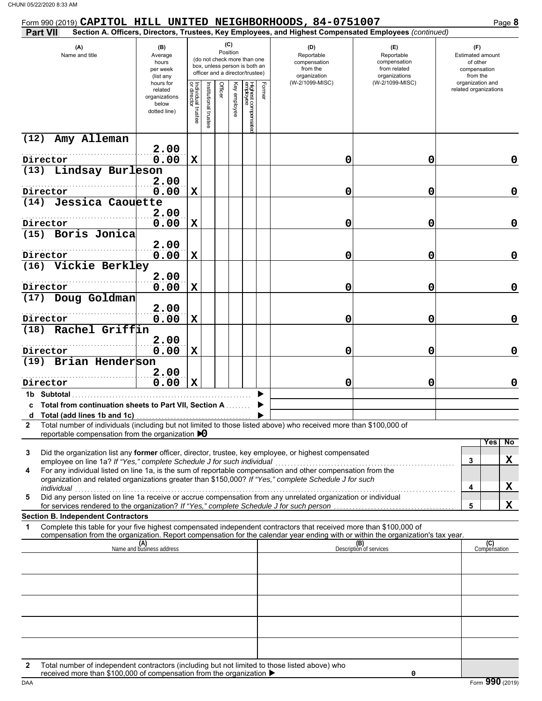| Form 990 (2019) CAPITOL HILL UNITED NEIGHBORHOODS, 84-0751007                                                                                                                                                                                                                                                                                                                                                     |                                                               |                                   |                      |         |                 |                                                                                                 |                                                                                                        |                                                                                       | Page 8                                                                              |
|-------------------------------------------------------------------------------------------------------------------------------------------------------------------------------------------------------------------------------------------------------------------------------------------------------------------------------------------------------------------------------------------------------------------|---------------------------------------------------------------|-----------------------------------|----------------------|---------|-----------------|-------------------------------------------------------------------------------------------------|--------------------------------------------------------------------------------------------------------|---------------------------------------------------------------------------------------|-------------------------------------------------------------------------------------|
| <b>Part VII</b>                                                                                                                                                                                                                                                                                                                                                                                                   |                                                               |                                   |                      |         |                 |                                                                                                 | Section A. Officers, Directors, Trustees, Key Employees, and Highest Compensated Employees (continued) |                                                                                       |                                                                                     |
| (A)<br>Name and title                                                                                                                                                                                                                                                                                                                                                                                             | (B)<br>Average<br>hours<br>per week<br>(list any<br>hours for |                                   |                      |         | (C)<br>Position | (do not check more than one<br>box, unless person is both an<br>officer and a director/trustee) | (D)<br>Reportable<br>compensation<br>from the<br>organization<br>(W-2/1099-MISC)                       | (E)<br>Reportable<br>compensation<br>from related<br>organizations<br>(W-2/1099-MISC) | (F)<br>Estimated amount<br>of other<br>compensation<br>from the<br>organization and |
|                                                                                                                                                                                                                                                                                                                                                                                                                   | related<br>organizations<br>below<br>dotted line)             | Individual trustee<br>or director | nstitutional trustee | Officer | Ķey<br>employee | Highest compensatec<br>employee                                                                 |                                                                                                        |                                                                                       | related organizations                                                               |
| Amy Alleman<br>(12)                                                                                                                                                                                                                                                                                                                                                                                               | 2.00                                                          |                                   |                      |         |                 |                                                                                                 |                                                                                                        |                                                                                       |                                                                                     |
| Director                                                                                                                                                                                                                                                                                                                                                                                                          | 0.00                                                          | $\mathbf X$                       |                      |         |                 |                                                                                                 | 0                                                                                                      | 0                                                                                     | 0                                                                                   |
| (13) Lindsay Burleson                                                                                                                                                                                                                                                                                                                                                                                             |                                                               |                                   |                      |         |                 |                                                                                                 |                                                                                                        |                                                                                       |                                                                                     |
|                                                                                                                                                                                                                                                                                                                                                                                                                   | 2.00                                                          |                                   |                      |         |                 |                                                                                                 |                                                                                                        |                                                                                       |                                                                                     |
| Director                                                                                                                                                                                                                                                                                                                                                                                                          | 0.00                                                          | $\mathbf X$                       |                      |         |                 |                                                                                                 | 0                                                                                                      | 0                                                                                     | 0                                                                                   |
| Jessica Caouette<br>(14)                                                                                                                                                                                                                                                                                                                                                                                          | 2.00                                                          |                                   |                      |         |                 |                                                                                                 |                                                                                                        |                                                                                       |                                                                                     |
| Director                                                                                                                                                                                                                                                                                                                                                                                                          | 0.00                                                          | $\mathbf X$                       |                      |         |                 |                                                                                                 | 0                                                                                                      | 0                                                                                     | 0                                                                                   |
| (15) Boris Jonica                                                                                                                                                                                                                                                                                                                                                                                                 |                                                               |                                   |                      |         |                 |                                                                                                 |                                                                                                        |                                                                                       |                                                                                     |
|                                                                                                                                                                                                                                                                                                                                                                                                                   | 2.00                                                          |                                   |                      |         |                 |                                                                                                 |                                                                                                        |                                                                                       |                                                                                     |
| Director<br>(16) Vickie Berkley                                                                                                                                                                                                                                                                                                                                                                                   | 0.00                                                          | $\mathbf X$                       |                      |         |                 |                                                                                                 | 0                                                                                                      | 0                                                                                     | 0                                                                                   |
|                                                                                                                                                                                                                                                                                                                                                                                                                   | 2.00                                                          |                                   |                      |         |                 |                                                                                                 |                                                                                                        |                                                                                       |                                                                                     |
| Director                                                                                                                                                                                                                                                                                                                                                                                                          | 0.00                                                          | $\mathbf X$                       |                      |         |                 |                                                                                                 | 0                                                                                                      | 0                                                                                     | 0                                                                                   |
| (17) Doug Goldman                                                                                                                                                                                                                                                                                                                                                                                                 |                                                               |                                   |                      |         |                 |                                                                                                 |                                                                                                        |                                                                                       |                                                                                     |
| Director                                                                                                                                                                                                                                                                                                                                                                                                          | 2.00<br>0.00                                                  | $\mathbf X$                       |                      |         |                 |                                                                                                 | 0                                                                                                      | 0                                                                                     | 0                                                                                   |
| Rachel Griffin<br>(18)                                                                                                                                                                                                                                                                                                                                                                                            |                                                               |                                   |                      |         |                 |                                                                                                 |                                                                                                        |                                                                                       |                                                                                     |
|                                                                                                                                                                                                                                                                                                                                                                                                                   | 2.00                                                          |                                   |                      |         |                 |                                                                                                 |                                                                                                        |                                                                                       |                                                                                     |
| Director<br>(19) Brian Henderson                                                                                                                                                                                                                                                                                                                                                                                  | 0.00                                                          | $\mathbf X$                       |                      |         |                 |                                                                                                 | 0                                                                                                      | 0                                                                                     | 0                                                                                   |
|                                                                                                                                                                                                                                                                                                                                                                                                                   | 2.00                                                          |                                   |                      |         |                 |                                                                                                 |                                                                                                        |                                                                                       |                                                                                     |
| Director                                                                                                                                                                                                                                                                                                                                                                                                          | 0.00                                                          | $\mathbf x$                       |                      |         |                 |                                                                                                 | 0                                                                                                      | 0                                                                                     | 0                                                                                   |
| 1b Subtotal<br>c Total from continuation sheets to Part VII, Section A                                                                                                                                                                                                                                                                                                                                            |                                                               |                                   |                      |         |                 |                                                                                                 |                                                                                                        |                                                                                       |                                                                                     |
|                                                                                                                                                                                                                                                                                                                                                                                                                   |                                                               |                                   |                      |         |                 |                                                                                                 |                                                                                                        |                                                                                       |                                                                                     |
| Total number of individuals (including but not limited to those listed above) who received more than \$100,000 of<br>2<br>reportable compensation from the organization $\bigtriangledown 0$                                                                                                                                                                                                                      |                                                               |                                   |                      |         |                 |                                                                                                 |                                                                                                        |                                                                                       |                                                                                     |
| Did the organization list any former officer, director, trustee, key employee, or highest compensated<br>3<br>employee on line 1a? If "Yes," complete Schedule J for such individual<br>For any individual listed on line 1a, is the sum of reportable compensation and other compensation from the<br>4<br>organization and related organizations greater than \$150,000? If "Yes," complete Schedule J for such |                                                               |                                   |                      |         |                 |                                                                                                 |                                                                                                        |                                                                                       | Yes<br>No<br>X<br>3                                                                 |
| individual<br>Did any person listed on line 1a receive or accrue compensation from any unrelated organization or individual<br>5                                                                                                                                                                                                                                                                                  |                                                               |                                   |                      |         |                 |                                                                                                 |                                                                                                        |                                                                                       | X<br>4                                                                              |
| for services rendered to the organization? If "Yes," complete Schedule J for such person                                                                                                                                                                                                                                                                                                                          |                                                               |                                   |                      |         |                 |                                                                                                 |                                                                                                        |                                                                                       | X<br>5                                                                              |
| <b>Section B. Independent Contractors</b>                                                                                                                                                                                                                                                                                                                                                                         |                                                               |                                   |                      |         |                 |                                                                                                 |                                                                                                        |                                                                                       |                                                                                     |
| Complete this table for your five highest compensated independent contractors that received more than \$100,000 of<br>1<br>compensation from the organization. Report compensation for the calendar year ending with or within the organization's tax year.                                                                                                                                                       |                                                               |                                   |                      |         |                 |                                                                                                 |                                                                                                        |                                                                                       |                                                                                     |
|                                                                                                                                                                                                                                                                                                                                                                                                                   | (A)<br>Name and business address                              |                                   |                      |         |                 |                                                                                                 |                                                                                                        | (B)<br>Description of services                                                        | (C)<br>Compensation                                                                 |
|                                                                                                                                                                                                                                                                                                                                                                                                                   |                                                               |                                   |                      |         |                 |                                                                                                 |                                                                                                        |                                                                                       |                                                                                     |
|                                                                                                                                                                                                                                                                                                                                                                                                                   |                                                               |                                   |                      |         |                 |                                                                                                 |                                                                                                        |                                                                                       |                                                                                     |
|                                                                                                                                                                                                                                                                                                                                                                                                                   |                                                               |                                   |                      |         |                 |                                                                                                 |                                                                                                        |                                                                                       |                                                                                     |
|                                                                                                                                                                                                                                                                                                                                                                                                                   |                                                               |                                   |                      |         |                 |                                                                                                 |                                                                                                        |                                                                                       |                                                                                     |
|                                                                                                                                                                                                                                                                                                                                                                                                                   |                                                               |                                   |                      |         |                 |                                                                                                 |                                                                                                        |                                                                                       |                                                                                     |
|                                                                                                                                                                                                                                                                                                                                                                                                                   |                                                               |                                   |                      |         |                 |                                                                                                 |                                                                                                        |                                                                                       |                                                                                     |
|                                                                                                                                                                                                                                                                                                                                                                                                                   |                                                               |                                   |                      |         |                 |                                                                                                 |                                                                                                        |                                                                                       |                                                                                     |
| Total number of independent contractors (including but not limited to those listed above) who<br>2<br>received more than \$100,000 of compensation from the organization ▶                                                                                                                                                                                                                                        |                                                               |                                   |                      |         |                 |                                                                                                 |                                                                                                        | 0                                                                                     |                                                                                     |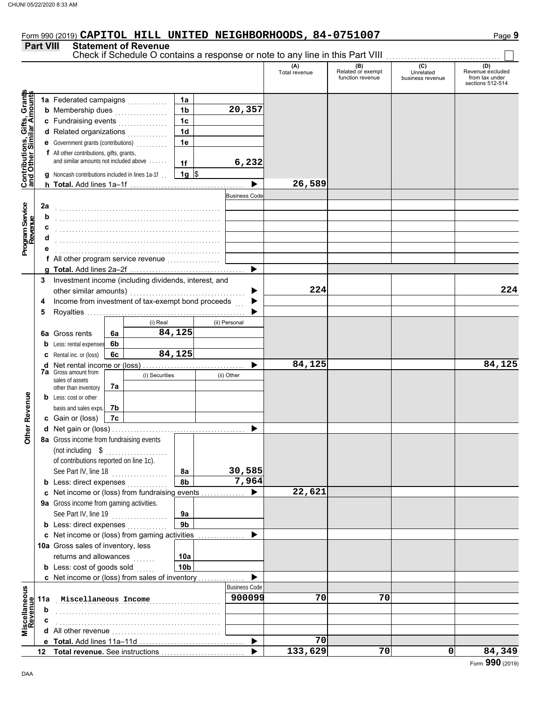# Form 990 (2019) Page **9 CAPITOL HILL UNITED NEIGHBORHOODS, 84-0751007**

#### **Part VIII Statement of Revenue**

|                                                                  |     |                                                       |    |                |                | Check if Schedule O contains a response or note to any line in this Part VIII |                      |                                              |                                      |                                                               |
|------------------------------------------------------------------|-----|-------------------------------------------------------|----|----------------|----------------|-------------------------------------------------------------------------------|----------------------|----------------------------------------------|--------------------------------------|---------------------------------------------------------------|
|                                                                  |     |                                                       |    |                |                |                                                                               | (A)<br>Total revenue | (B)<br>Related or exempt<br>function revenue | (C)<br>Unrelated<br>business revenue | (D)<br>Revenue excluded<br>from tax under<br>sections 512-514 |
|                                                                  |     |                                                       |    |                | 1a             |                                                                               |                      |                                              |                                      |                                                               |
| <b>Contributions, Gifts, Grants</b><br>and Other Similar Amounts |     | <b>b</b> Membership dues                              |    |                | 1b             | 20,357                                                                        |                      |                                              |                                      |                                                               |
|                                                                  |     | c Fundraising events                                  |    |                | 1 <sub>c</sub> |                                                                               |                      |                                              |                                      |                                                               |
|                                                                  |     | d Related organizations                               |    |                | 1d             |                                                                               |                      |                                              |                                      |                                                               |
|                                                                  |     | <b>e</b> Government grants (contributions)            |    |                | 1e             |                                                                               |                      |                                              |                                      |                                                               |
|                                                                  |     | f All other contributions, gifts, grants,             |    |                |                |                                                                               |                      |                                              |                                      |                                                               |
|                                                                  |     | and similar amounts not included above                |    |                | 1f             | 6,232                                                                         |                      |                                              |                                      |                                                               |
|                                                                  |     | g Noncash contributions included in lines 1a-1f.      |    |                | $1g$ \$        |                                                                               |                      |                                              |                                      |                                                               |
|                                                                  |     |                                                       |    |                |                |                                                                               | 26,589               |                                              |                                      |                                                               |
|                                                                  |     |                                                       |    |                |                | <b>Business Code</b>                                                          |                      |                                              |                                      |                                                               |
|                                                                  | 2a  |                                                       |    |                |                |                                                                               |                      |                                              |                                      |                                                               |
| Program Service<br>Revenue                                       | b   |                                                       |    |                |                |                                                                               |                      |                                              |                                      |                                                               |
|                                                                  | c   |                                                       |    |                |                |                                                                               |                      |                                              |                                      |                                                               |
|                                                                  |     |                                                       |    |                |                |                                                                               |                      |                                              |                                      |                                                               |
|                                                                  |     |                                                       |    |                |                |                                                                               |                      |                                              |                                      |                                                               |
|                                                                  |     | f All other program service revenue                   |    |                |                |                                                                               |                      |                                              |                                      |                                                               |
|                                                                  |     |                                                       |    |                |                | ▶                                                                             |                      |                                              |                                      |                                                               |
|                                                                  | 3   | Investment income (including dividends, interest, and |    |                |                |                                                                               |                      |                                              |                                      |                                                               |
|                                                                  |     | other similar amounts)                                |    |                |                |                                                                               | 224                  |                                              |                                      | 224                                                           |
|                                                                  | 4   | Income from investment of tax-exempt bond proceeds    |    |                |                |                                                                               |                      |                                              |                                      |                                                               |
|                                                                  | 5   |                                                       |    |                |                |                                                                               |                      |                                              |                                      |                                                               |
|                                                                  |     |                                                       |    | (i) Real       |                | (ii) Personal                                                                 |                      |                                              |                                      |                                                               |
|                                                                  |     | 6a Gross rents                                        | 6a |                | 84,125         |                                                                               |                      |                                              |                                      |                                                               |
|                                                                  |     | <b>b</b> Less: rental expenses                        | 6b |                |                |                                                                               |                      |                                              |                                      |                                                               |
|                                                                  |     | <b>c</b> Rental inc. or (loss)                        | 6с |                | 84,125         |                                                                               |                      |                                              |                                      |                                                               |
|                                                                  |     |                                                       |    |                |                |                                                                               | 84,125               |                                              |                                      | 84,125                                                        |
|                                                                  |     | <b>7a</b> Gross amount from                           |    | (i) Securities |                | (ii) Other                                                                    |                      |                                              |                                      |                                                               |
|                                                                  |     | sales of assets<br>other than inventory               | 7а |                |                |                                                                               |                      |                                              |                                      |                                                               |
|                                                                  |     | <b>b</b> Less: cost or other                          |    |                |                |                                                                               |                      |                                              |                                      |                                                               |
| <b>Other Revenue</b>                                             |     | basis and sales exps.                                 | 7b |                |                |                                                                               |                      |                                              |                                      |                                                               |
|                                                                  |     | c Gain or (loss)                                      | 7c |                |                |                                                                               |                      |                                              |                                      |                                                               |
|                                                                  |     |                                                       |    |                |                |                                                                               |                      |                                              |                                      |                                                               |
|                                                                  |     | 8a Gross income from fundraising events               |    |                |                |                                                                               |                      |                                              |                                      |                                                               |
|                                                                  |     | (not including \$                                     |    |                |                |                                                                               |                      |                                              |                                      |                                                               |
|                                                                  |     | of contributions reported on line 1c).                |    |                |                |                                                                               |                      |                                              |                                      |                                                               |
|                                                                  |     | See Part IV, line 18                                  |    |                | 8а             | 30,585                                                                        |                      |                                              |                                      |                                                               |
|                                                                  |     | <b>b</b> Less: direct expenses                        |    |                | 8b             | 7,964                                                                         |                      |                                              |                                      |                                                               |
|                                                                  |     | c Net income or (loss) from fundraising events        |    |                |                |                                                                               | 22,621               |                                              |                                      |                                                               |
|                                                                  |     | 9a Gross income from gaming activities.               |    |                |                |                                                                               |                      |                                              |                                      |                                                               |
|                                                                  |     | See Part IV, line 19                                  |    |                | 9a             |                                                                               |                      |                                              |                                      |                                                               |
|                                                                  |     | <b>b</b> Less: direct expenses                        |    |                | 9b             |                                                                               |                      |                                              |                                      |                                                               |
|                                                                  |     | c Net income or (loss) from gaming activities         |    |                |                | .                                                                             |                      |                                              |                                      |                                                               |
|                                                                  |     | 10a Gross sales of inventory, less                    |    |                |                |                                                                               |                      |                                              |                                      |                                                               |
|                                                                  |     | returns and allowances                                |    | .              | 10a            |                                                                               |                      |                                              |                                      |                                                               |
|                                                                  |     | <b>b</b> Less: cost of goods sold                     |    |                | 10b            |                                                                               |                      |                                              |                                      |                                                               |
|                                                                  |     | <b>c</b> Net income or (loss) from sales of inventory |    |                |                |                                                                               |                      |                                              |                                      |                                                               |
|                                                                  |     |                                                       |    |                |                | <b>Business Code</b>                                                          |                      |                                              |                                      |                                                               |
| Miscellaneous<br>Revenue                                         | 11a | Miscellaneous Income                                  |    |                |                | 900099                                                                        | 70                   | 70                                           |                                      |                                                               |
|                                                                  | b   |                                                       |    |                |                |                                                                               |                      |                                              |                                      |                                                               |
|                                                                  | c   |                                                       |    |                |                |                                                                               |                      |                                              |                                      |                                                               |
|                                                                  |     |                                                       |    |                |                |                                                                               |                      |                                              |                                      |                                                               |
|                                                                  |     |                                                       |    |                |                | ▶                                                                             | 70                   |                                              |                                      |                                                               |
|                                                                  | 12  | Total revenue. See instructions                       |    |                |                |                                                                               | 133,629              | 70                                           | 0                                    | 84,349                                                        |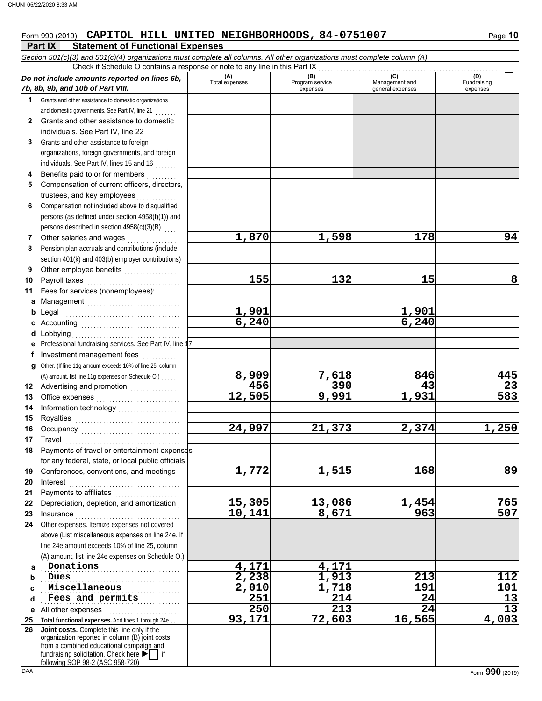#### **Part IX Statement of Functional Expenses** Form 990 (2019) **CAPITOL HILL UNITED NEIGHBORHOODS, 84-0751007** Page 10

|    | Check if Schedule O contains a response or note to any line in this Part IX                                                                |                       |                        |                       |                    |
|----|--------------------------------------------------------------------------------------------------------------------------------------------|-----------------------|------------------------|-----------------------|--------------------|
|    | Do not include amounts reported on lines 6b,                                                                                               | (A)<br>Total expenses | (B)<br>Program service | (C)<br>Management and | (D)<br>Fundraising |
|    | 7b, 8b, 9b, and 10b of Part VIII.                                                                                                          |                       | expenses               | general expenses      | expenses           |
| 1  | Grants and other assistance to domestic organizations                                                                                      |                       |                        |                       |                    |
|    | and domestic governments. See Part IV, line 21                                                                                             |                       |                        |                       |                    |
| 2  | Grants and other assistance to domestic                                                                                                    |                       |                        |                       |                    |
|    | individuals. See Part IV, line 22                                                                                                          |                       |                        |                       |                    |
| 3  | Grants and other assistance to foreign                                                                                                     |                       |                        |                       |                    |
|    | organizations, foreign governments, and foreign                                                                                            |                       |                        |                       |                    |
|    | individuals. See Part IV, lines 15 and 16                                                                                                  |                       |                        |                       |                    |
| 4  | Benefits paid to or for members<br>.                                                                                                       |                       |                        |                       |                    |
| 5  | Compensation of current officers, directors,                                                                                               |                       |                        |                       |                    |
|    | trustees, and key employees                                                                                                                |                       |                        |                       |                    |
| 6  | Compensation not included above to disqualified                                                                                            |                       |                        |                       |                    |
|    | persons (as defined under section 4958(f)(1)) and                                                                                          |                       |                        |                       |                    |
|    | persons described in section 4958(c)(3)(B)                                                                                                 |                       |                        |                       |                    |
| 7  | Other salaries and wages                                                                                                                   | 1,870                 | 1,598                  | 178                   | 94                 |
| 8  | Pension plan accruals and contributions (include                                                                                           |                       |                        |                       |                    |
|    | section 401(k) and 403(b) employer contributions)                                                                                          |                       |                        |                       |                    |
| 9  | Other employee benefits                                                                                                                    |                       |                        |                       |                    |
| 10 | Payroll taxes                                                                                                                              | 155                   | 132                    | 15                    | 8                  |
| 11 | Fees for services (nonemployees):                                                                                                          |                       |                        |                       |                    |
| a  | Management                                                                                                                                 |                       |                        |                       |                    |
| b  |                                                                                                                                            | 1,901                 |                        | 1,901                 |                    |
|    |                                                                                                                                            | 6,240                 |                        | 6, 240                |                    |
| d  | Lobbying                                                                                                                                   |                       |                        |                       |                    |
|    | e Professional fundraising services. See Part IV, line 17                                                                                  |                       |                        |                       |                    |
| f  | Investment management fees                                                                                                                 |                       |                        |                       |                    |
|    | g Other. (If line 11g amount exceeds 10% of line 25, column                                                                                |                       |                        |                       |                    |
|    | (A) amount, list line 11g expenses on Schedule O.)                                                                                         | 8,909                 | 7,618                  | 846                   | 445                |
| 12 | Advertising and promotion [1] [1] Advertising and promotion                                                                                | 456                   | 390                    | 43                    | 23                 |
| 13 |                                                                                                                                            | 12,505                | 9,991                  | 1,931                 | 583                |
| 14 |                                                                                                                                            |                       |                        |                       |                    |
| 15 |                                                                                                                                            |                       |                        |                       |                    |
| 16 |                                                                                                                                            | 24,997                | 21,373                 | 2,374                 | 1,250              |
| 17 | Travel                                                                                                                                     |                       |                        |                       |                    |
| 18 |                                                                                                                                            |                       |                        |                       |                    |
|    | Payments of travel or entertainment expenses<br>for any federal, state, or local public officials                                          |                       |                        |                       |                    |
|    |                                                                                                                                            | 1,772                 | 1,515                  | 168                   | 89                 |
| 19 | Conferences, conventions, and meetings                                                                                                     |                       |                        |                       |                    |
| 20 | Interest                                                                                                                                   |                       |                        |                       |                    |
| 21 | Payments to affiliates [11] contains a set of the set of the set of the set of the set of the set of the set o                             |                       |                        |                       |                    |
| 22 | Depreciation, depletion, and amortization                                                                                                  | 15,305                | 13,086                 | 1,454                 | 765                |
| 23 | Insurance <b>Manual</b>                                                                                                                    | 10,141                | 8,671                  | 963                   | 507                |
| 24 | Other expenses. Itemize expenses not covered                                                                                               |                       |                        |                       |                    |
|    | above (List miscellaneous expenses on line 24e. If                                                                                         |                       |                        |                       |                    |
|    | line 24e amount exceeds 10% of line 25, column                                                                                             |                       |                        |                       |                    |
|    | (A) amount, list line 24e expenses on Schedule O.)                                                                                         |                       |                        |                       |                    |
| a  | Donations                                                                                                                                  | 4,171                 | 4,171                  |                       |                    |
| b  | Dues                                                                                                                                       | 2,238                 | 1,913                  | 213                   | 112                |
| c  | Miscellaneous                                                                                                                              | 2,010                 | 1,718                  | 191                   | 101                |
| d  | Fees and permits                                                                                                                           | 251                   | 214                    | 24                    | 13                 |
| е  | All other expenses                                                                                                                         | 250                   | 213                    | 24                    | $\overline{13}$    |
| 25 | Total functional expenses. Add lines 1 through 24e                                                                                         | 93,171                | 72,603                 | 16,565                | 4,003              |
| 26 | Joint costs. Complete this line only if the<br>organization reported in column (B) joint costs<br>from a combined educational campaign and |                       |                        |                       |                    |
|    | fundraising solicitation. Check here $\blacktriangleright$   if<br>following SOP 98-2 (ASC 958-720)                                        |                       |                        |                       |                    |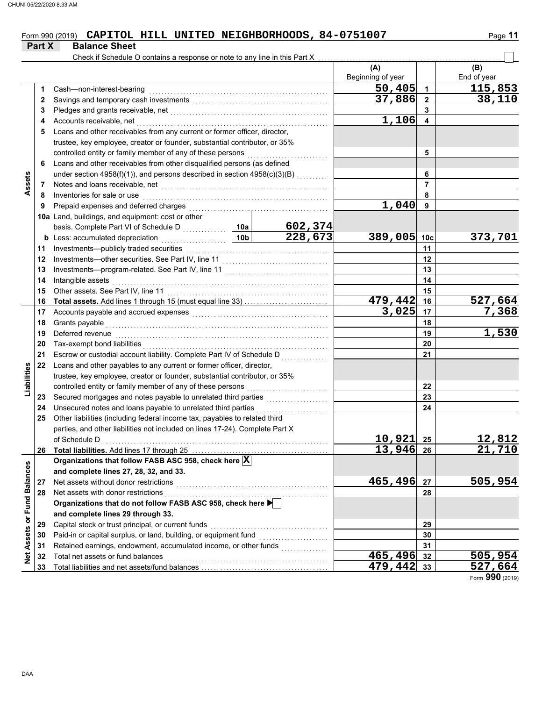#### Form 990 (2019) **CAPITOL HILL UNITED NEIGHBORHOODS, 84-0751007** Page 11 **CAPITOL HILL UNITED NEIGHBORHOODS, 84-0751007**

| Check if Schedule O contains a response or note to any line in this Part X<br>(A)<br>(B)<br>Beginning of year<br>End of year<br>$\overline{50}$ , 405<br>115,853<br>1<br>Cash-non-interest-bearing<br>1<br>37,886<br>$\mathbf{2}$<br>2<br>3<br>3<br>1,106<br>4<br>Accounts receivable, net<br>4<br>Loans and other receivables from any current or former officer, director,<br>5<br>trustee, key employee, creator or founder, substantial contributor, or 35%<br>controlled entity or family member of any of these persons<br>5<br>Loans and other receivables from other disqualified persons (as defined<br>6<br>under section 4958(f)(1)), and persons described in section 4958(c)(3)(B)<br>6<br>Assets<br>$\overline{7}$<br>Notes and loans receivable, net <b>consider the constant of the constant of the set of the constant of the constant of the constant of the constant of the constant of the constant of the constant of the constant of the const</b><br>7<br>8<br>Inventories for sale or use<br>8<br>1,040<br>9<br>Prepaid expenses and deferred charges<br>9<br>10a Land, buildings, and equipment: cost or other<br>602,374<br>basis. Complete Part VI of Schedule D<br>10a<br>228,673<br>389,005<br>10 <sub>b</sub><br>Less: accumulated depreciation<br>10 <sub>c</sub><br>b<br>.<br>Investments-publicly traded securities<br>11<br>11<br>12<br>12<br>13<br>13<br>Intangible assets<br>14<br>14<br>15<br>Other assets. See Part IV. line 11<br>15<br>527,664<br>479,442<br>16<br>16<br>3,025<br>7,368<br>17<br>17<br>Accounts payable and accrued expenses [[11] [11] Accounts payable and accrued expenses [[11] Accounts are not<br>18<br>Grants payable<br>18<br>1,530<br>19<br>Deferred revenue<br>19<br>20<br>20<br>Tax-exempt bond liabilities<br>21<br>21<br>Escrow or custodial account liability. Complete Part IV of Schedule D<br>22<br>Loans and other payables to any current or former officer, director,<br>Liabilities<br>trustee, key employee, creator or founder, substantial contributor, or 35%<br>controlled entity or family member of any of these persons<br>22<br>23<br>23<br>24<br>Unsecured notes and loans payable to unrelated third parties<br>24<br>Other liabilities (including federal income tax, payables to related third<br>25<br>parties, and other liabilities not included on lines 17-24). Complete Part X<br>10,921<br>12,812<br>25<br>of Schedule D<br>21,710<br>13,946 26<br>26<br>Organizations that follow FASB ASC 958, check here $\vert \overline{\mathrm{X}} \vert$<br>Net Assets or Fund Balances<br>and complete lines 27, 28, 32, and 33.<br>465,496<br>505,954<br>Net assets without donor restrictions<br>27<br>27<br>Net assets with donor restrictions<br>28<br>28<br>Organizations that do not follow FASB ASC 958, check here ▶<br>and complete lines 29 through 33.<br>Capital stock or trust principal, or current funds<br>29<br>29<br>Paid-in or capital surplus, or land, building, or equipment fund<br>30<br>30<br>Retained earnings, endowment, accumulated income, or other funds<br>31<br>31<br>465,496<br>505,954<br>Total net assets or fund balances<br>32<br>32<br>$479, 442$ 33<br>33 | Part X | <b>Balance Sheet</b> |  |  |         |
|--------------------------------------------------------------------------------------------------------------------------------------------------------------------------------------------------------------------------------------------------------------------------------------------------------------------------------------------------------------------------------------------------------------------------------------------------------------------------------------------------------------------------------------------------------------------------------------------------------------------------------------------------------------------------------------------------------------------------------------------------------------------------------------------------------------------------------------------------------------------------------------------------------------------------------------------------------------------------------------------------------------------------------------------------------------------------------------------------------------------------------------------------------------------------------------------------------------------------------------------------------------------------------------------------------------------------------------------------------------------------------------------------------------------------------------------------------------------------------------------------------------------------------------------------------------------------------------------------------------------------------------------------------------------------------------------------------------------------------------------------------------------------------------------------------------------------------------------------------------------------------------------------------------------------------------------------------------------------------------------------------------------------------------------------------------------------------------------------------------------------------------------------------------------------------------------------------------------------------------------------------------------------------------------------------------------------------------------------------------------------------------------------------------------------------------------------------------------------------------------------------------------------------------------------------------------------------------------------------------------------------------------------------------------------------------------------------------------------------------------------------------------------------------------------------------------------------------------------------------------------------------------------------------------------------------------------------------------------------------------------------------------------------------------------------------------------------------------------------------------------------------------------------------------------------------------|--------|----------------------|--|--|---------|
|                                                                                                                                                                                                                                                                                                                                                                                                                                                                                                                                                                                                                                                                                                                                                                                                                                                                                                                                                                                                                                                                                                                                                                                                                                                                                                                                                                                                                                                                                                                                                                                                                                                                                                                                                                                                                                                                                                                                                                                                                                                                                                                                                                                                                                                                                                                                                                                                                                                                                                                                                                                                                                                                                                                                                                                                                                                                                                                                                                                                                                                                                                                                                                                            |        |                      |  |  |         |
|                                                                                                                                                                                                                                                                                                                                                                                                                                                                                                                                                                                                                                                                                                                                                                                                                                                                                                                                                                                                                                                                                                                                                                                                                                                                                                                                                                                                                                                                                                                                                                                                                                                                                                                                                                                                                                                                                                                                                                                                                                                                                                                                                                                                                                                                                                                                                                                                                                                                                                                                                                                                                                                                                                                                                                                                                                                                                                                                                                                                                                                                                                                                                                                            |        |                      |  |  |         |
|                                                                                                                                                                                                                                                                                                                                                                                                                                                                                                                                                                                                                                                                                                                                                                                                                                                                                                                                                                                                                                                                                                                                                                                                                                                                                                                                                                                                                                                                                                                                                                                                                                                                                                                                                                                                                                                                                                                                                                                                                                                                                                                                                                                                                                                                                                                                                                                                                                                                                                                                                                                                                                                                                                                                                                                                                                                                                                                                                                                                                                                                                                                                                                                            |        |                      |  |  |         |
|                                                                                                                                                                                                                                                                                                                                                                                                                                                                                                                                                                                                                                                                                                                                                                                                                                                                                                                                                                                                                                                                                                                                                                                                                                                                                                                                                                                                                                                                                                                                                                                                                                                                                                                                                                                                                                                                                                                                                                                                                                                                                                                                                                                                                                                                                                                                                                                                                                                                                                                                                                                                                                                                                                                                                                                                                                                                                                                                                                                                                                                                                                                                                                                            |        |                      |  |  | 38,110  |
|                                                                                                                                                                                                                                                                                                                                                                                                                                                                                                                                                                                                                                                                                                                                                                                                                                                                                                                                                                                                                                                                                                                                                                                                                                                                                                                                                                                                                                                                                                                                                                                                                                                                                                                                                                                                                                                                                                                                                                                                                                                                                                                                                                                                                                                                                                                                                                                                                                                                                                                                                                                                                                                                                                                                                                                                                                                                                                                                                                                                                                                                                                                                                                                            |        |                      |  |  |         |
|                                                                                                                                                                                                                                                                                                                                                                                                                                                                                                                                                                                                                                                                                                                                                                                                                                                                                                                                                                                                                                                                                                                                                                                                                                                                                                                                                                                                                                                                                                                                                                                                                                                                                                                                                                                                                                                                                                                                                                                                                                                                                                                                                                                                                                                                                                                                                                                                                                                                                                                                                                                                                                                                                                                                                                                                                                                                                                                                                                                                                                                                                                                                                                                            |        |                      |  |  |         |
|                                                                                                                                                                                                                                                                                                                                                                                                                                                                                                                                                                                                                                                                                                                                                                                                                                                                                                                                                                                                                                                                                                                                                                                                                                                                                                                                                                                                                                                                                                                                                                                                                                                                                                                                                                                                                                                                                                                                                                                                                                                                                                                                                                                                                                                                                                                                                                                                                                                                                                                                                                                                                                                                                                                                                                                                                                                                                                                                                                                                                                                                                                                                                                                            |        |                      |  |  |         |
|                                                                                                                                                                                                                                                                                                                                                                                                                                                                                                                                                                                                                                                                                                                                                                                                                                                                                                                                                                                                                                                                                                                                                                                                                                                                                                                                                                                                                                                                                                                                                                                                                                                                                                                                                                                                                                                                                                                                                                                                                                                                                                                                                                                                                                                                                                                                                                                                                                                                                                                                                                                                                                                                                                                                                                                                                                                                                                                                                                                                                                                                                                                                                                                            |        |                      |  |  |         |
|                                                                                                                                                                                                                                                                                                                                                                                                                                                                                                                                                                                                                                                                                                                                                                                                                                                                                                                                                                                                                                                                                                                                                                                                                                                                                                                                                                                                                                                                                                                                                                                                                                                                                                                                                                                                                                                                                                                                                                                                                                                                                                                                                                                                                                                                                                                                                                                                                                                                                                                                                                                                                                                                                                                                                                                                                                                                                                                                                                                                                                                                                                                                                                                            |        |                      |  |  |         |
|                                                                                                                                                                                                                                                                                                                                                                                                                                                                                                                                                                                                                                                                                                                                                                                                                                                                                                                                                                                                                                                                                                                                                                                                                                                                                                                                                                                                                                                                                                                                                                                                                                                                                                                                                                                                                                                                                                                                                                                                                                                                                                                                                                                                                                                                                                                                                                                                                                                                                                                                                                                                                                                                                                                                                                                                                                                                                                                                                                                                                                                                                                                                                                                            |        |                      |  |  |         |
|                                                                                                                                                                                                                                                                                                                                                                                                                                                                                                                                                                                                                                                                                                                                                                                                                                                                                                                                                                                                                                                                                                                                                                                                                                                                                                                                                                                                                                                                                                                                                                                                                                                                                                                                                                                                                                                                                                                                                                                                                                                                                                                                                                                                                                                                                                                                                                                                                                                                                                                                                                                                                                                                                                                                                                                                                                                                                                                                                                                                                                                                                                                                                                                            |        |                      |  |  |         |
|                                                                                                                                                                                                                                                                                                                                                                                                                                                                                                                                                                                                                                                                                                                                                                                                                                                                                                                                                                                                                                                                                                                                                                                                                                                                                                                                                                                                                                                                                                                                                                                                                                                                                                                                                                                                                                                                                                                                                                                                                                                                                                                                                                                                                                                                                                                                                                                                                                                                                                                                                                                                                                                                                                                                                                                                                                                                                                                                                                                                                                                                                                                                                                                            |        |                      |  |  |         |
|                                                                                                                                                                                                                                                                                                                                                                                                                                                                                                                                                                                                                                                                                                                                                                                                                                                                                                                                                                                                                                                                                                                                                                                                                                                                                                                                                                                                                                                                                                                                                                                                                                                                                                                                                                                                                                                                                                                                                                                                                                                                                                                                                                                                                                                                                                                                                                                                                                                                                                                                                                                                                                                                                                                                                                                                                                                                                                                                                                                                                                                                                                                                                                                            |        |                      |  |  |         |
|                                                                                                                                                                                                                                                                                                                                                                                                                                                                                                                                                                                                                                                                                                                                                                                                                                                                                                                                                                                                                                                                                                                                                                                                                                                                                                                                                                                                                                                                                                                                                                                                                                                                                                                                                                                                                                                                                                                                                                                                                                                                                                                                                                                                                                                                                                                                                                                                                                                                                                                                                                                                                                                                                                                                                                                                                                                                                                                                                                                                                                                                                                                                                                                            |        |                      |  |  |         |
|                                                                                                                                                                                                                                                                                                                                                                                                                                                                                                                                                                                                                                                                                                                                                                                                                                                                                                                                                                                                                                                                                                                                                                                                                                                                                                                                                                                                                                                                                                                                                                                                                                                                                                                                                                                                                                                                                                                                                                                                                                                                                                                                                                                                                                                                                                                                                                                                                                                                                                                                                                                                                                                                                                                                                                                                                                                                                                                                                                                                                                                                                                                                                                                            |        |                      |  |  |         |
|                                                                                                                                                                                                                                                                                                                                                                                                                                                                                                                                                                                                                                                                                                                                                                                                                                                                                                                                                                                                                                                                                                                                                                                                                                                                                                                                                                                                                                                                                                                                                                                                                                                                                                                                                                                                                                                                                                                                                                                                                                                                                                                                                                                                                                                                                                                                                                                                                                                                                                                                                                                                                                                                                                                                                                                                                                                                                                                                                                                                                                                                                                                                                                                            |        |                      |  |  |         |
|                                                                                                                                                                                                                                                                                                                                                                                                                                                                                                                                                                                                                                                                                                                                                                                                                                                                                                                                                                                                                                                                                                                                                                                                                                                                                                                                                                                                                                                                                                                                                                                                                                                                                                                                                                                                                                                                                                                                                                                                                                                                                                                                                                                                                                                                                                                                                                                                                                                                                                                                                                                                                                                                                                                                                                                                                                                                                                                                                                                                                                                                                                                                                                                            |        |                      |  |  | 373,701 |
|                                                                                                                                                                                                                                                                                                                                                                                                                                                                                                                                                                                                                                                                                                                                                                                                                                                                                                                                                                                                                                                                                                                                                                                                                                                                                                                                                                                                                                                                                                                                                                                                                                                                                                                                                                                                                                                                                                                                                                                                                                                                                                                                                                                                                                                                                                                                                                                                                                                                                                                                                                                                                                                                                                                                                                                                                                                                                                                                                                                                                                                                                                                                                                                            |        |                      |  |  |         |
|                                                                                                                                                                                                                                                                                                                                                                                                                                                                                                                                                                                                                                                                                                                                                                                                                                                                                                                                                                                                                                                                                                                                                                                                                                                                                                                                                                                                                                                                                                                                                                                                                                                                                                                                                                                                                                                                                                                                                                                                                                                                                                                                                                                                                                                                                                                                                                                                                                                                                                                                                                                                                                                                                                                                                                                                                                                                                                                                                                                                                                                                                                                                                                                            |        |                      |  |  |         |
|                                                                                                                                                                                                                                                                                                                                                                                                                                                                                                                                                                                                                                                                                                                                                                                                                                                                                                                                                                                                                                                                                                                                                                                                                                                                                                                                                                                                                                                                                                                                                                                                                                                                                                                                                                                                                                                                                                                                                                                                                                                                                                                                                                                                                                                                                                                                                                                                                                                                                                                                                                                                                                                                                                                                                                                                                                                                                                                                                                                                                                                                                                                                                                                            |        |                      |  |  |         |
|                                                                                                                                                                                                                                                                                                                                                                                                                                                                                                                                                                                                                                                                                                                                                                                                                                                                                                                                                                                                                                                                                                                                                                                                                                                                                                                                                                                                                                                                                                                                                                                                                                                                                                                                                                                                                                                                                                                                                                                                                                                                                                                                                                                                                                                                                                                                                                                                                                                                                                                                                                                                                                                                                                                                                                                                                                                                                                                                                                                                                                                                                                                                                                                            |        |                      |  |  |         |
|                                                                                                                                                                                                                                                                                                                                                                                                                                                                                                                                                                                                                                                                                                                                                                                                                                                                                                                                                                                                                                                                                                                                                                                                                                                                                                                                                                                                                                                                                                                                                                                                                                                                                                                                                                                                                                                                                                                                                                                                                                                                                                                                                                                                                                                                                                                                                                                                                                                                                                                                                                                                                                                                                                                                                                                                                                                                                                                                                                                                                                                                                                                                                                                            |        |                      |  |  |         |
|                                                                                                                                                                                                                                                                                                                                                                                                                                                                                                                                                                                                                                                                                                                                                                                                                                                                                                                                                                                                                                                                                                                                                                                                                                                                                                                                                                                                                                                                                                                                                                                                                                                                                                                                                                                                                                                                                                                                                                                                                                                                                                                                                                                                                                                                                                                                                                                                                                                                                                                                                                                                                                                                                                                                                                                                                                                                                                                                                                                                                                                                                                                                                                                            |        |                      |  |  |         |
|                                                                                                                                                                                                                                                                                                                                                                                                                                                                                                                                                                                                                                                                                                                                                                                                                                                                                                                                                                                                                                                                                                                                                                                                                                                                                                                                                                                                                                                                                                                                                                                                                                                                                                                                                                                                                                                                                                                                                                                                                                                                                                                                                                                                                                                                                                                                                                                                                                                                                                                                                                                                                                                                                                                                                                                                                                                                                                                                                                                                                                                                                                                                                                                            |        |                      |  |  |         |
|                                                                                                                                                                                                                                                                                                                                                                                                                                                                                                                                                                                                                                                                                                                                                                                                                                                                                                                                                                                                                                                                                                                                                                                                                                                                                                                                                                                                                                                                                                                                                                                                                                                                                                                                                                                                                                                                                                                                                                                                                                                                                                                                                                                                                                                                                                                                                                                                                                                                                                                                                                                                                                                                                                                                                                                                                                                                                                                                                                                                                                                                                                                                                                                            |        |                      |  |  |         |
|                                                                                                                                                                                                                                                                                                                                                                                                                                                                                                                                                                                                                                                                                                                                                                                                                                                                                                                                                                                                                                                                                                                                                                                                                                                                                                                                                                                                                                                                                                                                                                                                                                                                                                                                                                                                                                                                                                                                                                                                                                                                                                                                                                                                                                                                                                                                                                                                                                                                                                                                                                                                                                                                                                                                                                                                                                                                                                                                                                                                                                                                                                                                                                                            |        |                      |  |  |         |
|                                                                                                                                                                                                                                                                                                                                                                                                                                                                                                                                                                                                                                                                                                                                                                                                                                                                                                                                                                                                                                                                                                                                                                                                                                                                                                                                                                                                                                                                                                                                                                                                                                                                                                                                                                                                                                                                                                                                                                                                                                                                                                                                                                                                                                                                                                                                                                                                                                                                                                                                                                                                                                                                                                                                                                                                                                                                                                                                                                                                                                                                                                                                                                                            |        |                      |  |  |         |
|                                                                                                                                                                                                                                                                                                                                                                                                                                                                                                                                                                                                                                                                                                                                                                                                                                                                                                                                                                                                                                                                                                                                                                                                                                                                                                                                                                                                                                                                                                                                                                                                                                                                                                                                                                                                                                                                                                                                                                                                                                                                                                                                                                                                                                                                                                                                                                                                                                                                                                                                                                                                                                                                                                                                                                                                                                                                                                                                                                                                                                                                                                                                                                                            |        |                      |  |  |         |
|                                                                                                                                                                                                                                                                                                                                                                                                                                                                                                                                                                                                                                                                                                                                                                                                                                                                                                                                                                                                                                                                                                                                                                                                                                                                                                                                                                                                                                                                                                                                                                                                                                                                                                                                                                                                                                                                                                                                                                                                                                                                                                                                                                                                                                                                                                                                                                                                                                                                                                                                                                                                                                                                                                                                                                                                                                                                                                                                                                                                                                                                                                                                                                                            |        |                      |  |  |         |
|                                                                                                                                                                                                                                                                                                                                                                                                                                                                                                                                                                                                                                                                                                                                                                                                                                                                                                                                                                                                                                                                                                                                                                                                                                                                                                                                                                                                                                                                                                                                                                                                                                                                                                                                                                                                                                                                                                                                                                                                                                                                                                                                                                                                                                                                                                                                                                                                                                                                                                                                                                                                                                                                                                                                                                                                                                                                                                                                                                                                                                                                                                                                                                                            |        |                      |  |  |         |
|                                                                                                                                                                                                                                                                                                                                                                                                                                                                                                                                                                                                                                                                                                                                                                                                                                                                                                                                                                                                                                                                                                                                                                                                                                                                                                                                                                                                                                                                                                                                                                                                                                                                                                                                                                                                                                                                                                                                                                                                                                                                                                                                                                                                                                                                                                                                                                                                                                                                                                                                                                                                                                                                                                                                                                                                                                                                                                                                                                                                                                                                                                                                                                                            |        |                      |  |  |         |
|                                                                                                                                                                                                                                                                                                                                                                                                                                                                                                                                                                                                                                                                                                                                                                                                                                                                                                                                                                                                                                                                                                                                                                                                                                                                                                                                                                                                                                                                                                                                                                                                                                                                                                                                                                                                                                                                                                                                                                                                                                                                                                                                                                                                                                                                                                                                                                                                                                                                                                                                                                                                                                                                                                                                                                                                                                                                                                                                                                                                                                                                                                                                                                                            |        |                      |  |  |         |
|                                                                                                                                                                                                                                                                                                                                                                                                                                                                                                                                                                                                                                                                                                                                                                                                                                                                                                                                                                                                                                                                                                                                                                                                                                                                                                                                                                                                                                                                                                                                                                                                                                                                                                                                                                                                                                                                                                                                                                                                                                                                                                                                                                                                                                                                                                                                                                                                                                                                                                                                                                                                                                                                                                                                                                                                                                                                                                                                                                                                                                                                                                                                                                                            |        |                      |  |  |         |
|                                                                                                                                                                                                                                                                                                                                                                                                                                                                                                                                                                                                                                                                                                                                                                                                                                                                                                                                                                                                                                                                                                                                                                                                                                                                                                                                                                                                                                                                                                                                                                                                                                                                                                                                                                                                                                                                                                                                                                                                                                                                                                                                                                                                                                                                                                                                                                                                                                                                                                                                                                                                                                                                                                                                                                                                                                                                                                                                                                                                                                                                                                                                                                                            |        |                      |  |  |         |
|                                                                                                                                                                                                                                                                                                                                                                                                                                                                                                                                                                                                                                                                                                                                                                                                                                                                                                                                                                                                                                                                                                                                                                                                                                                                                                                                                                                                                                                                                                                                                                                                                                                                                                                                                                                                                                                                                                                                                                                                                                                                                                                                                                                                                                                                                                                                                                                                                                                                                                                                                                                                                                                                                                                                                                                                                                                                                                                                                                                                                                                                                                                                                                                            |        |                      |  |  |         |
|                                                                                                                                                                                                                                                                                                                                                                                                                                                                                                                                                                                                                                                                                                                                                                                                                                                                                                                                                                                                                                                                                                                                                                                                                                                                                                                                                                                                                                                                                                                                                                                                                                                                                                                                                                                                                                                                                                                                                                                                                                                                                                                                                                                                                                                                                                                                                                                                                                                                                                                                                                                                                                                                                                                                                                                                                                                                                                                                                                                                                                                                                                                                                                                            |        |                      |  |  |         |
|                                                                                                                                                                                                                                                                                                                                                                                                                                                                                                                                                                                                                                                                                                                                                                                                                                                                                                                                                                                                                                                                                                                                                                                                                                                                                                                                                                                                                                                                                                                                                                                                                                                                                                                                                                                                                                                                                                                                                                                                                                                                                                                                                                                                                                                                                                                                                                                                                                                                                                                                                                                                                                                                                                                                                                                                                                                                                                                                                                                                                                                                                                                                                                                            |        |                      |  |  |         |
|                                                                                                                                                                                                                                                                                                                                                                                                                                                                                                                                                                                                                                                                                                                                                                                                                                                                                                                                                                                                                                                                                                                                                                                                                                                                                                                                                                                                                                                                                                                                                                                                                                                                                                                                                                                                                                                                                                                                                                                                                                                                                                                                                                                                                                                                                                                                                                                                                                                                                                                                                                                                                                                                                                                                                                                                                                                                                                                                                                                                                                                                                                                                                                                            |        |                      |  |  |         |
|                                                                                                                                                                                                                                                                                                                                                                                                                                                                                                                                                                                                                                                                                                                                                                                                                                                                                                                                                                                                                                                                                                                                                                                                                                                                                                                                                                                                                                                                                                                                                                                                                                                                                                                                                                                                                                                                                                                                                                                                                                                                                                                                                                                                                                                                                                                                                                                                                                                                                                                                                                                                                                                                                                                                                                                                                                                                                                                                                                                                                                                                                                                                                                                            |        |                      |  |  |         |
|                                                                                                                                                                                                                                                                                                                                                                                                                                                                                                                                                                                                                                                                                                                                                                                                                                                                                                                                                                                                                                                                                                                                                                                                                                                                                                                                                                                                                                                                                                                                                                                                                                                                                                                                                                                                                                                                                                                                                                                                                                                                                                                                                                                                                                                                                                                                                                                                                                                                                                                                                                                                                                                                                                                                                                                                                                                                                                                                                                                                                                                                                                                                                                                            |        |                      |  |  |         |
|                                                                                                                                                                                                                                                                                                                                                                                                                                                                                                                                                                                                                                                                                                                                                                                                                                                                                                                                                                                                                                                                                                                                                                                                                                                                                                                                                                                                                                                                                                                                                                                                                                                                                                                                                                                                                                                                                                                                                                                                                                                                                                                                                                                                                                                                                                                                                                                                                                                                                                                                                                                                                                                                                                                                                                                                                                                                                                                                                                                                                                                                                                                                                                                            |        |                      |  |  |         |
|                                                                                                                                                                                                                                                                                                                                                                                                                                                                                                                                                                                                                                                                                                                                                                                                                                                                                                                                                                                                                                                                                                                                                                                                                                                                                                                                                                                                                                                                                                                                                                                                                                                                                                                                                                                                                                                                                                                                                                                                                                                                                                                                                                                                                                                                                                                                                                                                                                                                                                                                                                                                                                                                                                                                                                                                                                                                                                                                                                                                                                                                                                                                                                                            |        |                      |  |  |         |
|                                                                                                                                                                                                                                                                                                                                                                                                                                                                                                                                                                                                                                                                                                                                                                                                                                                                                                                                                                                                                                                                                                                                                                                                                                                                                                                                                                                                                                                                                                                                                                                                                                                                                                                                                                                                                                                                                                                                                                                                                                                                                                                                                                                                                                                                                                                                                                                                                                                                                                                                                                                                                                                                                                                                                                                                                                                                                                                                                                                                                                                                                                                                                                                            |        |                      |  |  |         |
|                                                                                                                                                                                                                                                                                                                                                                                                                                                                                                                                                                                                                                                                                                                                                                                                                                                                                                                                                                                                                                                                                                                                                                                                                                                                                                                                                                                                                                                                                                                                                                                                                                                                                                                                                                                                                                                                                                                                                                                                                                                                                                                                                                                                                                                                                                                                                                                                                                                                                                                                                                                                                                                                                                                                                                                                                                                                                                                                                                                                                                                                                                                                                                                            |        |                      |  |  |         |
|                                                                                                                                                                                                                                                                                                                                                                                                                                                                                                                                                                                                                                                                                                                                                                                                                                                                                                                                                                                                                                                                                                                                                                                                                                                                                                                                                                                                                                                                                                                                                                                                                                                                                                                                                                                                                                                                                                                                                                                                                                                                                                                                                                                                                                                                                                                                                                                                                                                                                                                                                                                                                                                                                                                                                                                                                                                                                                                                                                                                                                                                                                                                                                                            |        |                      |  |  |         |
|                                                                                                                                                                                                                                                                                                                                                                                                                                                                                                                                                                                                                                                                                                                                                                                                                                                                                                                                                                                                                                                                                                                                                                                                                                                                                                                                                                                                                                                                                                                                                                                                                                                                                                                                                                                                                                                                                                                                                                                                                                                                                                                                                                                                                                                                                                                                                                                                                                                                                                                                                                                                                                                                                                                                                                                                                                                                                                                                                                                                                                                                                                                                                                                            |        |                      |  |  |         |
|                                                                                                                                                                                                                                                                                                                                                                                                                                                                                                                                                                                                                                                                                                                                                                                                                                                                                                                                                                                                                                                                                                                                                                                                                                                                                                                                                                                                                                                                                                                                                                                                                                                                                                                                                                                                                                                                                                                                                                                                                                                                                                                                                                                                                                                                                                                                                                                                                                                                                                                                                                                                                                                                                                                                                                                                                                                                                                                                                                                                                                                                                                                                                                                            |        |                      |  |  | 527,664 |

Form **990** (2019)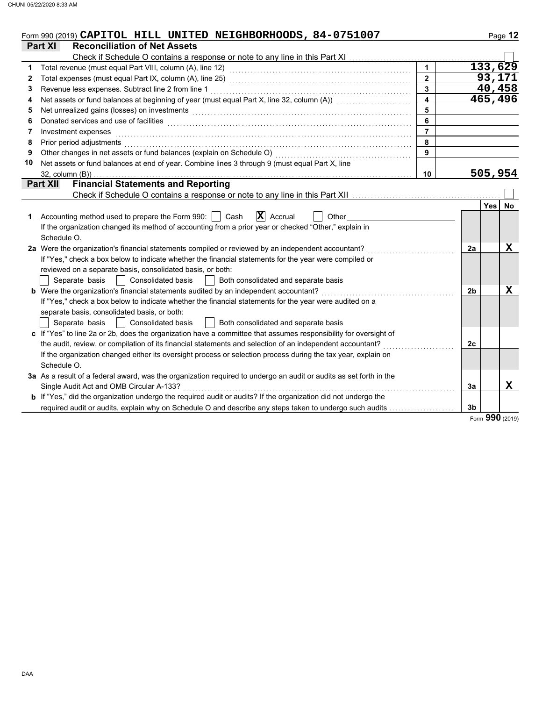|    | Form 990 (2019) CAPITOL HILL UNITED NEIGHBORHOODS, 84-0751007                                                                                                                                                                  |                         |                | Page 12          |
|----|--------------------------------------------------------------------------------------------------------------------------------------------------------------------------------------------------------------------------------|-------------------------|----------------|------------------|
|    | Part XI<br><b>Reconciliation of Net Assets</b>                                                                                                                                                                                 |                         |                |                  |
|    |                                                                                                                                                                                                                                |                         |                |                  |
| 1  |                                                                                                                                                                                                                                | $\mathbf{1}$            |                | 133,629          |
| 2  |                                                                                                                                                                                                                                | $\overline{2}$          |                | 93,171           |
| 3  |                                                                                                                                                                                                                                | $\overline{\mathbf{3}}$ |                | 40,458           |
| 4  | Net assets or fund balances at beginning of year (must equal Part X, line 32, column (A)) [[[[[[[[[[[[[[[[[[[                                                                                                                  | $\overline{4}$          |                | 465,496          |
| 5  | Net unrealized gains (losses) on investments [11] with the content of the content of the content of the content of the content of the content of the content of the content of the content of the content of the content of th |                         |                |                  |
| 6  | Donated services and use of facilities <b>constructs</b> and a service of the service of the services and use of facilities                                                                                                    | 6                       |                |                  |
| 7  | Investment expenses                                                                                                                                                                                                            |                         |                |                  |
| 8  | Prior period adjustments                                                                                                                                                                                                       | 8                       |                |                  |
| 9  | Other changes in net assets or fund balances (explain on Schedule O)                                                                                                                                                           | 9                       |                |                  |
| 10 | Net assets or fund balances at end of year. Combine lines 3 through 9 (must equal Part X, line                                                                                                                                 |                         |                |                  |
|    | $32$ , column $(B)$ )                                                                                                                                                                                                          | 10                      |                | 505,954          |
|    | <b>Financial Statements and Reporting</b><br><b>Part XII</b>                                                                                                                                                                   |                         |                |                  |
|    |                                                                                                                                                                                                                                |                         |                |                  |
|    |                                                                                                                                                                                                                                |                         |                | Yes<br><b>No</b> |
| 1. | $\mathbf{X}$ Accrual<br>Accounting method used to prepare the Form 990:<br>Cash<br>Other                                                                                                                                       |                         |                |                  |
|    | If the organization changed its method of accounting from a prior year or checked "Other," explain in                                                                                                                          |                         |                |                  |
|    | Schedule O.                                                                                                                                                                                                                    |                         |                |                  |
|    | 2a Were the organization's financial statements compiled or reviewed by an independent accountant?                                                                                                                             |                         | 2a             | X                |
|    | If "Yes," check a box below to indicate whether the financial statements for the year were compiled or                                                                                                                         |                         |                |                  |
|    | reviewed on a separate basis, consolidated basis, or both:                                                                                                                                                                     |                         |                |                  |
|    | <b>Consolidated basis</b><br>Separate basis<br>Both consolidated and separate basis                                                                                                                                            |                         |                |                  |
|    | b Were the organization's financial statements audited by an independent accountant?                                                                                                                                           |                         | 2 <sub>b</sub> | X                |
|    | If "Yes," check a box below to indicate whether the financial statements for the year were audited on a                                                                                                                        |                         |                |                  |
|    | separate basis, consolidated basis, or both:                                                                                                                                                                                   |                         |                |                  |
|    | <b>Consolidated basis</b><br>Both consolidated and separate basis<br>Separate basis<br>$\mathbf{I}$                                                                                                                            |                         |                |                  |
|    | c If "Yes" to line 2a or 2b, does the organization have a committee that assumes responsibility for oversight of                                                                                                               |                         |                |                  |
|    | the audit, review, or compilation of its financial statements and selection of an independent accountant?                                                                                                                      |                         | 2c             |                  |
|    | If the organization changed either its oversight process or selection process during the tax year, explain on                                                                                                                  |                         |                |                  |
|    | Schedule O.                                                                                                                                                                                                                    |                         |                |                  |
|    | 3a As a result of a federal award, was the organization required to undergo an audit or audits as set forth in the                                                                                                             |                         |                |                  |
|    | Single Audit Act and OMB Circular A-133?                                                                                                                                                                                       |                         | 3a             | $\mathbf x$      |
|    | <b>b</b> If "Yes," did the organization undergo the required audit or audits? If the organization did not undergo the                                                                                                          |                         |                |                  |
|    | required audit or audits, explain why on Schedule O and describe any steps taken to undergo such audits                                                                                                                        |                         | 3 <sub>b</sub> |                  |

Form **990** (2019)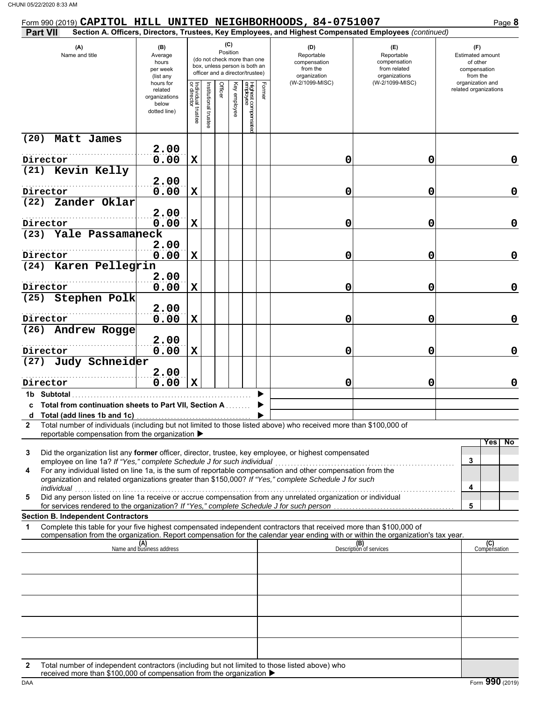| Section A. Officers, Directors, Trustees, Key Employees, and Highest Compensated Employees (continued)<br>(C)<br>(A)<br>(B)<br>(D)<br>(E)<br>(F)<br>Position<br>Name and title<br>Reportable<br>Reportable<br>Estimated amount<br>Average<br>(do not check more than one<br>of other<br>hours<br>compensation<br>compensation<br>box, unless person is both an<br>per week<br>from the<br>from related<br>compensation<br>officer and a director/trustee)<br>organization<br>organizations<br>from the<br>(list any<br>(W-2/1099-MISC)<br>(W-2/1099-MISC)<br>organization and<br>hours for<br>Individual trustee<br>or director<br>Officer<br>Highest compensatec<br>employee<br>Ķey<br>nstitutional trustee<br>related organizations<br>related<br>employee<br>organizations<br>below<br>dotted line)<br>(20)<br>Matt James<br>2.00<br>0.00<br>$\mathbf X$<br>0<br>Director<br>0<br>0<br>(21) Kevin Kelly<br>2.00<br>0.00<br>$\mathbf X$<br>0<br>0<br>0<br>Zander Oklar<br>(22)<br>2.00<br>0.00<br>$\mathbf X$<br>0<br>0<br>0<br>(23) Yale Passamaneck<br>2.00<br>$\mathbf X$<br>0.00<br>0<br>0<br>0<br>Director<br>(24) Karen Pellegrin<br>2.00<br>0.00<br>$\mathbf X$<br>0<br>0<br>0<br>Stephen Polk<br>(25)<br>2.00<br>0.00<br>$\mathbf X$<br>0<br>0<br>0<br>Director<br>Andrew Rogge<br>(26)<br>2.00<br>0.00<br>$\mathbf X$<br>0<br>0<br>0<br>Judy Schneider<br>(27)<br>2.00<br>$\mathbf x$<br>0.00<br>0<br>0<br>0<br>1b Subtotal<br>c Total from continuation sheets to Part VII, Section A<br>Total number of individuals (including but not limited to those listed above) who received more than \$100,000 of<br>2<br>reportable compensation from the organization ▶<br>Yes<br>No<br>Did the organization list any former officer, director, trustee, key employee, or highest compensated<br>3<br>employee on line 1a? If "Yes," complete Schedule J for such individual<br>3<br>For any individual listed on line 1a, is the sum of reportable compensation and other compensation from the<br>4<br>organization and related organizations greater than \$150,000? If "Yes," complete Schedule J for such<br>4<br>individual<br>Did any person listed on line 1a receive or accrue compensation from any unrelated organization or individual<br>5<br>for services rendered to the organization? If "Yes," complete Schedule J for such person<br>5<br><b>Section B. Independent Contractors</b><br>Complete this table for your five highest compensated independent contractors that received more than \$100,000 of<br>1<br>compensation from the organization. Report compensation for the calendar year ending with or within the organization's tax year.<br>(B)<br>Description of services<br>(A)<br>Name and business address<br>(C)<br>Compensation<br>Total number of independent contractors (including but not limited to those listed above) who<br>2<br>received more than \$100,000 of compensation from the organization ▶ | Form 990 (2019) CAPITOL HILL UNITED NEIGHBORHOODS, 84-0751007 |  |  |  |  | Page 8 |
|--------------------------------------------------------------------------------------------------------------------------------------------------------------------------------------------------------------------------------------------------------------------------------------------------------------------------------------------------------------------------------------------------------------------------------------------------------------------------------------------------------------------------------------------------------------------------------------------------------------------------------------------------------------------------------------------------------------------------------------------------------------------------------------------------------------------------------------------------------------------------------------------------------------------------------------------------------------------------------------------------------------------------------------------------------------------------------------------------------------------------------------------------------------------------------------------------------------------------------------------------------------------------------------------------------------------------------------------------------------------------------------------------------------------------------------------------------------------------------------------------------------------------------------------------------------------------------------------------------------------------------------------------------------------------------------------------------------------------------------------------------------------------------------------------------------------------------------------------------------------------------------------------------------------------------------------------------------------------------------------------------------------------------------------------------------------------------------------------------------------------------------------------------------------------------------------------------------------------------------------------------------------------------------------------------------------------------------------------------------------------------------------------------------------------------------------------------------------------------------------------------------------------------------------------------------------------------------------------------------------------------------------------------------------------------------------------------------------------------------------------------------------------------------------------------------------------------------------------------------------------------------------------------------------------------------------------------|---------------------------------------------------------------|--|--|--|--|--------|
|                                                                                                                                                                                                                                                                                                                                                                                                                                                                                                                                                                                                                                                                                                                                                                                                                                                                                                                                                                                                                                                                                                                                                                                                                                                                                                                                                                                                                                                                                                                                                                                                                                                                                                                                                                                                                                                                                                                                                                                                                                                                                                                                                                                                                                                                                                                                                                                                                                                                                                                                                                                                                                                                                                                                                                                                                                                                                                                                                        | <b>Part VII</b>                                               |  |  |  |  |        |
|                                                                                                                                                                                                                                                                                                                                                                                                                                                                                                                                                                                                                                                                                                                                                                                                                                                                                                                                                                                                                                                                                                                                                                                                                                                                                                                                                                                                                                                                                                                                                                                                                                                                                                                                                                                                                                                                                                                                                                                                                                                                                                                                                                                                                                                                                                                                                                                                                                                                                                                                                                                                                                                                                                                                                                                                                                                                                                                                                        |                                                               |  |  |  |  |        |
|                                                                                                                                                                                                                                                                                                                                                                                                                                                                                                                                                                                                                                                                                                                                                                                                                                                                                                                                                                                                                                                                                                                                                                                                                                                                                                                                                                                                                                                                                                                                                                                                                                                                                                                                                                                                                                                                                                                                                                                                                                                                                                                                                                                                                                                                                                                                                                                                                                                                                                                                                                                                                                                                                                                                                                                                                                                                                                                                                        |                                                               |  |  |  |  |        |
|                                                                                                                                                                                                                                                                                                                                                                                                                                                                                                                                                                                                                                                                                                                                                                                                                                                                                                                                                                                                                                                                                                                                                                                                                                                                                                                                                                                                                                                                                                                                                                                                                                                                                                                                                                                                                                                                                                                                                                                                                                                                                                                                                                                                                                                                                                                                                                                                                                                                                                                                                                                                                                                                                                                                                                                                                                                                                                                                                        |                                                               |  |  |  |  |        |
|                                                                                                                                                                                                                                                                                                                                                                                                                                                                                                                                                                                                                                                                                                                                                                                                                                                                                                                                                                                                                                                                                                                                                                                                                                                                                                                                                                                                                                                                                                                                                                                                                                                                                                                                                                                                                                                                                                                                                                                                                                                                                                                                                                                                                                                                                                                                                                                                                                                                                                                                                                                                                                                                                                                                                                                                                                                                                                                                                        |                                                               |  |  |  |  |        |
|                                                                                                                                                                                                                                                                                                                                                                                                                                                                                                                                                                                                                                                                                                                                                                                                                                                                                                                                                                                                                                                                                                                                                                                                                                                                                                                                                                                                                                                                                                                                                                                                                                                                                                                                                                                                                                                                                                                                                                                                                                                                                                                                                                                                                                                                                                                                                                                                                                                                                                                                                                                                                                                                                                                                                                                                                                                                                                                                                        |                                                               |  |  |  |  |        |
|                                                                                                                                                                                                                                                                                                                                                                                                                                                                                                                                                                                                                                                                                                                                                                                                                                                                                                                                                                                                                                                                                                                                                                                                                                                                                                                                                                                                                                                                                                                                                                                                                                                                                                                                                                                                                                                                                                                                                                                                                                                                                                                                                                                                                                                                                                                                                                                                                                                                                                                                                                                                                                                                                                                                                                                                                                                                                                                                                        |                                                               |  |  |  |  |        |
|                                                                                                                                                                                                                                                                                                                                                                                                                                                                                                                                                                                                                                                                                                                                                                                                                                                                                                                                                                                                                                                                                                                                                                                                                                                                                                                                                                                                                                                                                                                                                                                                                                                                                                                                                                                                                                                                                                                                                                                                                                                                                                                                                                                                                                                                                                                                                                                                                                                                                                                                                                                                                                                                                                                                                                                                                                                                                                                                                        | Director                                                      |  |  |  |  |        |
|                                                                                                                                                                                                                                                                                                                                                                                                                                                                                                                                                                                                                                                                                                                                                                                                                                                                                                                                                                                                                                                                                                                                                                                                                                                                                                                                                                                                                                                                                                                                                                                                                                                                                                                                                                                                                                                                                                                                                                                                                                                                                                                                                                                                                                                                                                                                                                                                                                                                                                                                                                                                                                                                                                                                                                                                                                                                                                                                                        |                                                               |  |  |  |  |        |
|                                                                                                                                                                                                                                                                                                                                                                                                                                                                                                                                                                                                                                                                                                                                                                                                                                                                                                                                                                                                                                                                                                                                                                                                                                                                                                                                                                                                                                                                                                                                                                                                                                                                                                                                                                                                                                                                                                                                                                                                                                                                                                                                                                                                                                                                                                                                                                                                                                                                                                                                                                                                                                                                                                                                                                                                                                                                                                                                                        | Director                                                      |  |  |  |  |        |
|                                                                                                                                                                                                                                                                                                                                                                                                                                                                                                                                                                                                                                                                                                                                                                                                                                                                                                                                                                                                                                                                                                                                                                                                                                                                                                                                                                                                                                                                                                                                                                                                                                                                                                                                                                                                                                                                                                                                                                                                                                                                                                                                                                                                                                                                                                                                                                                                                                                                                                                                                                                                                                                                                                                                                                                                                                                                                                                                                        |                                                               |  |  |  |  |        |
|                                                                                                                                                                                                                                                                                                                                                                                                                                                                                                                                                                                                                                                                                                                                                                                                                                                                                                                                                                                                                                                                                                                                                                                                                                                                                                                                                                                                                                                                                                                                                                                                                                                                                                                                                                                                                                                                                                                                                                                                                                                                                                                                                                                                                                                                                                                                                                                                                                                                                                                                                                                                                                                                                                                                                                                                                                                                                                                                                        |                                                               |  |  |  |  |        |
|                                                                                                                                                                                                                                                                                                                                                                                                                                                                                                                                                                                                                                                                                                                                                                                                                                                                                                                                                                                                                                                                                                                                                                                                                                                                                                                                                                                                                                                                                                                                                                                                                                                                                                                                                                                                                                                                                                                                                                                                                                                                                                                                                                                                                                                                                                                                                                                                                                                                                                                                                                                                                                                                                                                                                                                                                                                                                                                                                        |                                                               |  |  |  |  |        |
|                                                                                                                                                                                                                                                                                                                                                                                                                                                                                                                                                                                                                                                                                                                                                                                                                                                                                                                                                                                                                                                                                                                                                                                                                                                                                                                                                                                                                                                                                                                                                                                                                                                                                                                                                                                                                                                                                                                                                                                                                                                                                                                                                                                                                                                                                                                                                                                                                                                                                                                                                                                                                                                                                                                                                                                                                                                                                                                                                        |                                                               |  |  |  |  |        |
|                                                                                                                                                                                                                                                                                                                                                                                                                                                                                                                                                                                                                                                                                                                                                                                                                                                                                                                                                                                                                                                                                                                                                                                                                                                                                                                                                                                                                                                                                                                                                                                                                                                                                                                                                                                                                                                                                                                                                                                                                                                                                                                                                                                                                                                                                                                                                                                                                                                                                                                                                                                                                                                                                                                                                                                                                                                                                                                                                        | Director                                                      |  |  |  |  |        |
|                                                                                                                                                                                                                                                                                                                                                                                                                                                                                                                                                                                                                                                                                                                                                                                                                                                                                                                                                                                                                                                                                                                                                                                                                                                                                                                                                                                                                                                                                                                                                                                                                                                                                                                                                                                                                                                                                                                                                                                                                                                                                                                                                                                                                                                                                                                                                                                                                                                                                                                                                                                                                                                                                                                                                                                                                                                                                                                                                        |                                                               |  |  |  |  |        |
|                                                                                                                                                                                                                                                                                                                                                                                                                                                                                                                                                                                                                                                                                                                                                                                                                                                                                                                                                                                                                                                                                                                                                                                                                                                                                                                                                                                                                                                                                                                                                                                                                                                                                                                                                                                                                                                                                                                                                                                                                                                                                                                                                                                                                                                                                                                                                                                                                                                                                                                                                                                                                                                                                                                                                                                                                                                                                                                                                        |                                                               |  |  |  |  |        |
|                                                                                                                                                                                                                                                                                                                                                                                                                                                                                                                                                                                                                                                                                                                                                                                                                                                                                                                                                                                                                                                                                                                                                                                                                                                                                                                                                                                                                                                                                                                                                                                                                                                                                                                                                                                                                                                                                                                                                                                                                                                                                                                                                                                                                                                                                                                                                                                                                                                                                                                                                                                                                                                                                                                                                                                                                                                                                                                                                        |                                                               |  |  |  |  |        |
|                                                                                                                                                                                                                                                                                                                                                                                                                                                                                                                                                                                                                                                                                                                                                                                                                                                                                                                                                                                                                                                                                                                                                                                                                                                                                                                                                                                                                                                                                                                                                                                                                                                                                                                                                                                                                                                                                                                                                                                                                                                                                                                                                                                                                                                                                                                                                                                                                                                                                                                                                                                                                                                                                                                                                                                                                                                                                                                                                        |                                                               |  |  |  |  |        |
|                                                                                                                                                                                                                                                                                                                                                                                                                                                                                                                                                                                                                                                                                                                                                                                                                                                                                                                                                                                                                                                                                                                                                                                                                                                                                                                                                                                                                                                                                                                                                                                                                                                                                                                                                                                                                                                                                                                                                                                                                                                                                                                                                                                                                                                                                                                                                                                                                                                                                                                                                                                                                                                                                                                                                                                                                                                                                                                                                        | Director                                                      |  |  |  |  |        |
|                                                                                                                                                                                                                                                                                                                                                                                                                                                                                                                                                                                                                                                                                                                                                                                                                                                                                                                                                                                                                                                                                                                                                                                                                                                                                                                                                                                                                                                                                                                                                                                                                                                                                                                                                                                                                                                                                                                                                                                                                                                                                                                                                                                                                                                                                                                                                                                                                                                                                                                                                                                                                                                                                                                                                                                                                                                                                                                                                        |                                                               |  |  |  |  |        |
|                                                                                                                                                                                                                                                                                                                                                                                                                                                                                                                                                                                                                                                                                                                                                                                                                                                                                                                                                                                                                                                                                                                                                                                                                                                                                                                                                                                                                                                                                                                                                                                                                                                                                                                                                                                                                                                                                                                                                                                                                                                                                                                                                                                                                                                                                                                                                                                                                                                                                                                                                                                                                                                                                                                                                                                                                                                                                                                                                        | Director                                                      |  |  |  |  |        |
|                                                                                                                                                                                                                                                                                                                                                                                                                                                                                                                                                                                                                                                                                                                                                                                                                                                                                                                                                                                                                                                                                                                                                                                                                                                                                                                                                                                                                                                                                                                                                                                                                                                                                                                                                                                                                                                                                                                                                                                                                                                                                                                                                                                                                                                                                                                                                                                                                                                                                                                                                                                                                                                                                                                                                                                                                                                                                                                                                        |                                                               |  |  |  |  |        |
|                                                                                                                                                                                                                                                                                                                                                                                                                                                                                                                                                                                                                                                                                                                                                                                                                                                                                                                                                                                                                                                                                                                                                                                                                                                                                                                                                                                                                                                                                                                                                                                                                                                                                                                                                                                                                                                                                                                                                                                                                                                                                                                                                                                                                                                                                                                                                                                                                                                                                                                                                                                                                                                                                                                                                                                                                                                                                                                                                        |                                                               |  |  |  |  |        |
|                                                                                                                                                                                                                                                                                                                                                                                                                                                                                                                                                                                                                                                                                                                                                                                                                                                                                                                                                                                                                                                                                                                                                                                                                                                                                                                                                                                                                                                                                                                                                                                                                                                                                                                                                                                                                                                                                                                                                                                                                                                                                                                                                                                                                                                                                                                                                                                                                                                                                                                                                                                                                                                                                                                                                                                                                                                                                                                                                        |                                                               |  |  |  |  |        |
|                                                                                                                                                                                                                                                                                                                                                                                                                                                                                                                                                                                                                                                                                                                                                                                                                                                                                                                                                                                                                                                                                                                                                                                                                                                                                                                                                                                                                                                                                                                                                                                                                                                                                                                                                                                                                                                                                                                                                                                                                                                                                                                                                                                                                                                                                                                                                                                                                                                                                                                                                                                                                                                                                                                                                                                                                                                                                                                                                        |                                                               |  |  |  |  |        |
|                                                                                                                                                                                                                                                                                                                                                                                                                                                                                                                                                                                                                                                                                                                                                                                                                                                                                                                                                                                                                                                                                                                                                                                                                                                                                                                                                                                                                                                                                                                                                                                                                                                                                                                                                                                                                                                                                                                                                                                                                                                                                                                                                                                                                                                                                                                                                                                                                                                                                                                                                                                                                                                                                                                                                                                                                                                                                                                                                        |                                                               |  |  |  |  |        |
|                                                                                                                                                                                                                                                                                                                                                                                                                                                                                                                                                                                                                                                                                                                                                                                                                                                                                                                                                                                                                                                                                                                                                                                                                                                                                                                                                                                                                                                                                                                                                                                                                                                                                                                                                                                                                                                                                                                                                                                                                                                                                                                                                                                                                                                                                                                                                                                                                                                                                                                                                                                                                                                                                                                                                                                                                                                                                                                                                        |                                                               |  |  |  |  |        |
|                                                                                                                                                                                                                                                                                                                                                                                                                                                                                                                                                                                                                                                                                                                                                                                                                                                                                                                                                                                                                                                                                                                                                                                                                                                                                                                                                                                                                                                                                                                                                                                                                                                                                                                                                                                                                                                                                                                                                                                                                                                                                                                                                                                                                                                                                                                                                                                                                                                                                                                                                                                                                                                                                                                                                                                                                                                                                                                                                        |                                                               |  |  |  |  |        |
|                                                                                                                                                                                                                                                                                                                                                                                                                                                                                                                                                                                                                                                                                                                                                                                                                                                                                                                                                                                                                                                                                                                                                                                                                                                                                                                                                                                                                                                                                                                                                                                                                                                                                                                                                                                                                                                                                                                                                                                                                                                                                                                                                                                                                                                                                                                                                                                                                                                                                                                                                                                                                                                                                                                                                                                                                                                                                                                                                        |                                                               |  |  |  |  |        |
|                                                                                                                                                                                                                                                                                                                                                                                                                                                                                                                                                                                                                                                                                                                                                                                                                                                                                                                                                                                                                                                                                                                                                                                                                                                                                                                                                                                                                                                                                                                                                                                                                                                                                                                                                                                                                                                                                                                                                                                                                                                                                                                                                                                                                                                                                                                                                                                                                                                                                                                                                                                                                                                                                                                                                                                                                                                                                                                                                        |                                                               |  |  |  |  |        |
|                                                                                                                                                                                                                                                                                                                                                                                                                                                                                                                                                                                                                                                                                                                                                                                                                                                                                                                                                                                                                                                                                                                                                                                                                                                                                                                                                                                                                                                                                                                                                                                                                                                                                                                                                                                                                                                                                                                                                                                                                                                                                                                                                                                                                                                                                                                                                                                                                                                                                                                                                                                                                                                                                                                                                                                                                                                                                                                                                        |                                                               |  |  |  |  |        |
|                                                                                                                                                                                                                                                                                                                                                                                                                                                                                                                                                                                                                                                                                                                                                                                                                                                                                                                                                                                                                                                                                                                                                                                                                                                                                                                                                                                                                                                                                                                                                                                                                                                                                                                                                                                                                                                                                                                                                                                                                                                                                                                                                                                                                                                                                                                                                                                                                                                                                                                                                                                                                                                                                                                                                                                                                                                                                                                                                        |                                                               |  |  |  |  |        |
|                                                                                                                                                                                                                                                                                                                                                                                                                                                                                                                                                                                                                                                                                                                                                                                                                                                                                                                                                                                                                                                                                                                                                                                                                                                                                                                                                                                                                                                                                                                                                                                                                                                                                                                                                                                                                                                                                                                                                                                                                                                                                                                                                                                                                                                                                                                                                                                                                                                                                                                                                                                                                                                                                                                                                                                                                                                                                                                                                        |                                                               |  |  |  |  |        |
|                                                                                                                                                                                                                                                                                                                                                                                                                                                                                                                                                                                                                                                                                                                                                                                                                                                                                                                                                                                                                                                                                                                                                                                                                                                                                                                                                                                                                                                                                                                                                                                                                                                                                                                                                                                                                                                                                                                                                                                                                                                                                                                                                                                                                                                                                                                                                                                                                                                                                                                                                                                                                                                                                                                                                                                                                                                                                                                                                        |                                                               |  |  |  |  |        |
|                                                                                                                                                                                                                                                                                                                                                                                                                                                                                                                                                                                                                                                                                                                                                                                                                                                                                                                                                                                                                                                                                                                                                                                                                                                                                                                                                                                                                                                                                                                                                                                                                                                                                                                                                                                                                                                                                                                                                                                                                                                                                                                                                                                                                                                                                                                                                                                                                                                                                                                                                                                                                                                                                                                                                                                                                                                                                                                                                        |                                                               |  |  |  |  |        |
|                                                                                                                                                                                                                                                                                                                                                                                                                                                                                                                                                                                                                                                                                                                                                                                                                                                                                                                                                                                                                                                                                                                                                                                                                                                                                                                                                                                                                                                                                                                                                                                                                                                                                                                                                                                                                                                                                                                                                                                                                                                                                                                                                                                                                                                                                                                                                                                                                                                                                                                                                                                                                                                                                                                                                                                                                                                                                                                                                        |                                                               |  |  |  |  |        |
|                                                                                                                                                                                                                                                                                                                                                                                                                                                                                                                                                                                                                                                                                                                                                                                                                                                                                                                                                                                                                                                                                                                                                                                                                                                                                                                                                                                                                                                                                                                                                                                                                                                                                                                                                                                                                                                                                                                                                                                                                                                                                                                                                                                                                                                                                                                                                                                                                                                                                                                                                                                                                                                                                                                                                                                                                                                                                                                                                        |                                                               |  |  |  |  |        |
|                                                                                                                                                                                                                                                                                                                                                                                                                                                                                                                                                                                                                                                                                                                                                                                                                                                                                                                                                                                                                                                                                                                                                                                                                                                                                                                                                                                                                                                                                                                                                                                                                                                                                                                                                                                                                                                                                                                                                                                                                                                                                                                                                                                                                                                                                                                                                                                                                                                                                                                                                                                                                                                                                                                                                                                                                                                                                                                                                        |                                                               |  |  |  |  |        |
|                                                                                                                                                                                                                                                                                                                                                                                                                                                                                                                                                                                                                                                                                                                                                                                                                                                                                                                                                                                                                                                                                                                                                                                                                                                                                                                                                                                                                                                                                                                                                                                                                                                                                                                                                                                                                                                                                                                                                                                                                                                                                                                                                                                                                                                                                                                                                                                                                                                                                                                                                                                                                                                                                                                                                                                                                                                                                                                                                        |                                                               |  |  |  |  |        |
|                                                                                                                                                                                                                                                                                                                                                                                                                                                                                                                                                                                                                                                                                                                                                                                                                                                                                                                                                                                                                                                                                                                                                                                                                                                                                                                                                                                                                                                                                                                                                                                                                                                                                                                                                                                                                                                                                                                                                                                                                                                                                                                                                                                                                                                                                                                                                                                                                                                                                                                                                                                                                                                                                                                                                                                                                                                                                                                                                        |                                                               |  |  |  |  |        |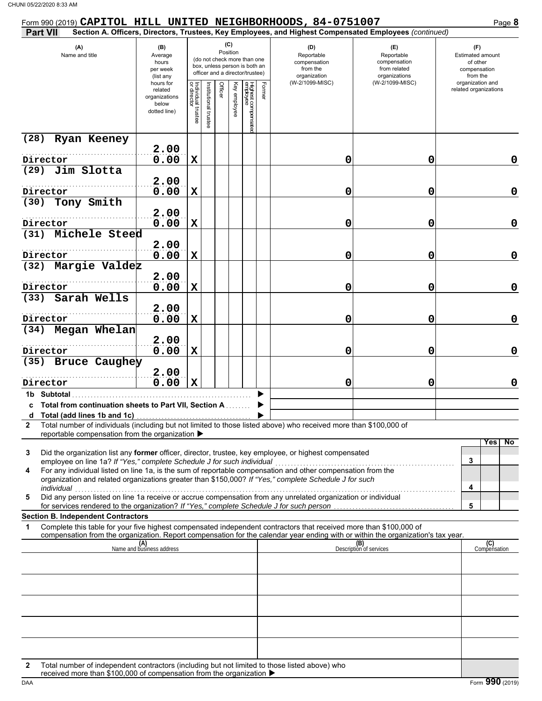| Form 990 (2019) CAPITOL HILL UNITED NEIGHBORHOODS, 84-0751007                                                                                                                                                                                                                                                                                                                                                     |                                                                |                                   |                      |         |                 |                                                                                                 |        |                                                                                                        |                                                                                       | Page 8                                                                              |
|-------------------------------------------------------------------------------------------------------------------------------------------------------------------------------------------------------------------------------------------------------------------------------------------------------------------------------------------------------------------------------------------------------------------|----------------------------------------------------------------|-----------------------------------|----------------------|---------|-----------------|-------------------------------------------------------------------------------------------------|--------|--------------------------------------------------------------------------------------------------------|---------------------------------------------------------------------------------------|-------------------------------------------------------------------------------------|
| Part VII                                                                                                                                                                                                                                                                                                                                                                                                          |                                                                |                                   |                      |         |                 |                                                                                                 |        | Section A. Officers, Directors, Trustees, Key Employees, and Highest Compensated Employees (continued) |                                                                                       |                                                                                     |
| (A)<br>Name and title                                                                                                                                                                                                                                                                                                                                                                                             | (B)<br>Average<br>hours<br>per week<br>(list any               |                                   |                      |         | (C)<br>Position | (do not check more than one<br>box, unless person is both an<br>officer and a director/trustee) |        | (D)<br>Reportable<br>compensation<br>from the<br>organization<br>(W-2/1099-MISC)                       | (E)<br>Reportable<br>compensation<br>from related<br>organizations<br>(W-2/1099-MISC) | (F)<br>Estimated amount<br>of other<br>compensation<br>from the<br>organization and |
|                                                                                                                                                                                                                                                                                                                                                                                                                   | hours for<br>related<br>organizations<br>below<br>dotted line) | Individual trustee<br>or director | nstitutional trustee | Officer | Ķey<br>employee | Highest compensatec<br>employee                                                                 | Former |                                                                                                        |                                                                                       | related organizations                                                               |
| Ryan Keeney<br>(28)                                                                                                                                                                                                                                                                                                                                                                                               |                                                                |                                   |                      |         |                 |                                                                                                 |        |                                                                                                        |                                                                                       |                                                                                     |
|                                                                                                                                                                                                                                                                                                                                                                                                                   | 2.00                                                           |                                   |                      |         |                 |                                                                                                 |        |                                                                                                        |                                                                                       |                                                                                     |
| Director<br>Jim Slotta<br>(29)                                                                                                                                                                                                                                                                                                                                                                                    | 0.00                                                           | X                                 |                      |         |                 |                                                                                                 |        | 0                                                                                                      | 0                                                                                     | 0                                                                                   |
|                                                                                                                                                                                                                                                                                                                                                                                                                   | 2.00                                                           |                                   |                      |         |                 |                                                                                                 |        |                                                                                                        |                                                                                       |                                                                                     |
| Director                                                                                                                                                                                                                                                                                                                                                                                                          | 0.00                                                           | X                                 |                      |         |                 |                                                                                                 |        | 0                                                                                                      | 0                                                                                     | 0                                                                                   |
| Tony Smith<br>(30)                                                                                                                                                                                                                                                                                                                                                                                                |                                                                |                                   |                      |         |                 |                                                                                                 |        |                                                                                                        |                                                                                       |                                                                                     |
| Director                                                                                                                                                                                                                                                                                                                                                                                                          | 2.00<br>0.00                                                   | $\mathbf x$                       |                      |         |                 |                                                                                                 |        | 0                                                                                                      | 0                                                                                     | 0                                                                                   |
| Michele Steed<br>(31)                                                                                                                                                                                                                                                                                                                                                                                             |                                                                |                                   |                      |         |                 |                                                                                                 |        |                                                                                                        |                                                                                       |                                                                                     |
|                                                                                                                                                                                                                                                                                                                                                                                                                   | 2.00                                                           |                                   |                      |         |                 |                                                                                                 |        |                                                                                                        |                                                                                       |                                                                                     |
| Director                                                                                                                                                                                                                                                                                                                                                                                                          | 0.00                                                           | $\mathbf x$                       |                      |         |                 |                                                                                                 |        | 0                                                                                                      | 0                                                                                     | 0                                                                                   |
| (32) Margie Valdez                                                                                                                                                                                                                                                                                                                                                                                                |                                                                |                                   |                      |         |                 |                                                                                                 |        |                                                                                                        |                                                                                       |                                                                                     |
| Director                                                                                                                                                                                                                                                                                                                                                                                                          | 2.00<br>0.00                                                   | $\mathbf x$                       |                      |         |                 |                                                                                                 |        | 0                                                                                                      | 0                                                                                     | 0                                                                                   |
| Sarah Wells<br>(33)                                                                                                                                                                                                                                                                                                                                                                                               |                                                                |                                   |                      |         |                 |                                                                                                 |        |                                                                                                        |                                                                                       |                                                                                     |
|                                                                                                                                                                                                                                                                                                                                                                                                                   | 2.00                                                           |                                   |                      |         |                 |                                                                                                 |        |                                                                                                        |                                                                                       |                                                                                     |
| Director                                                                                                                                                                                                                                                                                                                                                                                                          | 0.00                                                           | $\mathbf x$                       |                      |         |                 |                                                                                                 |        | 0                                                                                                      | 0                                                                                     | 0                                                                                   |
| (34) Megan Whelan                                                                                                                                                                                                                                                                                                                                                                                                 | 2.00                                                           |                                   |                      |         |                 |                                                                                                 |        |                                                                                                        |                                                                                       |                                                                                     |
| Director                                                                                                                                                                                                                                                                                                                                                                                                          | 0.00                                                           | $\mathbf x$                       |                      |         |                 |                                                                                                 |        | 0                                                                                                      | 0                                                                                     | 0                                                                                   |
| (35) Bruce Caughey                                                                                                                                                                                                                                                                                                                                                                                                |                                                                |                                   |                      |         |                 |                                                                                                 |        |                                                                                                        |                                                                                       |                                                                                     |
|                                                                                                                                                                                                                                                                                                                                                                                                                   | 2.00                                                           |                                   |                      |         |                 |                                                                                                 |        |                                                                                                        |                                                                                       |                                                                                     |
| Director                                                                                                                                                                                                                                                                                                                                                                                                          | 0.00                                                           | $\mathbf X$                       |                      |         |                 |                                                                                                 |        | 0                                                                                                      | 0                                                                                     | $\mathbf 0$                                                                         |
| 1b Subtotal<br>c Total from continuation sheets to Part VII, Section A                                                                                                                                                                                                                                                                                                                                            |                                                                |                                   |                      |         |                 |                                                                                                 |        |                                                                                                        |                                                                                       |                                                                                     |
|                                                                                                                                                                                                                                                                                                                                                                                                                   |                                                                |                                   |                      |         |                 |                                                                                                 |        |                                                                                                        |                                                                                       |                                                                                     |
| Total number of individuals (including but not limited to those listed above) who received more than \$100,000 of<br>2<br>reportable compensation from the organization ▶                                                                                                                                                                                                                                         |                                                                |                                   |                      |         |                 |                                                                                                 |        |                                                                                                        |                                                                                       |                                                                                     |
| Did the organization list any former officer, director, trustee, key employee, or highest compensated<br>3<br>employee on line 1a? If "Yes," complete Schedule J for such individual<br>For any individual listed on line 1a, is the sum of reportable compensation and other compensation from the<br>4<br>organization and related organizations greater than \$150,000? If "Yes," complete Schedule J for such |                                                                |                                   |                      |         |                 |                                                                                                 |        |                                                                                                        |                                                                                       | No<br>Yes<br>3                                                                      |
| individual<br>Did any person listed on line 1a receive or accrue compensation from any unrelated organization or individual<br>5                                                                                                                                                                                                                                                                                  |                                                                |                                   |                      |         |                 |                                                                                                 |        |                                                                                                        |                                                                                       | 4                                                                                   |
| for services rendered to the organization? If "Yes," complete Schedule J for such person                                                                                                                                                                                                                                                                                                                          |                                                                |                                   |                      |         |                 |                                                                                                 |        |                                                                                                        |                                                                                       | 5                                                                                   |
| <b>Section B. Independent Contractors</b><br>Complete this table for your five highest compensated independent contractors that received more than \$100,000 of<br>1                                                                                                                                                                                                                                              |                                                                |                                   |                      |         |                 |                                                                                                 |        |                                                                                                        |                                                                                       |                                                                                     |
| compensation from the organization. Report compensation for the calendar year ending with or within the organization's tax year.                                                                                                                                                                                                                                                                                  |                                                                |                                   |                      |         |                 |                                                                                                 |        |                                                                                                        |                                                                                       |                                                                                     |
|                                                                                                                                                                                                                                                                                                                                                                                                                   | (A)<br>Name and business address                               |                                   |                      |         |                 |                                                                                                 |        |                                                                                                        | (B)<br>Description of services                                                        | (C)<br>Compensation                                                                 |
|                                                                                                                                                                                                                                                                                                                                                                                                                   |                                                                |                                   |                      |         |                 |                                                                                                 |        |                                                                                                        |                                                                                       |                                                                                     |
|                                                                                                                                                                                                                                                                                                                                                                                                                   |                                                                |                                   |                      |         |                 |                                                                                                 |        |                                                                                                        |                                                                                       |                                                                                     |
|                                                                                                                                                                                                                                                                                                                                                                                                                   |                                                                |                                   |                      |         |                 |                                                                                                 |        |                                                                                                        |                                                                                       |                                                                                     |
|                                                                                                                                                                                                                                                                                                                                                                                                                   |                                                                |                                   |                      |         |                 |                                                                                                 |        |                                                                                                        |                                                                                       |                                                                                     |
|                                                                                                                                                                                                                                                                                                                                                                                                                   |                                                                |                                   |                      |         |                 |                                                                                                 |        |                                                                                                        |                                                                                       |                                                                                     |
| Total number of independent contractors (including but not limited to those listed above) who<br>2                                                                                                                                                                                                                                                                                                                |                                                                |                                   |                      |         |                 |                                                                                                 |        |                                                                                                        |                                                                                       |                                                                                     |
| received more than \$100,000 of compensation from the organization ▶                                                                                                                                                                                                                                                                                                                                              |                                                                |                                   |                      |         |                 |                                                                                                 |        |                                                                                                        |                                                                                       |                                                                                     |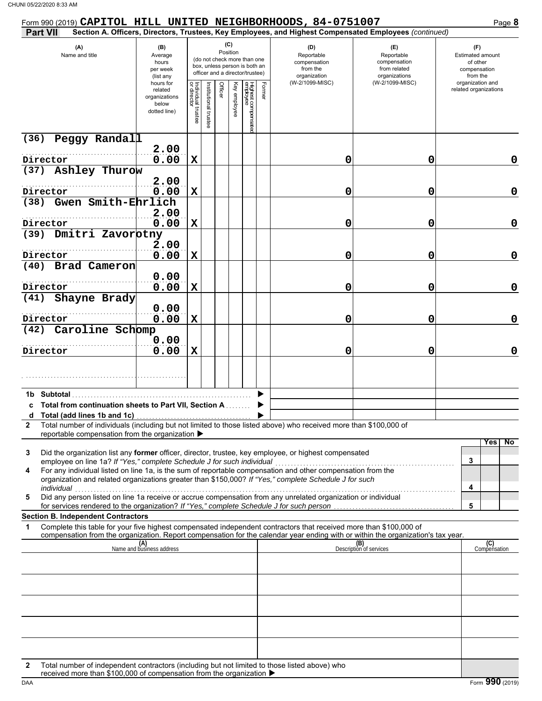| Form 990 (2019) CAPITOL HILL UNITED NEIGHBORHOODS, 84-0751007                                                                                                                                                                                               |                                                                |                                   |                       |                                                                                                                    |              |                                 |        |                                                                                                        |                                                                    | Page 8                                                          |
|-------------------------------------------------------------------------------------------------------------------------------------------------------------------------------------------------------------------------------------------------------------|----------------------------------------------------------------|-----------------------------------|-----------------------|--------------------------------------------------------------------------------------------------------------------|--------------|---------------------------------|--------|--------------------------------------------------------------------------------------------------------|--------------------------------------------------------------------|-----------------------------------------------------------------|
| <b>Part VII</b>                                                                                                                                                                                                                                             |                                                                |                                   |                       |                                                                                                                    |              |                                 |        | Section A. Officers, Directors, Trustees, Key Employees, and Highest Compensated Employees (continued) |                                                                    |                                                                 |
| (A)<br>Name and title                                                                                                                                                                                                                                       | (B)<br>Average<br>hours<br>per week<br>(list any               |                                   |                       | (C)<br>Position<br>(do not check more than one<br>box, unless person is both an<br>officer and a director/trustee) |              |                                 |        | (D)<br>Reportable<br>compensation<br>from the<br>organization                                          | (E)<br>Reportable<br>compensation<br>from related<br>organizations | (F)<br>Estimated amount<br>of other<br>compensation<br>from the |
|                                                                                                                                                                                                                                                             | hours for<br>related<br>organizations<br>below<br>dotted line) | Individual trustee<br>or director | Institutional trustee | Officer                                                                                                            | Key employee | Highest compensatec<br>employee | Former | (W-2/1099-MISC)                                                                                        | (W-2/1099-MISC)                                                    | organization and<br>related organizations                       |
| (36)<br>Peggy Randall                                                                                                                                                                                                                                       |                                                                |                                   |                       |                                                                                                                    |              |                                 |        |                                                                                                        |                                                                    |                                                                 |
| Director                                                                                                                                                                                                                                                    | 2.00<br>0.00                                                   | $\mathbf x$                       |                       |                                                                                                                    |              |                                 |        | 0                                                                                                      | 0                                                                  | 0                                                               |
| (37) Ashley Thurow                                                                                                                                                                                                                                          |                                                                |                                   |                       |                                                                                                                    |              |                                 |        |                                                                                                        |                                                                    |                                                                 |
|                                                                                                                                                                                                                                                             | 2.00                                                           |                                   |                       |                                                                                                                    |              |                                 |        |                                                                                                        |                                                                    |                                                                 |
| Director                                                                                                                                                                                                                                                    | 0.00                                                           | $\mathbf x$                       |                       |                                                                                                                    |              |                                 |        | 0                                                                                                      | 0                                                                  | 0                                                               |
| Gwen Smith-Ehrlich<br>(38)                                                                                                                                                                                                                                  | 2.00                                                           |                                   |                       |                                                                                                                    |              |                                 |        |                                                                                                        |                                                                    |                                                                 |
| Director                                                                                                                                                                                                                                                    | 0.00                                                           | $\mathbf x$                       |                       |                                                                                                                    |              |                                 |        | 0                                                                                                      | 0                                                                  | 0                                                               |
| (39) Dmitri Zavorbtny                                                                                                                                                                                                                                       |                                                                |                                   |                       |                                                                                                                    |              |                                 |        |                                                                                                        |                                                                    |                                                                 |
|                                                                                                                                                                                                                                                             | 2.00                                                           |                                   |                       |                                                                                                                    |              |                                 |        |                                                                                                        |                                                                    |                                                                 |
| Director<br>(40) Brad Cameron                                                                                                                                                                                                                               | 0.00                                                           | $\mathbf x$                       |                       |                                                                                                                    |              |                                 |        | 0                                                                                                      | 0                                                                  | 0                                                               |
|                                                                                                                                                                                                                                                             | 0.00                                                           |                                   |                       |                                                                                                                    |              |                                 |        |                                                                                                        |                                                                    |                                                                 |
| Director                                                                                                                                                                                                                                                    | 0.00                                                           | $\mathbf x$                       |                       |                                                                                                                    |              |                                 |        | 0                                                                                                      | 0                                                                  | 0                                                               |
| Shayne Brady<br>(41)                                                                                                                                                                                                                                        | 0.00                                                           |                                   |                       |                                                                                                                    |              |                                 |        |                                                                                                        |                                                                    |                                                                 |
| Director                                                                                                                                                                                                                                                    | 0.00                                                           | $\mathbf x$                       |                       |                                                                                                                    |              |                                 |        | 0                                                                                                      | 0                                                                  | 0                                                               |
| Caroline Schomp<br>(42)                                                                                                                                                                                                                                     |                                                                |                                   |                       |                                                                                                                    |              |                                 |        |                                                                                                        |                                                                    |                                                                 |
| Director                                                                                                                                                                                                                                                    | 0.00<br>0.00                                                   | $\mathbf x$                       |                       |                                                                                                                    |              |                                 |        | 0                                                                                                      | 0                                                                  | 0                                                               |
|                                                                                                                                                                                                                                                             |                                                                |                                   |                       |                                                                                                                    |              |                                 |        |                                                                                                        |                                                                    |                                                                 |
|                                                                                                                                                                                                                                                             |                                                                |                                   |                       |                                                                                                                    |              |                                 |        |                                                                                                        |                                                                    |                                                                 |
| 1b Subtotal                                                                                                                                                                                                                                                 |                                                                |                                   |                       |                                                                                                                    |              |                                 |        |                                                                                                        |                                                                    |                                                                 |
| c Total from continuation sheets to Part VII, Section A                                                                                                                                                                                                     |                                                                |                                   |                       |                                                                                                                    |              |                                 |        |                                                                                                        |                                                                    |                                                                 |
|                                                                                                                                                                                                                                                             |                                                                |                                   |                       |                                                                                                                    |              |                                 |        |                                                                                                        |                                                                    |                                                                 |
| Total number of individuals (including but not limited to those listed above) who received more than \$100,000 of<br>$\mathbf{2}$<br>reportable compensation from the organization ▶                                                                        |                                                                |                                   |                       |                                                                                                                    |              |                                 |        |                                                                                                        |                                                                    |                                                                 |
| Did the organization list any former officer, director, trustee, key employee, or highest compensated<br>3<br>employee on line 1a? If "Yes," complete Schedule J for such individual                                                                        |                                                                |                                   |                       |                                                                                                                    |              |                                 |        |                                                                                                        |                                                                    | Yes<br>No.<br>3                                                 |
| For any individual listed on line 1a, is the sum of reportable compensation and other compensation from the<br>4<br>organization and related organizations greater than \$150,000? If "Yes," complete Schedule J for such<br>individual                     |                                                                |                                   |                       |                                                                                                                    |              |                                 |        |                                                                                                        |                                                                    | 4                                                               |
| Did any person listed on line 1a receive or accrue compensation from any unrelated organization or individual<br>5                                                                                                                                          |                                                                |                                   |                       |                                                                                                                    |              |                                 |        |                                                                                                        |                                                                    | 5                                                               |
| for services rendered to the organization? If "Yes," complete Schedule J for such person<br><b>Section B. Independent Contractors</b>                                                                                                                       |                                                                |                                   |                       |                                                                                                                    |              |                                 |        |                                                                                                        |                                                                    |                                                                 |
| Complete this table for your five highest compensated independent contractors that received more than \$100,000 of<br>1<br>compensation from the organization. Report compensation for the calendar year ending with or within the organization's tax year. |                                                                |                                   |                       |                                                                                                                    |              |                                 |        |                                                                                                        |                                                                    |                                                                 |
|                                                                                                                                                                                                                                                             | (A)<br>Name and business address                               |                                   |                       |                                                                                                                    |              |                                 |        |                                                                                                        | (B)<br>Description of services                                     | (C)<br>Compensation                                             |
|                                                                                                                                                                                                                                                             |                                                                |                                   |                       |                                                                                                                    |              |                                 |        |                                                                                                        |                                                                    |                                                                 |
|                                                                                                                                                                                                                                                             |                                                                |                                   |                       |                                                                                                                    |              |                                 |        |                                                                                                        |                                                                    |                                                                 |
|                                                                                                                                                                                                                                                             |                                                                |                                   |                       |                                                                                                                    |              |                                 |        |                                                                                                        |                                                                    |                                                                 |
|                                                                                                                                                                                                                                                             |                                                                |                                   |                       |                                                                                                                    |              |                                 |        |                                                                                                        |                                                                    |                                                                 |
|                                                                                                                                                                                                                                                             |                                                                |                                   |                       |                                                                                                                    |              |                                 |        |                                                                                                        |                                                                    |                                                                 |
|                                                                                                                                                                                                                                                             |                                                                |                                   |                       |                                                                                                                    |              |                                 |        |                                                                                                        |                                                                    |                                                                 |
|                                                                                                                                                                                                                                                             |                                                                |                                   |                       |                                                                                                                    |              |                                 |        |                                                                                                        |                                                                    |                                                                 |
| Total number of independent contractors (including but not limited to those listed above) who<br>2<br>received more than \$100,000 of compensation from the organization ▶                                                                                  |                                                                |                                   |                       |                                                                                                                    |              |                                 |        |                                                                                                        |                                                                    |                                                                 |

DAA Form 990 (2019)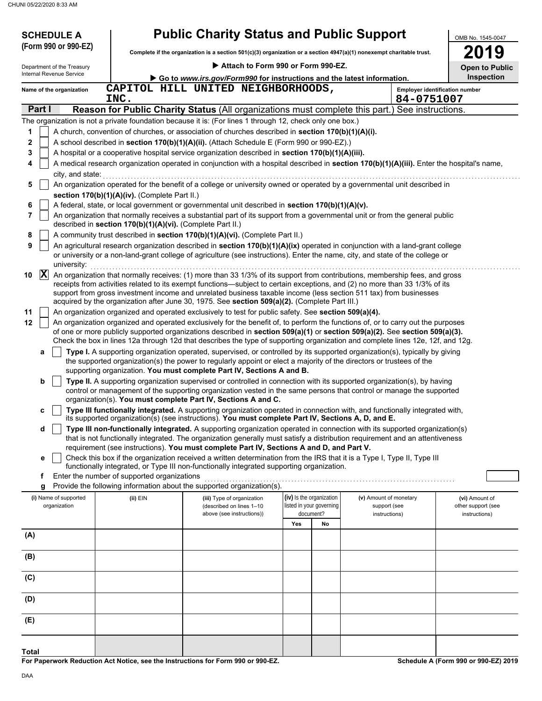| <b>SCHEDULE A</b><br>(Form 990 or 990-EZ) |                                                            | <b>Public Charity Status and Public Support</b><br>Complete if the organization is a section $501(c)(3)$ organization or a section $4947(a)(1)$ nonexempt charitable trust.                                                                                     |                                                      |    |                                        | OMB No. 1545-0047<br>19              |
|-------------------------------------------|------------------------------------------------------------|-----------------------------------------------------------------------------------------------------------------------------------------------------------------------------------------------------------------------------------------------------------------|------------------------------------------------------|----|----------------------------------------|--------------------------------------|
| Department of the Treasury                |                                                            | Attach to Form 990 or Form 990-EZ.                                                                                                                                                                                                                              |                                                      |    |                                        | <b>Open to Public</b>                |
| Internal Revenue Service                  |                                                            | Go to www.irs.gov/Form990 for instructions and the latest information.                                                                                                                                                                                          |                                                      |    |                                        | Inspection                           |
| Name of the organization                  |                                                            | CAPITOL HILL UNITED NEIGHBORHOODS,                                                                                                                                                                                                                              |                                                      |    |                                        | Employer identification number       |
|                                           | INC.                                                       |                                                                                                                                                                                                                                                                 |                                                      |    |                                        | 84-0751007                           |
| Part I                                    |                                                            | Reason for Public Charity Status (All organizations must complete this part.) See instructions.                                                                                                                                                                 |                                                      |    |                                        |                                      |
|                                           |                                                            | The organization is not a private foundation because it is: (For lines 1 through 12, check only one box.)                                                                                                                                                       |                                                      |    |                                        |                                      |
| 1                                         |                                                            | A church, convention of churches, or association of churches described in section 170(b)(1)(A)(i).                                                                                                                                                              |                                                      |    |                                        |                                      |
| 2                                         |                                                            | A school described in section 170(b)(1)(A)(ii). (Attach Schedule E (Form 990 or 990-EZ).)                                                                                                                                                                       |                                                      |    |                                        |                                      |
| 3                                         |                                                            | A hospital or a cooperative hospital service organization described in section 170(b)(1)(A)(iii).                                                                                                                                                               |                                                      |    |                                        |                                      |
| 4<br>city, and state:                     |                                                            | A medical research organization operated in conjunction with a hospital described in section 170(b)(1)(A)(iii). Enter the hospital's name,                                                                                                                      |                                                      |    |                                        |                                      |
| 5                                         |                                                            | An organization operated for the benefit of a college or university owned or operated by a governmental unit described in                                                                                                                                       |                                                      |    |                                        |                                      |
|                                           | section 170(b)(1)(A)(iv). (Complete Part II.)              |                                                                                                                                                                                                                                                                 |                                                      |    |                                        |                                      |
| 6                                         |                                                            | A federal, state, or local government or governmental unit described in section 170(b)(1)(A)(v).                                                                                                                                                                |                                                      |    |                                        |                                      |
| 7                                         |                                                            | An organization that normally receives a substantial part of its support from a governmental unit or from the general public                                                                                                                                    |                                                      |    |                                        |                                      |
|                                           | described in section 170(b)(1)(A)(vi). (Complete Part II.) |                                                                                                                                                                                                                                                                 |                                                      |    |                                        |                                      |
| 8                                         |                                                            | A community trust described in section 170(b)(1)(A)(vi). (Complete Part II.)                                                                                                                                                                                    |                                                      |    |                                        |                                      |
| 9<br>university:                          |                                                            | An agricultural research organization described in section 170(b)(1)(A)(ix) operated in conjunction with a land-grant college<br>or university or a non-land-grant college of agriculture (see instructions). Enter the name, city, and state of the college or |                                                      |    |                                        |                                      |
| $ {\bf X} $<br>10                         |                                                            | An organization that normally receives: (1) more than 33 1/3% of its support from contributions, membership fees, and gross                                                                                                                                     |                                                      |    |                                        |                                      |
|                                           |                                                            | receipts from activities related to its exempt functions—subject to certain exceptions, and (2) no more than 33 1/3% of its                                                                                                                                     |                                                      |    |                                        |                                      |
|                                           |                                                            | support from gross investment income and unrelated business taxable income (less section 511 tax) from businesses<br>acquired by the organization after June 30, 1975. See section 509(a)(2). (Complete Part III.)                                              |                                                      |    |                                        |                                      |
| 11                                        |                                                            | An organization organized and operated exclusively to test for public safety. See section 509(a)(4).                                                                                                                                                            |                                                      |    |                                        |                                      |
| 12                                        |                                                            | An organization organized and operated exclusively for the benefit of, to perform the functions of, or to carry out the purposes                                                                                                                                |                                                      |    |                                        |                                      |
|                                           |                                                            | of one or more publicly supported organizations described in section 509(a)(1) or section 509(a)(2). See section 509(a)(3).                                                                                                                                     |                                                      |    |                                        |                                      |
|                                           |                                                            | Check the box in lines 12a through 12d that describes the type of supporting organization and complete lines 12e, 12f, and 12g.                                                                                                                                 |                                                      |    |                                        |                                      |
| а                                         |                                                            | Type I. A supporting organization operated, supervised, or controlled by its supported organization(s), typically by giving<br>the supported organization(s) the power to regularly appoint or elect a majority of the directors or trustees of the             |                                                      |    |                                        |                                      |
|                                           |                                                            | supporting organization. You must complete Part IV, Sections A and B.                                                                                                                                                                                           |                                                      |    |                                        |                                      |
| b                                         |                                                            | Type II. A supporting organization supervised or controlled in connection with its supported organization(s), by having                                                                                                                                         |                                                      |    |                                        |                                      |
|                                           |                                                            | control or management of the supporting organization vested in the same persons that control or manage the supported<br>organization(s). You must complete Part IV, Sections A and C.                                                                           |                                                      |    |                                        |                                      |
| c                                         |                                                            | Type III functionally integrated. A supporting organization operated in connection with, and functionally integrated with,                                                                                                                                      |                                                      |    |                                        |                                      |
|                                           |                                                            | its supported organization(s) (see instructions). You must complete Part IV, Sections A, D, and E.                                                                                                                                                              |                                                      |    |                                        |                                      |
| d                                         |                                                            | Type III non-functionally integrated. A supporting organization operated in connection with its supported organization(s)                                                                                                                                       |                                                      |    |                                        |                                      |
|                                           |                                                            | that is not functionally integrated. The organization generally must satisfy a distribution requirement and an attentiveness<br>requirement (see instructions). You must complete Part IV, Sections A and D, and Part V.                                        |                                                      |    |                                        |                                      |
| е                                         |                                                            | Check this box if the organization received a written determination from the IRS that it is a Type I, Type II, Type III                                                                                                                                         |                                                      |    |                                        |                                      |
|                                           |                                                            | functionally integrated, or Type III non-functionally integrated supporting organization.                                                                                                                                                                       |                                                      |    |                                        |                                      |
| f                                         | Enter the number of supported organizations                |                                                                                                                                                                                                                                                                 |                                                      |    |                                        |                                      |
| g                                         |                                                            | Provide the following information about the supported organization(s).                                                                                                                                                                                          |                                                      |    |                                        |                                      |
| (i) Name of supported<br>organization     | (ii) EIN                                                   | (iii) Type of organization<br>(described on lines 1-10                                                                                                                                                                                                          | (iv) Is the organization<br>listed in your governing |    | (v) Amount of monetary<br>support (see | (vi) Amount of<br>other support (see |
|                                           |                                                            | above (see instructions))                                                                                                                                                                                                                                       | document?                                            |    | instructions)                          | instructions)                        |
|                                           |                                                            |                                                                                                                                                                                                                                                                 | Yes                                                  | No |                                        |                                      |
| (A)                                       |                                                            |                                                                                                                                                                                                                                                                 |                                                      |    |                                        |                                      |
|                                           |                                                            |                                                                                                                                                                                                                                                                 |                                                      |    |                                        |                                      |
| (B)                                       |                                                            |                                                                                                                                                                                                                                                                 |                                                      |    |                                        |                                      |
| (C)                                       |                                                            |                                                                                                                                                                                                                                                                 |                                                      |    |                                        |                                      |
|                                           |                                                            |                                                                                                                                                                                                                                                                 |                                                      |    |                                        |                                      |
| (D)                                       |                                                            |                                                                                                                                                                                                                                                                 |                                                      |    |                                        |                                      |
|                                           |                                                            |                                                                                                                                                                                                                                                                 |                                                      |    |                                        |                                      |
| (E)                                       |                                                            |                                                                                                                                                                                                                                                                 |                                                      |    |                                        |                                      |
|                                           |                                                            |                                                                                                                                                                                                                                                                 |                                                      |    |                                        |                                      |
|                                           |                                                            |                                                                                                                                                                                                                                                                 |                                                      |    |                                        |                                      |

**For Paperwork Reduction Act Notice, see the Instructions for Form 990 or 990-EZ.**

**Schedule A (Form 990 or 990-EZ) 2019**

**Total**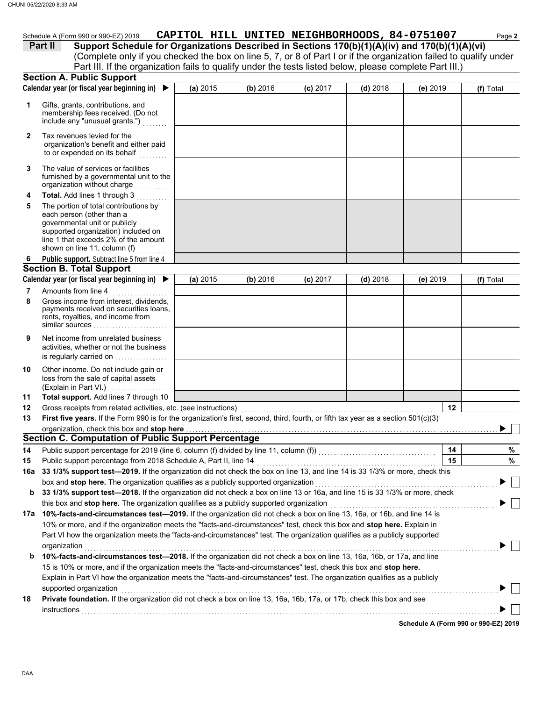|              | JNI 05/22/2020 8:33 AM                                                                                                                                                                                                                               |          |          |            |                                               |            |    |           |
|--------------|------------------------------------------------------------------------------------------------------------------------------------------------------------------------------------------------------------------------------------------------------|----------|----------|------------|-----------------------------------------------|------------|----|-----------|
|              | Schedule A (Form 990 or 990-EZ) 2019<br>Support Schedule for Organizations Described in Sections 170(b)(1)(A)(iv) and 170(b)(1)(A)(vi)<br>Part II                                                                                                    |          |          |            | CAPITOL HILL UNITED NEIGHBORHOODS, 84-0751007 |            |    | Page 2    |
|              | (Complete only if you checked the box on line 5, 7, or 8 of Part I or if the organization failed to qualify under                                                                                                                                    |          |          |            |                                               |            |    |           |
|              | Part III. If the organization fails to qualify under the tests listed below, please complete Part III.)                                                                                                                                              |          |          |            |                                               |            |    |           |
|              | <b>Section A. Public Support</b>                                                                                                                                                                                                                     |          |          |            |                                               |            |    |           |
|              | Calendar year (or fiscal year beginning in) $\blacktriangleright$                                                                                                                                                                                    | (a) 2015 | (b) 2016 | $(c)$ 2017 | $(d)$ 2018                                    | (e) $2019$ |    | (f) Total |
| 1            | Gifts, grants, contributions, and<br>membership fees received. (Do not<br>include any "unusual grants.")                                                                                                                                             |          |          |            |                                               |            |    |           |
| $\mathbf{2}$ | Tax revenues levied for the<br>organization's benefit and either paid<br>to or expended on its behalf                                                                                                                                                |          |          |            |                                               |            |    |           |
| 3            | The value of services or facilities<br>furnished by a governmental unit to the<br>organization without charge                                                                                                                                        |          |          |            |                                               |            |    |           |
| 4            | Total. Add lines 1 through 3                                                                                                                                                                                                                         |          |          |            |                                               |            |    |           |
| 5            | The portion of total contributions by<br>each person (other than a<br>governmental unit or publicly<br>supported organization) included on<br>line 1 that exceeds 2% of the amount<br>shown on line 11, column (f)                                   |          |          |            |                                               |            |    |           |
| 6            | Public support. Subtract line 5 from line 4                                                                                                                                                                                                          |          |          |            |                                               |            |    |           |
|              | <b>Section B. Total Support</b>                                                                                                                                                                                                                      |          |          |            |                                               |            |    |           |
|              | Calendar year (or fiscal year beginning in) $\blacktriangleright$                                                                                                                                                                                    | (a) 2015 | (b) 2016 | (c) 2017   | $(d)$ 2018                                    | $(e)$ 2019 |    | (f) Total |
| 7            | Amounts from line 4                                                                                                                                                                                                                                  |          |          |            |                                               |            |    |           |
| 8            | Gross income from interest, dividends,<br>payments received on securities loans,<br>rents, royalties, and income from<br>similar sources                                                                                                             |          |          |            |                                               |            |    |           |
| 9            | Net income from unrelated business<br>activities, whether or not the business<br>is regularly carried on                                                                                                                                             |          |          |            |                                               |            |    |           |
| 10           | Other income. Do not include gain or<br>loss from the sale of capital assets<br>(Explain in Part VI.)                                                                                                                                                |          |          |            |                                               |            |    |           |
| 11           | Total support. Add lines 7 through 10                                                                                                                                                                                                                |          |          |            |                                               |            |    |           |
| 12           | Gross receipts from related activities, etc. (see instructions)                                                                                                                                                                                      |          |          |            |                                               |            | 12 |           |
| 13           | First five years. If the Form 990 is for the organization's first, second, third, fourth, or fifth tax year as a section 501(c)(3)                                                                                                                   |          |          |            |                                               |            |    |           |
|              | organization, check this box and stop here <b>construction and construction</b> construction of the state of the state of                                                                                                                            |          |          |            |                                               |            |    |           |
|              | <b>Section C. Computation of Public Support Percentage</b>                                                                                                                                                                                           |          |          |            |                                               |            |    |           |
| 14           | Public support percentage for 2019 (line 6, column (f) divided by line 11, column (f)) [[[[[[[[[[[[[[[[[[[[[[                                                                                                                                        |          |          |            |                                               |            | 14 | %         |
| 15           | Public support percentage from 2018 Schedule A, Part II, line 14                                                                                                                                                                                     |          |          |            |                                               |            | 15 | %         |
| 16a          | 33 1/3% support test-2019. If the organization did not check the box on line 13, and line 14 is 33 1/3% or more, check this                                                                                                                          |          |          |            |                                               |            |    |           |
|              | box and stop here. The organization qualifies as a publicly supported organization                                                                                                                                                                   |          |          |            |                                               |            |    |           |
| b            | 33 1/3% support test-2018. If the organization did not check a box on line 13 or 16a, and line 15 is 33 1/3% or more, check                                                                                                                          |          |          |            |                                               |            |    |           |
|              | this box and stop here. The organization qualifies as a publicly supported organization                                                                                                                                                              |          |          |            |                                               |            |    |           |
|              | 17a 10%-facts-and-circumstances test-2019. If the organization did not check a box on line 13, 16a, or 16b, and line 14 is                                                                                                                           |          |          |            |                                               |            |    |           |
|              | 10% or more, and if the organization meets the "facts-and-circumstances" test, check this box and stop here. Explain in<br>Part VI how the organization meets the "facts-and-circumstances" test. The organization qualifies as a publicly supported |          |          |            |                                               |            |    |           |
|              | organization                                                                                                                                                                                                                                         |          |          |            |                                               |            |    |           |
| b            | 10%-facts-and-circumstances test-2018. If the organization did not check a box on line 13, 16a, 16b, or 17a, and line<br>15 is 10% or more, and if the organization meets the "facts-and-circumstances" test, check this box and stop here.          |          |          |            |                                               |            |    |           |
|              | Explain in Part VI how the organization meets the "facts-and-circumstances" test. The organization qualifies as a publicly                                                                                                                           |          |          |            |                                               |            |    |           |
| 18           | supported organization<br>Private foundation. If the organization did not check a box on line 13, 16a, 16b, 17a, or 17b, check this box and see                                                                                                      |          |          |            |                                               |            |    |           |
|              | instructions                                                                                                                                                                                                                                         |          |          |            |                                               |            |    |           |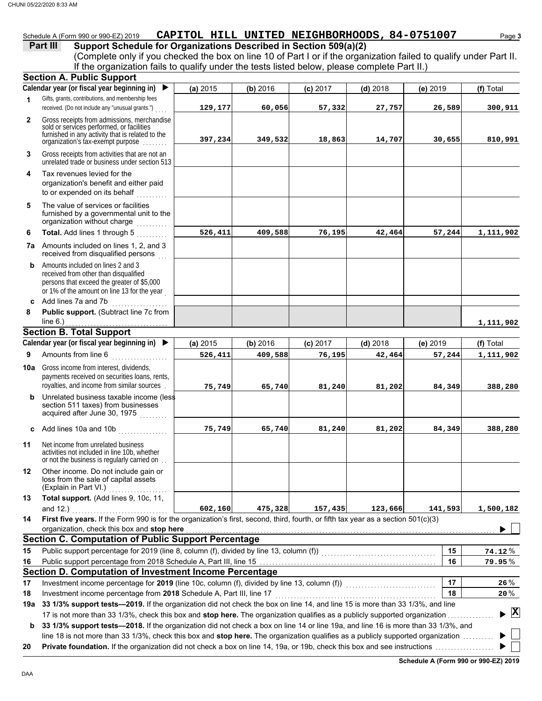### Schedule A (Form 990 or 990-EZ) 2019 **CAPITOL HILL UNITED NEIGHBORHOODS ,84-0751007** Page 3

#### **Part III** Support Schedule for Organizations Described in Section 509(a)(2)

(Complete only if you checked the box on line 10 of Part I or if the organization failed to qualify under Part II. If the organization fails to qualify under the tests listed below, please complete Part II.)

|              | if the engarmeation rane to quality<br><b>Section A. Public Support</b>                                                                                                                              |          |          | andor the toold hoted bolon; produce complete rail in |            |            |              |
|--------------|------------------------------------------------------------------------------------------------------------------------------------------------------------------------------------------------------|----------|----------|-------------------------------------------------------|------------|------------|--------------|
|              | Calendar year (or fiscal year beginning in)                                                                                                                                                          | (a) 2015 | (b) 2016 | $(c)$ 2017                                            | $(d)$ 2018 | (e) 2019   | (f) Total    |
| 1            | Gifts, grants, contributions, and membership fees<br>received. (Do not include any "unusual grants.")                                                                                                | 129,177  | 60,056   | 57,332                                                | 27,757     | 26,589     | 300,911      |
| $\mathbf{2}$ | Gross receipts from admissions, merchandise<br>sold or services performed, or facilities<br>furnished in any activity that is related to the<br>organization's tax-exempt purpose                    | 397,234  | 349,532  | 18,863                                                | 14,707     | 30,655     | 810,991      |
| 3            | Gross receipts from activities that are not an<br>unrelated trade or business under section 513                                                                                                      |          |          |                                                       |            |            |              |
| 4            | Tax revenues levied for the<br>organization's benefit and either paid<br>to or expended on its behalf<br><u>.</u>                                                                                    |          |          |                                                       |            |            |              |
| 5            | The value of services or facilities<br>furnished by a governmental unit to the<br>organization without charge<br>.                                                                                   |          |          |                                                       |            |            |              |
| 6            | Total. Add lines 1 through 5                                                                                                                                                                         | 526,411  | 409,588  | 76,195                                                | 42,464     | 57,244     | 1,111,902    |
|              | 7a Amounts included on lines 1, 2, and 3<br>received from disqualified persons                                                                                                                       |          |          |                                                       |            |            |              |
|              | <b>b</b> Amounts included on lines 2 and 3<br>received from other than disqualified<br>persons that exceed the greater of \$5,000<br>or 1% of the amount on line 13 for the year                     |          |          |                                                       |            |            |              |
|              | c Add lines 7a and 7b                                                                                                                                                                                |          |          |                                                       |            |            |              |
| 8            | Public support. (Subtract line 7c from<br>line $6.$ )                                                                                                                                                |          |          |                                                       |            |            |              |
|              | <b>Section B. Total Support</b>                                                                                                                                                                      |          |          |                                                       |            |            | 1,111,902    |
|              | Calendar year (or fiscal year beginning in) $\blacktriangleright$                                                                                                                                    | (a) 2015 | (b) 2016 | $(c)$ 2017                                            | $(d)$ 2018 | $(e)$ 2019 | (f) Total    |
| 9            | Amounts from line 6                                                                                                                                                                                  | 526,411  | 409,588  | 76,195                                                | 42,464     | 57,244     | 1,111,902    |
| 10a l        | Gross income from interest, dividends,<br>payments received on securities loans, rents,<br>royalties, and income from similar sources.                                                               | 75,749   | 65,740   | 81,240                                                | 81,202     | 84,349     | 388,280      |
| b            | Unrelated business taxable income (less<br>section 511 taxes) from businesses<br>acquired after June 30, 1975                                                                                        |          |          |                                                       |            |            |              |
|              | c Add lines 10a and 10b                                                                                                                                                                              | 75,749   | 65,740   | 81,240                                                | 81,202     | 84,349     | 388,280      |
| 11           | Net income from unrelated business<br>activities not included in line 10b, whether<br>or not the business is regularly carried on                                                                    |          |          |                                                       |            |            |              |
| 12           | Other income. Do not include gain or<br>loss from the sale of capital assets<br>(Explain in Part VI.)                                                                                                |          |          |                                                       |            |            |              |
| 13           | Total support. (Add lines 9, 10c, 11,<br>and $12.$ )                                                                                                                                                 | 602,160  | 475,328  | 157,435                                               | 123,666    | 141,593    | 1,500,182    |
| 14           | First five years. If the Form 990 is for the organization's first, second, third, fourth, or fifth tax year as a section 501(c)(3)                                                                   |          |          |                                                       |            |            |              |
|              | organization, check this box and stop here                                                                                                                                                           |          |          |                                                       |            |            |              |
|              | <b>Section C. Computation of Public Support Percentage</b>                                                                                                                                           |          |          |                                                       |            |            |              |
| 15           | Public support percentage for 2019 (line 8, column (f), divided by line 13, column (f)) [[[[[[[[[[[[[[[[[[[[[                                                                                        |          |          |                                                       |            | 15         | $74.12\%$    |
| 16           |                                                                                                                                                                                                      |          |          |                                                       |            | 16         | 79.95%       |
|              | Section D. Computation of Investment Income Percentage                                                                                                                                               |          |          |                                                       |            |            |              |
| 17           | Investment income percentage for 2019 (line 10c, column (f), divided by line 13, column (f)) [[[[[[[[[[[[[[[[                                                                                        |          |          |                                                       |            | 17         | 26 %         |
| 18           | Investment income percentage from 2018 Schedule A, Part III, line 17<br>33 1/3% support tests-2019. If the organization did not check the box on line 14, and line 15 is more than 33 1/3%, and line |          |          |                                                       |            | 18         | 20%          |
| 19a          | 17 is not more than 33 1/3%, check this box and stop here. The organization qualifies as a publicly supported organization                                                                           |          |          |                                                       |            |            | $\mathbf{X}$ |
| b            | 33 1/3% support tests-2018. If the organization did not check a box on line 14 or line 19a, and line 16 is more than 33 1/3%, and                                                                    |          |          |                                                       |            |            |              |
|              | line 18 is not more than 33 1/3%, check this box and stop here. The organization qualifies as a publicly supported organization                                                                      |          |          |                                                       |            |            |              |
| 20           |                                                                                                                                                                                                      |          |          |                                                       |            |            |              |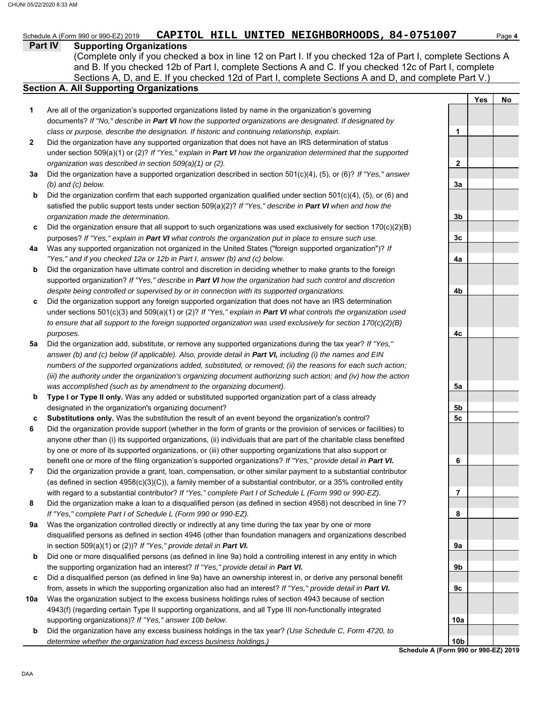# Schedule A (Form 990 or 990-EZ) 2019 **CAPITOL HILL UNITED NEIGHBORHOODS ,84-0751007** Page 4

#### **Part IV Supporting Organizations**

Sections A, D, and E. If you checked 12d of Part I, complete Sections A and D, and complete Part V.) (Complete only if you checked a box in line 12 on Part I. If you checked 12a of Part I, complete Sections A and B. If you checked 12b of Part I, complete Sections A and C. If you checked 12c of Part I, complete

### **Section A. All Supporting Organizations**

- Are all of the organization's supported organizations listed by name in the organization's governing documents? *If "No," describe in Part VI how the supported organizations are designated. If designated by class or purpose, describe the designation. If historic and continuing relationship, explain.* **1**
- Did the organization have any supported organization that does not have an IRS determination of status under section 509(a)(1) or (2)? *If "Yes," explain in Part VI how the organization determined that the supported organization was described in section 509(a)(1) or (2).* **2**
- **3a** Did the organization have a supported organization described in section 501(c)(4), (5), or (6)? *If "Yes," answer (b) and (c) below.*
- **b** Did the organization confirm that each supported organization qualified under section 501(c)(4), (5), or (6) and satisfied the public support tests under section 509(a)(2)? *If "Yes," describe in Part VI when and how the organization made the determination.*
- **c** Did the organization ensure that all support to such organizations was used exclusively for section 170(c)(2)(B) purposes? *If "Yes," explain in Part VI what controls the organization put in place to ensure such use.*
- **4a** Was any supported organization not organized in the United States ("foreign supported organization")? *If "Yes," and if you checked 12a or 12b in Part I, answer (b) and (c) below.*
- **b** Did the organization have ultimate control and discretion in deciding whether to make grants to the foreign supported organization? *If "Yes," describe in Part VI how the organization had such control and discretion despite being controlled or supervised by or in connection with its supported organizations.*
- **c** Did the organization support any foreign supported organization that does not have an IRS determination under sections 501(c)(3) and 509(a)(1) or (2)? *If "Yes," explain in Part VI what controls the organization used to ensure that all support to the foreign supported organization was used exclusively for section 170(c)(2)(B) purposes.*
- **5a** Did the organization add, substitute, or remove any supported organizations during the tax year? *If "Yes,"* answer (b) and (c) below (if applicable). Also, provide detail in **Part VI**, *including (i)* the names and EIN *numbers of the supported organizations added, substituted, or removed; (ii) the reasons for each such action; (iii) the authority under the organization's organizing document authorizing such action; and (iv) how the action was accomplished (such as by amendment to the organizing document).*
- **b Type I or Type II only.** Was any added or substituted supported organization part of a class already designated in the organization's organizing document?
- **c Substitutions only.** Was the substitution the result of an event beyond the organization's control?
- **6** Did the organization provide support (whether in the form of grants or the provision of services or facilities) to anyone other than (i) its supported organizations, (ii) individuals that are part of the charitable class benefited by one or more of its supported organizations, or (iii) other supporting organizations that also support or benefit one or more of the filing organization's supported organizations? *If "Yes," provide detail in Part VI.*
- **7** Did the organization provide a grant, loan, compensation, or other similar payment to a substantial contributor (as defined in section 4958(c)(3)(C)), a family member of a substantial contributor, or a 35% controlled entity with regard to a substantial contributor? *If "Yes," complete Part I of Schedule L (Form 990 or 990-EZ).*
- **8** Did the organization make a loan to a disqualified person (as defined in section 4958) not described in line 7? *If "Yes," complete Part I of Schedule L (Form 990 or 990-EZ).*
- **9a** Was the organization controlled directly or indirectly at any time during the tax year by one or more disqualified persons as defined in section 4946 (other than foundation managers and organizations described in section 509(a)(1) or (2))? *If "Yes," provide detail in Part VI.*
- **b** Did one or more disqualified persons (as defined in line 9a) hold a controlling interest in any entity in which the supporting organization had an interest? *If "Yes," provide detail in Part VI.*
- **c** Did a disqualified person (as defined in line 9a) have an ownership interest in, or derive any personal benefit from, assets in which the supporting organization also had an interest? *If "Yes," provide detail in Part VI.*
- **10a** Was the organization subject to the excess business holdings rules of section 4943 because of section 4943(f) (regarding certain Type II supporting organizations, and all Type III non-functionally integrated supporting organizations)? *If "Yes," answer 10b below.*
- **b** Did the organization have any excess business holdings in the tax year? *(Use Schedule C, Form 4720, to determine whether the organization had excess business holdings.)*

**Yes No 1 2 3a 3b 3c 4a 4b 4c 5a 5b 5c 6 7 8 9a 9b 9c 10a 10b**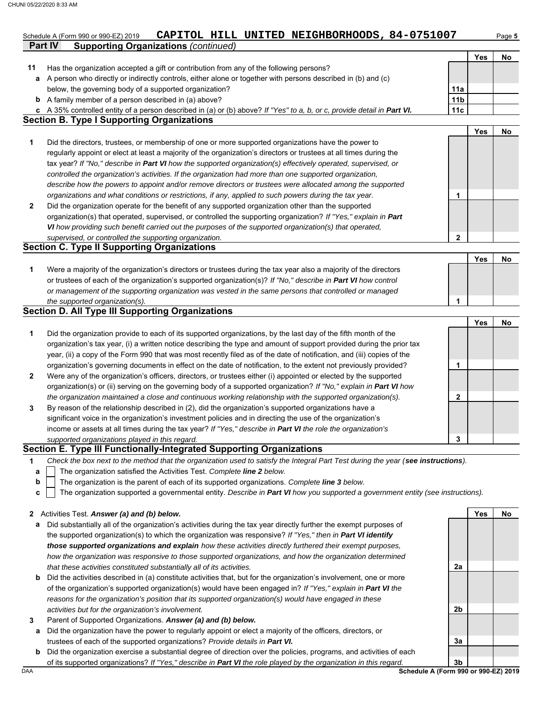|              | CAPITOL HILL UNITED NEIGHBORHOODS, 84-0751007<br>Schedule A (Form 990 or 990-EZ) 2019                                             |                 |     | Page 5 |
|--------------|-----------------------------------------------------------------------------------------------------------------------------------|-----------------|-----|--------|
|              | <b>Part IV</b><br><b>Supporting Organizations (continued)</b>                                                                     |                 |     |        |
|              |                                                                                                                                   |                 | Yes | No     |
| 11           | Has the organization accepted a gift or contribution from any of the following persons?                                           |                 |     |        |
| а            | A person who directly or indirectly controls, either alone or together with persons described in (b) and (c)                      |                 |     |        |
|              | below, the governing body of a supported organization?                                                                            | 11a             |     |        |
| b            | A family member of a person described in (a) above?                                                                               | 11 <sub>b</sub> |     |        |
| c            | A 35% controlled entity of a person described in (a) or (b) above? If "Yes" to a, b, or c, provide detail in Part VI.             | 11c             |     |        |
|              | <b>Section B. Type I Supporting Organizations</b>                                                                                 |                 |     |        |
|              |                                                                                                                                   |                 | Yes | No     |
| 1            | Did the directors, trustees, or membership of one or more supported organizations have the power to                               |                 |     |        |
|              | regularly appoint or elect at least a majority of the organization's directors or trustees at all times during the                |                 |     |        |
|              | tax year? If "No," describe in Part VI how the supported organization(s) effectively operated, supervised, or                     |                 |     |        |
|              | controlled the organization's activities. If the organization had more than one supported organization,                           |                 |     |        |
|              | describe how the powers to appoint and/or remove directors or trustees were allocated among the supported                         |                 |     |        |
|              | organizations and what conditions or restrictions, if any, applied to such powers during the tax year.                            | 1               |     |        |
| $\mathbf{2}$ | Did the organization operate for the benefit of any supported organization other than the supported                               |                 |     |        |
|              | organization(s) that operated, supervised, or controlled the supporting organization? If "Yes," explain in Part                   |                 |     |        |
|              | VI how providing such benefit carried out the purposes of the supported organization(s) that operated,                            |                 |     |        |
|              | supervised, or controlled the supporting organization.                                                                            | 2               |     |        |
|              | <b>Section C. Type II Supporting Organizations</b>                                                                                |                 |     |        |
|              |                                                                                                                                   |                 | Yes | No     |
| 1            | Were a majority of the organization's directors or trustees during the tax year also a majority of the directors                  |                 |     |        |
|              | or trustees of each of the organization's supported organization(s)? If "No," describe in Part VI how control                     |                 |     |        |
|              | or management of the supporting organization was vested in the same persons that controlled or managed                            |                 |     |        |
|              | the supported organization(s).                                                                                                    | 1               |     |        |
|              | <b>Section D. All Type III Supporting Organizations</b>                                                                           |                 |     |        |
|              |                                                                                                                                   |                 | Yes | No     |
| 1            | Did the organization provide to each of its supported organizations, by the last day of the fifth month of the                    |                 |     |        |
|              | organization's tax year, (i) a written notice describing the type and amount of support provided during the prior tax             |                 |     |        |
|              | year, (ii) a copy of the Form 990 that was most recently filed as of the date of notification, and (iii) copies of the            |                 |     |        |
|              | organization's governing documents in effect on the date of notification, to the extent not previously provided?                  | 1               |     |        |
|              |                                                                                                                                   |                 |     |        |
| $\mathbf{2}$ | Were any of the organization's officers, directors, or trustees either (i) appointed or elected by the supported                  |                 |     |        |
|              | organization(s) or (ii) serving on the governing body of a supported organization? If "No," explain in Part VI how                |                 |     |        |
|              | the organization maintained a close and continuous working relationship with the supported organization(s).                       | 2               |     |        |
| 3            | By reason of the relationship described in (2), did the organization's supported organizations have a                             |                 |     |        |
|              | significant voice in the organization's investment policies and in directing the use of the organization's                        |                 |     |        |
|              | income or assets at all times during the tax year? If "Yes," describe in Part VI the role the organization's                      |                 |     |        |
|              | supported organizations played in this regard.                                                                                    | 3               |     |        |
|              | Section E. Type III Functionally-Integrated Supporting Organizations                                                              |                 |     |        |
| 1            | Check the box next to the method that the organization used to satisfy the Integral Part Test during the year (see instructions). |                 |     |        |
| a            | The organization satisfied the Activities Test. Complete line 2 below.                                                            |                 |     |        |
| b            | The organization is the parent of each of its supported organizations. Complete line 3 below.                                     |                 |     |        |
| c            | The organization supported a governmental entity. Describe in Part VI how you supported a government entity (see instructions).   |                 |     |        |
|              |                                                                                                                                   |                 |     |        |

- **a** Did substantially all of the organization's activities during the tax year directly further the exempt purposes of the supported organization(s) to which the organization was responsive? *If "Yes," then in Part VI identify those supported organizations and explain how these activities directly furthered their exempt purposes, how the organization was responsive to those supported organizations, and how the organization determined that these activities constituted substantially all of its activities.*
- **b** Did the activities described in (a) constitute activities that, but for the organization's involvement, one or more of the organization's supported organization(s) would have been engaged in? *If "Yes," explain in Part VI the reasons for the organization's position that its supported organization(s) would have engaged in these activities but for the organization's involvement.*
- **3** Parent of Supported Organizations. *Answer (a) and (b) below.*
- **a** Did the organization have the power to regularly appoint or elect a majority of the officers, directors, or trustees of each of the supported organizations? *Provide details in Part VI.*
- **b** Did the organization exercise a substantial degree of direction over the policies, programs, and activities of each of its supported organizations? *If "Yes," describe in Part VI the role played by the organization in this regard.*

DAA **Schedule A (Form 990 or 990-EZ) 2019 3b**

**2a**

**2b**

**3a**

**Yes No**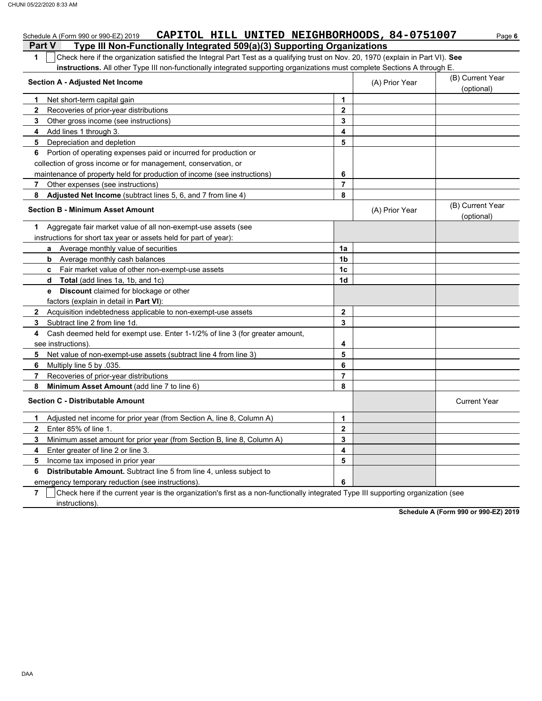|               | CAPITOL HILL UNITED NEIGHBORHOODS, 84-0751007<br>Schedule A (Form 990 or 990-EZ) 2019                                            |                |                | Page 6                         |
|---------------|----------------------------------------------------------------------------------------------------------------------------------|----------------|----------------|--------------------------------|
| <b>Part V</b> | Type III Non-Functionally Integrated 509(a)(3) Supporting Organizations                                                          |                |                |                                |
| 1             | Check here if the organization satisfied the Integral Part Test as a qualifying trust on Nov. 20, 1970 (explain in Part VI). See |                |                |                                |
|               | instructions. All other Type III non-functionally integrated supporting organizations must complete Sections A through E.        |                |                |                                |
|               | <b>Section A - Adjusted Net Income</b>                                                                                           |                | (A) Prior Year | (B) Current Year               |
|               |                                                                                                                                  |                |                | (optional)                     |
| 1.            | Net short-term capital gain                                                                                                      | 1              |                |                                |
| $\mathbf{2}$  | Recoveries of prior-year distributions                                                                                           | $\mathbf{2}$   |                |                                |
| 3             | Other gross income (see instructions)                                                                                            | 3              |                |                                |
| 4             | Add lines 1 through 3.                                                                                                           | 4              |                |                                |
| 5             | Depreciation and depletion                                                                                                       | 5              |                |                                |
| 6             | Portion of operating expenses paid or incurred for production or                                                                 |                |                |                                |
|               | collection of gross income or for management, conservation, or                                                                   |                |                |                                |
|               | maintenance of property held for production of income (see instructions)                                                         | 6              |                |                                |
| 7             | Other expenses (see instructions)                                                                                                | $\overline{7}$ |                |                                |
| 8             | Adjusted Net Income (subtract lines 5, 6, and 7 from line 4)                                                                     | 8              |                |                                |
|               | <b>Section B - Minimum Asset Amount</b>                                                                                          |                | (A) Prior Year | (B) Current Year<br>(optional) |
| 1             | Aggregate fair market value of all non-exempt-use assets (see                                                                    |                |                |                                |
|               | instructions for short tax year or assets held for part of year):                                                                |                |                |                                |
|               | a Average monthly value of securities                                                                                            | 1a             |                |                                |
| b             | Average monthly cash balances                                                                                                    | 1 <sub>b</sub> |                |                                |
|               | c Fair market value of other non-exempt-use assets                                                                               | 1c             |                |                                |
|               | d Total (add lines 1a, 1b, and 1c)                                                                                               | 1d             |                |                                |
|               | <b>e</b> Discount claimed for blockage or other                                                                                  |                |                |                                |
|               | factors (explain in detail in Part VI):                                                                                          |                |                |                                |
|               | 2 Acquisition indebtedness applicable to non-exempt-use assets                                                                   | $\mathbf{2}$   |                |                                |
| 3             | Subtract line 2 from line 1d.                                                                                                    | 3              |                |                                |
| 4             | Cash deemed held for exempt use. Enter 1-1/2% of line 3 (for greater amount,                                                     |                |                |                                |
|               | see instructions).                                                                                                               | 4              |                |                                |
| 5             | Net value of non-exempt-use assets (subtract line 4 from line 3)                                                                 | 5              |                |                                |
| 6             | Multiply line 5 by 035.                                                                                                          | 6              |                |                                |
| 7             | Recoveries of prior-year distributions                                                                                           | $\overline{7}$ |                |                                |
| 8             | Minimum Asset Amount (add line 7 to line 6)                                                                                      | 8              |                |                                |
|               | <b>Section C - Distributable Amount</b>                                                                                          |                |                | <b>Current Year</b>            |
| 1             | Adjusted net income for prior year (from Section A, line 8, Column A)                                                            | $\mathbf{1}$   |                |                                |
| $\mathbf{2}$  | Enter 85% of line 1.                                                                                                             | $\mathbf{2}$   |                |                                |
| 3             | Minimum asset amount for prior year (from Section B, line 8, Column A)                                                           | 3              |                |                                |
| 4             | Enter greater of line 2 or line 3.                                                                                               | 4              |                |                                |
| 5             | Income tax imposed in prior year                                                                                                 | 5              |                |                                |
| 6             | <b>Distributable Amount.</b> Subtract line 5 from line 4, unless subject to                                                      |                |                |                                |
|               | emergency temporary reduction (see instructions).                                                                                | 6              |                |                                |

emergency temporary reduction (see instructions).

**7** instructions). Check here if the current year is the organization's first as a non-functionally integrated Type III supporting organization (see

**Schedule A (Form 990 or 990-EZ) 2019**

DAA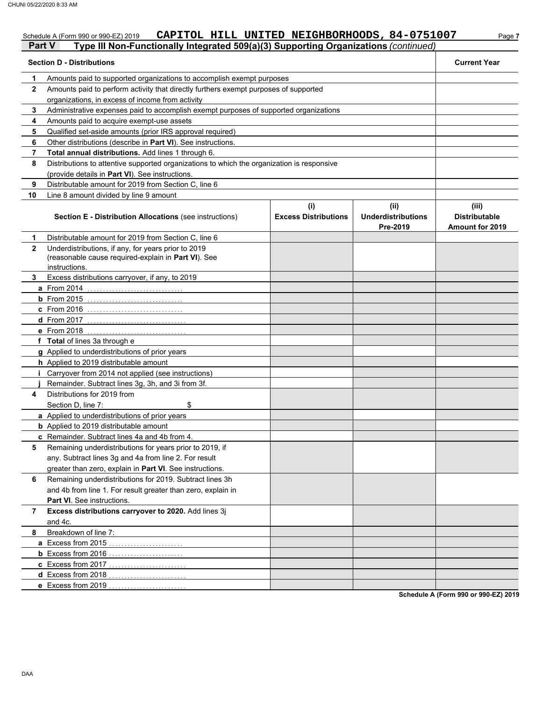# Schedule A (Form 990 or 990-EZ) 2019 **CAPITOL HILL UNITED NEIGHBORHOODS ,84-0751007** Page 7

|              | Part V<br>Type III Non-Functionally Integrated 509(a)(3) Supporting Organizations (continued)                               |                                    |                                               |                                                         |  |
|--------------|-----------------------------------------------------------------------------------------------------------------------------|------------------------------------|-----------------------------------------------|---------------------------------------------------------|--|
|              | <b>Section D - Distributions</b>                                                                                            |                                    |                                               | <b>Current Year</b>                                     |  |
| 1            | Amounts paid to supported organizations to accomplish exempt purposes                                                       |                                    |                                               |                                                         |  |
| $\mathbf{2}$ | Amounts paid to perform activity that directly furthers exempt purposes of supported                                        |                                    |                                               |                                                         |  |
|              | organizations, in excess of income from activity                                                                            |                                    |                                               |                                                         |  |
| 3            | Administrative expenses paid to accomplish exempt purposes of supported organizations                                       |                                    |                                               |                                                         |  |
| 4            | Amounts paid to acquire exempt-use assets                                                                                   |                                    |                                               |                                                         |  |
| 5            | Qualified set-aside amounts (prior IRS approval required)                                                                   |                                    |                                               |                                                         |  |
| 6            | Other distributions (describe in Part VI). See instructions.                                                                |                                    |                                               |                                                         |  |
| 7            | Total annual distributions. Add lines 1 through 6.                                                                          |                                    |                                               |                                                         |  |
| 8            | Distributions to attentive supported organizations to which the organization is responsive                                  |                                    |                                               |                                                         |  |
|              | (provide details in Part VI). See instructions.                                                                             |                                    |                                               |                                                         |  |
| 9            | Distributable amount for 2019 from Section C, line 6                                                                        |                                    |                                               |                                                         |  |
| 10           | Line 8 amount divided by line 9 amount                                                                                      |                                    |                                               |                                                         |  |
|              | <b>Section E - Distribution Allocations (see instructions)</b>                                                              | (i)<br><b>Excess Distributions</b> | (ii)<br><b>Underdistributions</b><br>Pre-2019 | (iii)<br><b>Distributable</b><br><b>Amount for 2019</b> |  |
| 1            | Distributable amount for 2019 from Section C, line 6                                                                        |                                    |                                               |                                                         |  |
| $\mathbf{2}$ | Underdistributions, if any, for years prior to 2019<br>(reasonable cause required-explain in Part VI). See<br>instructions. |                                    |                                               |                                                         |  |
| 3.           | Excess distributions carryover, if any, to 2019                                                                             |                                    |                                               |                                                         |  |
|              | <b>a</b> From 2014<br>.                                                                                                     |                                    |                                               |                                                         |  |
|              | <b>b</b> From $2015$                                                                                                        |                                    |                                               |                                                         |  |
|              | <b>c</b> From 2016                                                                                                          |                                    |                                               |                                                         |  |
|              | <b>d</b> From 2017                                                                                                          |                                    |                                               |                                                         |  |
|              | e From 2018                                                                                                                 |                                    |                                               |                                                         |  |
|              | f Total of lines 3a through e                                                                                               |                                    |                                               |                                                         |  |
|              | g Applied to underdistributions of prior years                                                                              |                                    |                                               |                                                         |  |
|              | h Applied to 2019 distributable amount                                                                                      |                                    |                                               |                                                         |  |
|              | <i>i</i> Carryover from 2014 not applied (see instructions)                                                                 |                                    |                                               |                                                         |  |
|              | Remainder. Subtract lines 3g, 3h, and 3i from 3f.                                                                           |                                    |                                               |                                                         |  |
| 4            | Distributions for 2019 from                                                                                                 |                                    |                                               |                                                         |  |
|              | \$<br>Section D, line 7:                                                                                                    |                                    |                                               |                                                         |  |
|              | a Applied to underdistributions of prior years                                                                              |                                    |                                               |                                                         |  |
|              | <b>b</b> Applied to 2019 distributable amount                                                                               |                                    |                                               |                                                         |  |
|              | c Remainder. Subtract lines 4a and 4b from 4.                                                                               |                                    |                                               |                                                         |  |
| 5            | Remaining underdistributions for years prior to 2019, if                                                                    |                                    |                                               |                                                         |  |
|              | any. Subtract lines 3g and 4a from line 2. For result                                                                       |                                    |                                               |                                                         |  |
|              | greater than zero, explain in Part VI. See instructions.                                                                    |                                    |                                               |                                                         |  |
| 6            | Remaining underdistributions for 2019. Subtract lines 3h                                                                    |                                    |                                               |                                                         |  |
|              | and 4b from line 1. For result greater than zero, explain in                                                                |                                    |                                               |                                                         |  |
|              | Part VI. See instructions.                                                                                                  |                                    |                                               |                                                         |  |
| 7            | Excess distributions carryover to 2020. Add lines 3j<br>and 4c.                                                             |                                    |                                               |                                                         |  |
| 8            | Breakdown of line 7:                                                                                                        |                                    |                                               |                                                         |  |
|              | a Excess from 2015                                                                                                          |                                    |                                               |                                                         |  |
|              |                                                                                                                             |                                    |                                               |                                                         |  |
|              | c Excess from 2017                                                                                                          |                                    |                                               |                                                         |  |
|              | d Excess from 2018                                                                                                          |                                    |                                               |                                                         |  |
|              | e Excess from 2019                                                                                                          |                                    |                                               |                                                         |  |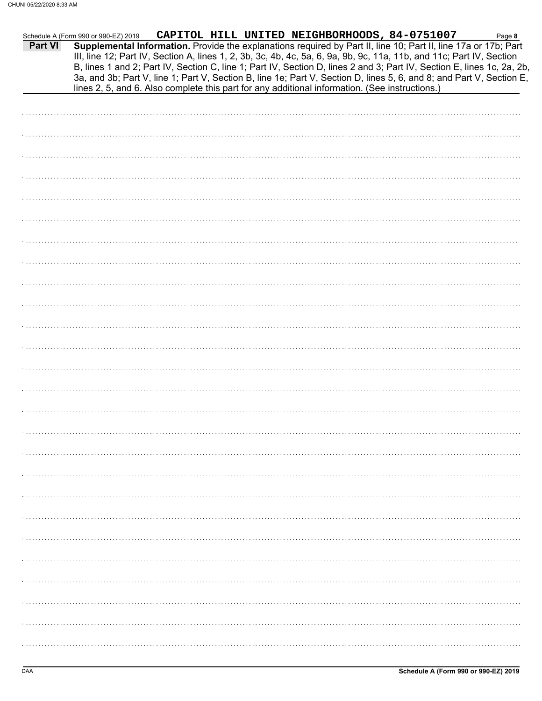| <b>Part VI</b> | CAPITOL HILL UNITED NEIGHBORHOODS, 84-0751007<br>Schedule A (Form 990 or 990-EZ) 2019<br>Page 8<br>Supplemental Information. Provide the explanations required by Part II, line 10; Part II, line 17a or 17b; Part<br>III, line 12; Part IV, Section A, lines 1, 2, 3b, 3c, 4b, 4c, 5a, 6, 9a, 9b, 9c, 11a, 11b, and 11c; Part IV, Section<br>B, lines 1 and 2; Part IV, Section C, line 1; Part IV, Section D, lines 2 and 3; Part IV, Section E, lines 1c, 2a, 2b,<br>3a, and 3b; Part V, line 1; Part V, Section B, line 1e; Part V, Section D, lines 5, 6, and 8; and Part V, Section E, |
|----------------|----------------------------------------------------------------------------------------------------------------------------------------------------------------------------------------------------------------------------------------------------------------------------------------------------------------------------------------------------------------------------------------------------------------------------------------------------------------------------------------------------------------------------------------------------------------------------------------------|
|                | lines 2, 5, and 6. Also complete this part for any additional information. (See instructions.)                                                                                                                                                                                                                                                                                                                                                                                                                                                                                               |
|                |                                                                                                                                                                                                                                                                                                                                                                                                                                                                                                                                                                                              |
|                |                                                                                                                                                                                                                                                                                                                                                                                                                                                                                                                                                                                              |
|                |                                                                                                                                                                                                                                                                                                                                                                                                                                                                                                                                                                                              |
|                |                                                                                                                                                                                                                                                                                                                                                                                                                                                                                                                                                                                              |
|                |                                                                                                                                                                                                                                                                                                                                                                                                                                                                                                                                                                                              |
|                |                                                                                                                                                                                                                                                                                                                                                                                                                                                                                                                                                                                              |
|                |                                                                                                                                                                                                                                                                                                                                                                                                                                                                                                                                                                                              |
|                |                                                                                                                                                                                                                                                                                                                                                                                                                                                                                                                                                                                              |
|                |                                                                                                                                                                                                                                                                                                                                                                                                                                                                                                                                                                                              |
|                |                                                                                                                                                                                                                                                                                                                                                                                                                                                                                                                                                                                              |
|                |                                                                                                                                                                                                                                                                                                                                                                                                                                                                                                                                                                                              |
|                |                                                                                                                                                                                                                                                                                                                                                                                                                                                                                                                                                                                              |
|                |                                                                                                                                                                                                                                                                                                                                                                                                                                                                                                                                                                                              |
|                |                                                                                                                                                                                                                                                                                                                                                                                                                                                                                                                                                                                              |
|                |                                                                                                                                                                                                                                                                                                                                                                                                                                                                                                                                                                                              |
|                |                                                                                                                                                                                                                                                                                                                                                                                                                                                                                                                                                                                              |
|                |                                                                                                                                                                                                                                                                                                                                                                                                                                                                                                                                                                                              |
|                |                                                                                                                                                                                                                                                                                                                                                                                                                                                                                                                                                                                              |
|                |                                                                                                                                                                                                                                                                                                                                                                                                                                                                                                                                                                                              |
|                |                                                                                                                                                                                                                                                                                                                                                                                                                                                                                                                                                                                              |
|                |                                                                                                                                                                                                                                                                                                                                                                                                                                                                                                                                                                                              |
|                |                                                                                                                                                                                                                                                                                                                                                                                                                                                                                                                                                                                              |
|                |                                                                                                                                                                                                                                                                                                                                                                                                                                                                                                                                                                                              |
|                |                                                                                                                                                                                                                                                                                                                                                                                                                                                                                                                                                                                              |
|                |                                                                                                                                                                                                                                                                                                                                                                                                                                                                                                                                                                                              |
|                |                                                                                                                                                                                                                                                                                                                                                                                                                                                                                                                                                                                              |
|                |                                                                                                                                                                                                                                                                                                                                                                                                                                                                                                                                                                                              |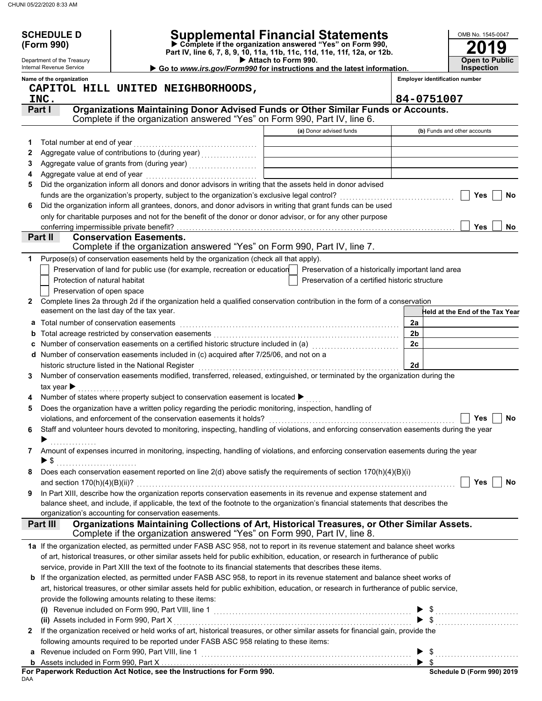|    | <b>SCHEDULE D</b>                                      |                                                                                                                                                                                                                                                          |                                                                                                                |                | OMB No. 1545-0047                          |
|----|--------------------------------------------------------|----------------------------------------------------------------------------------------------------------------------------------------------------------------------------------------------------------------------------------------------------------|----------------------------------------------------------------------------------------------------------------|----------------|--------------------------------------------|
|    | (Form 990)                                             |                                                                                                                                                                                                                                                          | Supplemental Financial Statements<br>$\triangleright$ Complete if the organization answered "Yes" on Form 990, |                |                                            |
|    |                                                        |                                                                                                                                                                                                                                                          | Part IV, line 6, 7, 8, 9, 10, 11a, 11b, 11c, 11d, 11e, 11f, 12a, or 12b.                                       |                |                                            |
|    | Department of the Treasury<br>Internal Revenue Service |                                                                                                                                                                                                                                                          | Attach to Form 990.<br>Go to www.irs.gov/Form990 for instructions and the latest information.                  |                | <b>Open to Public</b><br><b>Inspection</b> |
|    | Name of the organization                               |                                                                                                                                                                                                                                                          |                                                                                                                |                | <b>Employer identification number</b>      |
|    |                                                        | CAPITOL HILL UNITED NEIGHBORHOODS,                                                                                                                                                                                                                       |                                                                                                                |                |                                            |
|    | INC.                                                   |                                                                                                                                                                                                                                                          |                                                                                                                | 84-0751007     |                                            |
|    | Part I                                                 | Organizations Maintaining Donor Advised Funds or Other Similar Funds or Accounts.                                                                                                                                                                        |                                                                                                                |                |                                            |
|    |                                                        | Complete if the organization answered "Yes" on Form 990, Part IV, line 6.                                                                                                                                                                                |                                                                                                                |                |                                            |
|    |                                                        |                                                                                                                                                                                                                                                          | (a) Donor advised funds                                                                                        |                | (b) Funds and other accounts               |
| 1. | Total number at end of year                            |                                                                                                                                                                                                                                                          |                                                                                                                |                |                                            |
| 2  |                                                        | Aggregate value of contributions to (during year) [11] Aggregate value of contributions of the state of the state of the state of the state of the state of the state of the state of the state of the state of the state of t                           |                                                                                                                |                |                                            |
| 3  |                                                        |                                                                                                                                                                                                                                                          |                                                                                                                |                |                                            |
| 4  |                                                        |                                                                                                                                                                                                                                                          |                                                                                                                |                |                                            |
| 5  |                                                        | Did the organization inform all donors and donor advisors in writing that the assets held in donor advised                                                                                                                                               |                                                                                                                |                |                                            |
|    |                                                        |                                                                                                                                                                                                                                                          |                                                                                                                |                | Yes<br><b>No</b>                           |
| 6  |                                                        | Did the organization inform all grantees, donors, and donor advisors in writing that grant funds can be used                                                                                                                                             |                                                                                                                |                |                                            |
|    |                                                        | only for charitable purposes and not for the benefit of the donor or donor advisor, or for any other purpose                                                                                                                                             |                                                                                                                |                |                                            |
|    | conferring impermissible private benefit?              |                                                                                                                                                                                                                                                          |                                                                                                                |                | <b>Yes</b><br>No                           |
|    | Part II                                                | <b>Conservation Easements.</b>                                                                                                                                                                                                                           |                                                                                                                |                |                                            |
|    |                                                        | Complete if the organization answered "Yes" on Form 990, Part IV, line 7.                                                                                                                                                                                |                                                                                                                |                |                                            |
| 1  |                                                        | Purpose(s) of conservation easements held by the organization (check all that apply).                                                                                                                                                                    |                                                                                                                |                |                                            |
|    |                                                        | Preservation of land for public use (for example, recreation or education                                                                                                                                                                                | Preservation of a historically important land area                                                             |                |                                            |
|    | Protection of natural habitat                          |                                                                                                                                                                                                                                                          | Preservation of a certified historic structure                                                                 |                |                                            |
|    | Preservation of open space                             |                                                                                                                                                                                                                                                          |                                                                                                                |                |                                            |
| 2  |                                                        | Complete lines 2a through 2d if the organization held a qualified conservation contribution in the form of a conservation                                                                                                                                |                                                                                                                |                |                                            |
|    | easement on the last day of the tax year.              |                                                                                                                                                                                                                                                          |                                                                                                                |                | Held at the End of the Tax Year            |
| a  | Total number of conservation easements                 |                                                                                                                                                                                                                                                          |                                                                                                                | 2a             |                                            |
| b  |                                                        |                                                                                                                                                                                                                                                          |                                                                                                                | 2 <sub>b</sub> |                                            |
| c  |                                                        |                                                                                                                                                                                                                                                          |                                                                                                                | 2c             |                                            |
|    |                                                        | d Number of conservation easements included in (c) acquired after 7/25/06, and not on a                                                                                                                                                                  |                                                                                                                |                |                                            |
|    |                                                        | historic structure listed in the National Register                                                                                                                                                                                                       |                                                                                                                | 2d             |                                            |
| 3  |                                                        | Number of conservation easements modified, transferred, released, extinguished, or terminated by the organization during the                                                                                                                             |                                                                                                                |                |                                            |
|    | tax year $\blacktriangleright$                         |                                                                                                                                                                                                                                                          |                                                                                                                |                |                                            |
|    |                                                        | Number of states where property subject to conservation easement is located ▶                                                                                                                                                                            |                                                                                                                |                |                                            |
| 5  |                                                        | Does the organization have a written policy regarding the periodic monitoring, inspection, handling of                                                                                                                                                   |                                                                                                                |                |                                            |
|    |                                                        | violations, and enforcement of the conservation easements it holds?                                                                                                                                                                                      |                                                                                                                |                | Yes<br>No                                  |
| 6  |                                                        | Staff and volunteer hours devoted to monitoring, inspecting, handling of violations, and enforcing conservation easements during the year                                                                                                                |                                                                                                                |                |                                            |
|    | ▶                                                      |                                                                                                                                                                                                                                                          |                                                                                                                |                |                                            |
| 7  |                                                        | Amount of expenses incurred in monitoring, inspecting, handling of violations, and enforcing conservation easements during the year                                                                                                                      |                                                                                                                |                |                                            |
|    |                                                        |                                                                                                                                                                                                                                                          |                                                                                                                |                |                                            |
| 8  |                                                        | Does each conservation easement reported on line $2(d)$ above satisfy the requirements of section $170(h)(4)(B)(i)$                                                                                                                                      |                                                                                                                |                |                                            |
|    |                                                        |                                                                                                                                                                                                                                                          |                                                                                                                |                | Yes<br>No                                  |
| 9  |                                                        | In Part XIII, describe how the organization reports conservation easements in its revenue and expense statement and<br>balance sheet, and include, if applicable, the text of the footnote to the organization's financial statements that describes the |                                                                                                                |                |                                            |
|    |                                                        | organization's accounting for conservation easements.                                                                                                                                                                                                    |                                                                                                                |                |                                            |
|    | Part III                                               | Organizations Maintaining Collections of Art, Historical Treasures, or Other Similar Assets.                                                                                                                                                             |                                                                                                                |                |                                            |
|    |                                                        | Complete if the organization answered "Yes" on Form 990, Part IV, line 8.                                                                                                                                                                                |                                                                                                                |                |                                            |
|    |                                                        | 1a If the organization elected, as permitted under FASB ASC 958, not to report in its revenue statement and balance sheet works                                                                                                                          |                                                                                                                |                |                                            |
|    |                                                        | of art, historical treasures, or other similar assets held for public exhibition, education, or research in furtherance of public                                                                                                                        |                                                                                                                |                |                                            |
|    |                                                        | service, provide in Part XIII the text of the footnote to its financial statements that describes these items.                                                                                                                                           |                                                                                                                |                |                                            |
| b  |                                                        | If the organization elected, as permitted under FASB ASC 958, to report in its revenue statement and balance sheet works of                                                                                                                              |                                                                                                                |                |                                            |
|    |                                                        | art, historical treasures, or other similar assets held for public exhibition, education, or research in furtherance of public service,                                                                                                                  |                                                                                                                |                |                                            |
|    |                                                        | provide the following amounts relating to these items:                                                                                                                                                                                                   |                                                                                                                |                |                                            |
|    |                                                        |                                                                                                                                                                                                                                                          |                                                                                                                |                |                                            |
|    |                                                        | (i) Revenue included on Form 990, Part VIII, line 1 $\ldots$ $\ldots$ $\ldots$ $\ldots$ $\ldots$ $\ldots$ $\ldots$ $\ldots$ $\ldots$ $\ldots$                                                                                                            |                                                                                                                |                |                                            |
| 2  |                                                        | If the organization received or held works of art, historical treasures, or other similar assets for financial gain, provide the                                                                                                                         |                                                                                                                |                |                                            |
|    |                                                        | following amounts required to be reported under FASB ASC 958 relating to these items:                                                                                                                                                                    |                                                                                                                |                |                                            |
| a  |                                                        |                                                                                                                                                                                                                                                          |                                                                                                                |                |                                            |
|    |                                                        |                                                                                                                                                                                                                                                          |                                                                                                                |                |                                            |
|    |                                                        |                                                                                                                                                                                                                                                          |                                                                                                                |                | Schedule D (Form 990) 2019                 |

DAA **For Paperwork Reduction Act Notice, see the Instructions for Form 990.**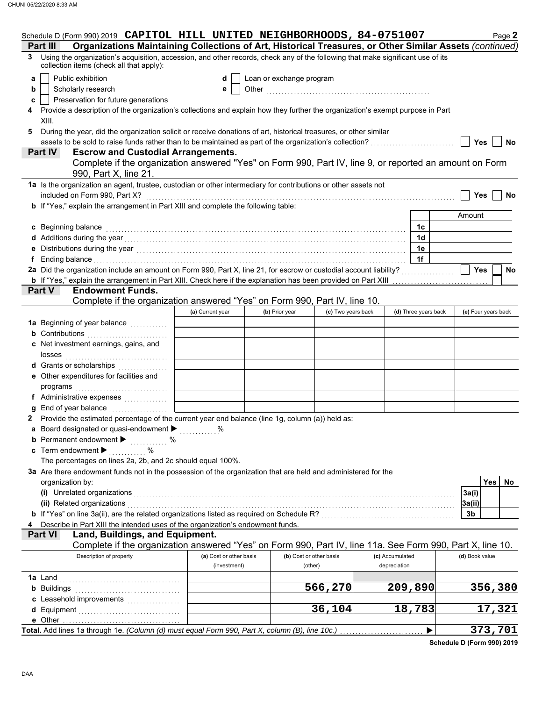|                                        | Schedule D (Form 990) 2019 CAPITOL HILL UNITED NEIGHBORHOODS, 84-0751007                                                                                                                                                       |                         |                          |                         |                 |                      |                | Page 2              |
|----------------------------------------|--------------------------------------------------------------------------------------------------------------------------------------------------------------------------------------------------------------------------------|-------------------------|--------------------------|-------------------------|-----------------|----------------------|----------------|---------------------|
| Part III                               | Organizations Maintaining Collections of Art, Historical Treasures, or Other Similar Assets (continued)                                                                                                                        |                         |                          |                         |                 |                      |                |                     |
| 3                                      | Using the organization's acquisition, accession, and other records, check any of the following that make significant use of its<br>collection items (check all that apply):                                                    |                         |                          |                         |                 |                      |                |                     |
| a                                      | Public exhibition                                                                                                                                                                                                              | d                       | Loan or exchange program |                         |                 |                      |                |                     |
| b                                      | Scholarly research                                                                                                                                                                                                             | е                       |                          |                         |                 |                      |                |                     |
| c                                      | Preservation for future generations                                                                                                                                                                                            |                         |                          |                         |                 |                      |                |                     |
|                                        | Provide a description of the organization's collections and explain how they further the organization's exempt purpose in Part                                                                                                 |                         |                          |                         |                 |                      |                |                     |
| XIII.                                  |                                                                                                                                                                                                                                |                         |                          |                         |                 |                      |                |                     |
| 5                                      | During the year, did the organization solicit or receive donations of art, historical treasures, or other similar                                                                                                              |                         |                          |                         |                 |                      |                |                     |
|                                        | assets to be sold to raise funds rather than to be maintained as part of the organization's collection?                                                                                                                        |                         |                          |                         |                 |                      | Yes            | No                  |
| <b>Part IV</b>                         | <b>Escrow and Custodial Arrangements.</b>                                                                                                                                                                                      |                         |                          |                         |                 |                      |                |                     |
|                                        | Complete if the organization answered "Yes" on Form 990, Part IV, line 9, or reported an amount on Form<br>990, Part X, line 21.                                                                                               |                         |                          |                         |                 |                      |                |                     |
|                                        | 1a Is the organization an agent, trustee, custodian or other intermediary for contributions or other assets not                                                                                                                |                         |                          |                         |                 |                      |                |                     |
|                                        | included on Form 990, Part X?                                                                                                                                                                                                  |                         |                          |                         |                 |                      | Yes            | No                  |
|                                        | <b>b</b> If "Yes," explain the arrangement in Part XIII and complete the following table:                                                                                                                                      |                         |                          |                         |                 |                      |                |                     |
|                                        |                                                                                                                                                                                                                                |                         |                          |                         |                 |                      | Amount         |                     |
| c Beginning balance                    |                                                                                                                                                                                                                                |                         |                          |                         |                 | 1c                   |                |                     |
|                                        |                                                                                                                                                                                                                                |                         |                          |                         |                 | 1 <sub>d</sub>       |                |                     |
|                                        |                                                                                                                                                                                                                                |                         |                          |                         |                 | 1e                   |                |                     |
|                                        | Ending balance with an account of the contract of the contract of the contract of the contract of the contract of the contract of the contract of the contract of the contract of the contract of the contract of the contract |                         |                          |                         |                 | 1f                   |                |                     |
|                                        | 2a Did the organization include an amount on Form 990, Part X, line 21, for escrow or custodial account liability?                                                                                                             |                         |                          |                         |                 |                      | Yes            | No                  |
|                                        | <b>b</b> If "Yes," explain the arrangement in Part XIII. Check here if the explanation has been provided on Part XIII                                                                                                          |                         |                          |                         |                 |                      |                |                     |
| Part V                                 | <b>Endowment Funds.</b>                                                                                                                                                                                                        |                         |                          |                         |                 |                      |                |                     |
|                                        | Complete if the organization answered "Yes" on Form 990, Part IV, line 10.                                                                                                                                                     |                         |                          |                         |                 |                      |                |                     |
|                                        |                                                                                                                                                                                                                                | (a) Current year        | (b) Prior year           | (c) Two years back      |                 | (d) Three years back |                | (e) Four years back |
|                                        |                                                                                                                                                                                                                                |                         |                          |                         |                 |                      |                |                     |
|                                        | <b>b</b> Contributions <b>contributions</b>                                                                                                                                                                                    |                         |                          |                         |                 |                      |                |                     |
|                                        | c Net investment earnings, gains, and                                                                                                                                                                                          |                         |                          |                         |                 |                      |                |                     |
| losses                                 |                                                                                                                                                                                                                                |                         |                          |                         |                 |                      |                |                     |
|                                        | <b>d</b> Grants or scholarships<br>.                                                                                                                                                                                           |                         |                          |                         |                 |                      |                |                     |
|                                        | e Other expenditures for facilities and                                                                                                                                                                                        |                         |                          |                         |                 |                      |                |                     |
| programs                               |                                                                                                                                                                                                                                |                         |                          |                         |                 |                      |                |                     |
|                                        | f Administrative expenses                                                                                                                                                                                                      |                         |                          |                         |                 |                      |                |                     |
|                                        | End of year balance                                                                                                                                                                                                            |                         |                          |                         |                 |                      |                |                     |
|                                        | 2 Provide the estimated percentage of the current year end balance (line 1g, column (a)) held as:                                                                                                                              |                         |                          |                         |                 |                      |                |                     |
| a                                      | Board designated or quasi-endowment > %                                                                                                                                                                                        |                         |                          |                         |                 |                      |                |                     |
|                                        | <b>b</b> Permanent endowment $\blacktriangleright$<br>$\%$<br>.                                                                                                                                                                |                         |                          |                         |                 |                      |                |                     |
| c Term endowment $\blacktriangleright$ | %                                                                                                                                                                                                                              |                         |                          |                         |                 |                      |                |                     |
|                                        | The percentages on lines 2a, 2b, and 2c should equal 100%.                                                                                                                                                                     |                         |                          |                         |                 |                      |                |                     |
|                                        | 3a Are there endowment funds not in the possession of the organization that are held and administered for the                                                                                                                  |                         |                          |                         |                 |                      |                |                     |
| organization by:                       |                                                                                                                                                                                                                                |                         |                          |                         |                 |                      |                | Yes<br><b>No</b>    |
|                                        | (i) Unrelated organizations                                                                                                                                                                                                    |                         |                          |                         |                 |                      | 3a(i)          |                     |
|                                        | (ii) Related organizations                                                                                                                                                                                                     |                         |                          |                         |                 |                      | 3a(ii)         |                     |
|                                        | b If "Yes" on line 3a(ii), are the related organizations listed as required on Schedule R? [[[[[[[[[[[[[[[[[[[                                                                                                                 |                         |                          |                         |                 |                      | 3b             |                     |
|                                        | Describe in Part XIII the intended uses of the organization's endowment funds.                                                                                                                                                 |                         |                          |                         |                 |                      |                |                     |
| <b>Part VI</b>                         | Land, Buildings, and Equipment.                                                                                                                                                                                                |                         |                          |                         |                 |                      |                |                     |
|                                        | Complete if the organization answered "Yes" on Form 990, Part IV, line 11a. See Form 990, Part X, line 10.<br>Description of property                                                                                          | (a) Cost or other basis |                          | (b) Cost or other basis | (c) Accumulated |                      | (d) Book value |                     |
|                                        |                                                                                                                                                                                                                                | (investment)            |                          | (other)                 | depreciation    |                      |                |                     |
|                                        |                                                                                                                                                                                                                                |                         |                          |                         |                 |                      |                |                     |
| <b>1a</b> Land                         |                                                                                                                                                                                                                                |                         |                          | 566,270                 |                 | 209,890              |                | 356,380             |
| <b>b</b> Buildings                     | c Leasehold improvements                                                                                                                                                                                                       |                         |                          |                         |                 |                      |                |                     |
| <b>d</b> Equipment                     |                                                                                                                                                                                                                                |                         |                          | 36,104                  |                 | 18,783               |                | 17,321              |
| e Other                                |                                                                                                                                                                                                                                |                         |                          |                         |                 |                      |                |                     |
|                                        | Total. Add lines 1a through 1e. (Column (d) must equal Form 990, Part X, column (B), line 10c.)                                                                                                                                |                         |                          |                         |                 | ▶                    |                | 373,701             |
|                                        |                                                                                                                                                                                                                                |                         |                          |                         |                 |                      |                |                     |

**Schedule D (Form 990) 2019**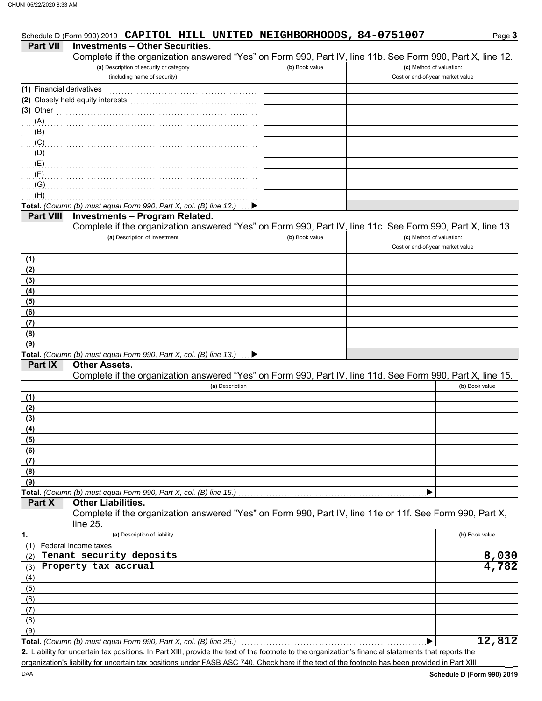|                           | Schedule D (Form 990) 2019 CAPITOL HILL UNITED NEIGHBORHOODS, 84-0751007                                    |                |                                                              | Page 3         |
|---------------------------|-------------------------------------------------------------------------------------------------------------|----------------|--------------------------------------------------------------|----------------|
| <b>Part VII</b>           | <b>Investments - Other Securities.</b>                                                                      |                |                                                              |                |
|                           | Complete if the organization answered "Yes" on Form 990, Part IV, line 11b. See Form 990, Part X, line 12.  |                |                                                              |                |
|                           | (a) Description of security or category<br>(including name of security)                                     | (b) Book value | (c) Method of valuation:<br>Cost or end-of-year market value |                |
| (1) Financial derivatives |                                                                                                             |                |                                                              |                |
|                           | (2) Closely held equity interests                                                                           |                |                                                              |                |
| (3) Other                 |                                                                                                             |                |                                                              |                |
|                           |                                                                                                             |                |                                                              |                |
| . (B)                     |                                                                                                             |                |                                                              |                |
| $\mathcal{L}(\mathsf{C})$ |                                                                                                             |                |                                                              |                |
| $\ldots$ (D)              |                                                                                                             |                |                                                              |                |
| (E)                       |                                                                                                             |                |                                                              |                |
| (F)                       |                                                                                                             |                |                                                              |                |
| $\mathcal{L}(\mathsf{G})$ |                                                                                                             |                |                                                              |                |
| (H)                       |                                                                                                             |                |                                                              |                |
| <b>Part VIII</b>          | Total. (Column (b) must equal Form 990, Part X, col. (B) line 12.)<br><b>Investments - Program Related.</b> |                |                                                              |                |
|                           | Complete if the organization answered "Yes" on Form 990, Part IV, line 11c. See Form 990, Part X, line 13.  |                |                                                              |                |
|                           | (a) Description of investment                                                                               | (b) Book value | (c) Method of valuation:                                     |                |
|                           |                                                                                                             |                | Cost or end-of-year market value                             |                |
| (1)                       |                                                                                                             |                |                                                              |                |
| (2)                       |                                                                                                             |                |                                                              |                |
| (3)                       |                                                                                                             |                |                                                              |                |
| (4)                       |                                                                                                             |                |                                                              |                |
| (5)                       |                                                                                                             |                |                                                              |                |
| (6)                       |                                                                                                             |                |                                                              |                |
| (7)                       |                                                                                                             |                |                                                              |                |
| (8)                       |                                                                                                             |                |                                                              |                |
| (9)                       | Total. (Column (b) must equal Form 990, Part X, col. (B) line 13.)<br>▶                                     |                |                                                              |                |
| Part IX                   | <b>Other Assets.</b>                                                                                        |                |                                                              |                |
|                           | Complete if the organization answered "Yes" on Form 990, Part IV, line 11d. See Form 990, Part X, line 15.  |                |                                                              |                |
|                           | (a) Description                                                                                             |                |                                                              | (b) Book value |
| (1)                       |                                                                                                             |                |                                                              |                |
| (2)                       |                                                                                                             |                |                                                              |                |
| (3)                       |                                                                                                             |                |                                                              |                |
| (4)                       |                                                                                                             |                |                                                              |                |
| (5)                       |                                                                                                             |                |                                                              |                |
| (6)                       |                                                                                                             |                |                                                              |                |
| (7)                       |                                                                                                             |                |                                                              |                |
| (8)<br>(9)                |                                                                                                             |                |                                                              |                |
|                           | Total. (Column (b) must equal Form 990, Part X, col. (B) line 15.)                                          |                |                                                              |                |
| Part X                    | <b>Other Liabilities.</b>                                                                                   |                |                                                              |                |
|                           | Complete if the organization answered "Yes" on Form 990, Part IV, line 11e or 11f. See Form 990, Part X,    |                |                                                              |                |
|                           | line 25.                                                                                                    |                |                                                              |                |
| 1.                        | (a) Description of liability                                                                                |                |                                                              | (b) Book value |
| (1)                       | Federal income taxes                                                                                        |                |                                                              |                |
| (2)                       | Tenant security deposits                                                                                    |                |                                                              | 8,030          |
| (3)                       | Property tax accrual                                                                                        |                |                                                              | 4,782          |
| (4)                       |                                                                                                             |                |                                                              |                |
| (5)<br>(6)                |                                                                                                             |                |                                                              |                |
| (7)                       |                                                                                                             |                |                                                              |                |
| (8)                       |                                                                                                             |                |                                                              |                |
| (9)                       |                                                                                                             |                |                                                              |                |
|                           | Total. (Column (b) must equal Form 990, Part X, col. (B) line 25.)                                          |                |                                                              | 12,812         |
|                           |                                                                                                             |                |                                                              |                |

Liability for uncertain tax positions. In Part XIII, provide the text of the footnote to the organization's financial statements that reports the **2.** organization's liability for uncertain tax positions under FASB ASC 740. Check here if the text of the footnote has been provided in Part XIII

 $\overline{\phantom{a}}$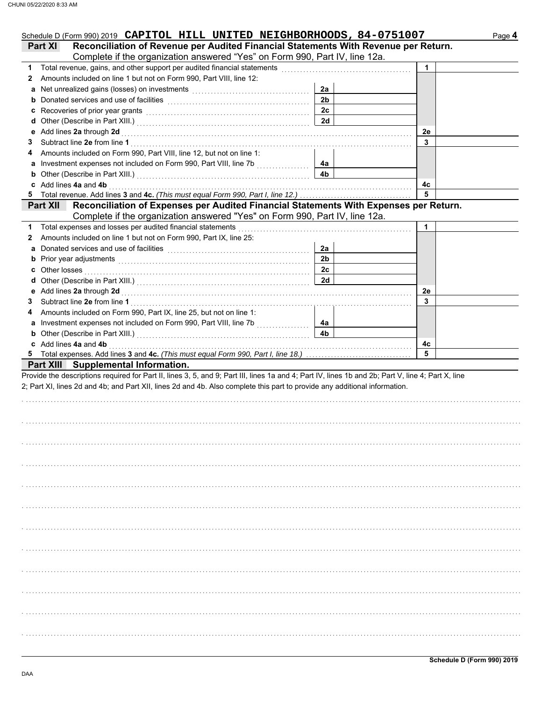| Schedule D (Form 990) 2019 CAPITOL HILL UNITED NEIGHBORHOODS, 84-0751007                                                                                                                                                            |                |    | Page 4 |
|-------------------------------------------------------------------------------------------------------------------------------------------------------------------------------------------------------------------------------------|----------------|----|--------|
| Reconciliation of Revenue per Audited Financial Statements With Revenue per Return.<br><b>Part XI</b>                                                                                                                               |                |    |        |
| Complete if the organization answered "Yes" on Form 990, Part IV, line 12a.                                                                                                                                                         |                |    |        |
| 1 Total revenue, gains, and other support per audited financial statements [111] Total revenues contract to the                                                                                                                     |                | 1  |        |
| Amounts included on line 1 but not on Form 990, Part VIII, line 12:<br>2                                                                                                                                                            |                |    |        |
|                                                                                                                                                                                                                                     | 2a             |    |        |
|                                                                                                                                                                                                                                     | 2 <sub>b</sub> |    |        |
| c Recoveries of prior year grants [11] Recovering the Recoveries of prior year grants [11] Recoveries of prior                                                                                                                      | 2 <sub>c</sub> |    |        |
|                                                                                                                                                                                                                                     | 2d             |    |        |
|                                                                                                                                                                                                                                     |                | 2e |        |
| 3                                                                                                                                                                                                                                   |                | 3  |        |
| Amounts included on Form 990, Part VIII, line 12, but not on line 1:<br>4                                                                                                                                                           |                |    |        |
| a Investment expenses not included on Form 990, Part VIII, line 7b [[[[[[[[[[[[[[[[[[[[[[[[[[[[[[[[[                                                                                                                                | 4а             |    |        |
| <b>b</b> Other (Describe in Part XIII.) <b>CONSIDENT DESCRIPTION DESCRIPTION DESCRIPTION DESCRIPTION DESCRIPTION DESCRIPTION DESCRIPTION DESCRIPTION DESCRIPTION DESCRIPTION DESCRIPTION DESCRIPTION DESCRI</b>                     | 4b             |    |        |
| c Add lines 4a and 4b                                                                                                                                                                                                               |                | 4с |        |
|                                                                                                                                                                                                                                     |                | 5  |        |
| Part XII Reconciliation of Expenses per Audited Financial Statements With Expenses per Return.                                                                                                                                      |                |    |        |
| Complete if the organization answered "Yes" on Form 990, Part IV, line 12a.                                                                                                                                                         |                |    |        |
| 1 Total expenses and losses per audited financial statements                                                                                                                                                                        |                | 1  |        |
| Amounts included on line 1 but not on Form 990, Part IX, line 25:<br>2                                                                                                                                                              |                |    |        |
| Donated services and use of facilities [[11] with an intervention of the service of facilities [11] with an intervention of the service of the service of the service of the service of the service of the service of the serv<br>a | 2a             |    |        |
|                                                                                                                                                                                                                                     | 2 <sub>b</sub> |    |        |
|                                                                                                                                                                                                                                     | 2c             |    |        |
|                                                                                                                                                                                                                                     | 2d             |    |        |
|                                                                                                                                                                                                                                     |                | 2e |        |
| 3                                                                                                                                                                                                                                   |                | 3  |        |
| Amounts included on Form 990, Part IX, line 25, but not on line 1:<br>4                                                                                                                                                             |                |    |        |
|                                                                                                                                                                                                                                     | 4а             |    |        |
| <b>b</b> Other (Describe in Part XIII.) <b>CONSIDENT DESCRIPTION DESCRIPTION DESCRIPTION DESCRIPTION DESCRIPTION DESCRIPTION DESCRIPTION DESCRIPTION DESCRIPTION DESCRIPTION DESCRIPTION</b>                                        | 4b             |    |        |
| c Add lines 4a and 4b                                                                                                                                                                                                               |                | 4c |        |
|                                                                                                                                                                                                                                     |                | 5  |        |
| Part XIII Supplemental Information.                                                                                                                                                                                                 |                |    |        |
| Provide the descriptions required for Part II, lines 3, 5, and 9; Part III, lines 1a and 4; Part IV, lines 1b and 2b; Part V, line 4; Part X, line                                                                                  |                |    |        |
| 2; Part XI, lines 2d and 4b; and Part XII, lines 2d and 4b. Also complete this part to provide any additional information.                                                                                                          |                |    |        |
|                                                                                                                                                                                                                                     |                |    |        |
|                                                                                                                                                                                                                                     |                |    |        |
|                                                                                                                                                                                                                                     |                |    |        |
|                                                                                                                                                                                                                                     |                |    |        |
|                                                                                                                                                                                                                                     |                |    |        |
|                                                                                                                                                                                                                                     |                |    |        |
|                                                                                                                                                                                                                                     |                |    |        |
|                                                                                                                                                                                                                                     |                |    |        |
|                                                                                                                                                                                                                                     |                |    |        |
|                                                                                                                                                                                                                                     |                |    |        |
|                                                                                                                                                                                                                                     |                |    |        |
|                                                                                                                                                                                                                                     |                |    |        |
|                                                                                                                                                                                                                                     |                |    |        |
|                                                                                                                                                                                                                                     |                |    |        |
|                                                                                                                                                                                                                                     |                |    |        |
|                                                                                                                                                                                                                                     |                |    |        |
|                                                                                                                                                                                                                                     |                |    |        |
|                                                                                                                                                                                                                                     |                |    |        |
|                                                                                                                                                                                                                                     |                |    |        |
|                                                                                                                                                                                                                                     |                |    |        |
|                                                                                                                                                                                                                                     |                |    |        |
|                                                                                                                                                                                                                                     |                |    |        |
|                                                                                                                                                                                                                                     |                |    |        |
|                                                                                                                                                                                                                                     |                |    |        |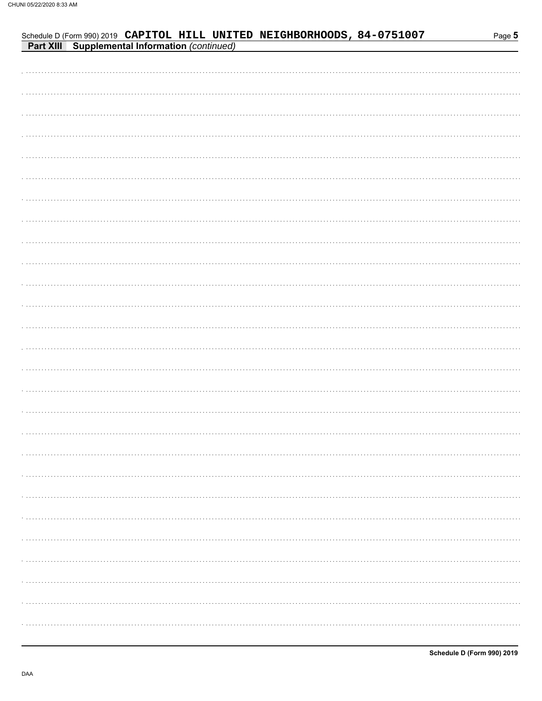| <b>Part XIII Supplemental Information (continued)</b> |
|-------------------------------------------------------|
|                                                       |
|                                                       |
|                                                       |
|                                                       |
|                                                       |
|                                                       |
|                                                       |
|                                                       |
|                                                       |
|                                                       |
|                                                       |
|                                                       |
|                                                       |
|                                                       |
|                                                       |
|                                                       |
|                                                       |
|                                                       |
|                                                       |
|                                                       |
|                                                       |
|                                                       |
|                                                       |
|                                                       |
|                                                       |
|                                                       |
|                                                       |
|                                                       |
|                                                       |

Schedule D (Form 990) 2019 CAPITOL HILL UNITED NEIGHBORHOODS, 84-0751007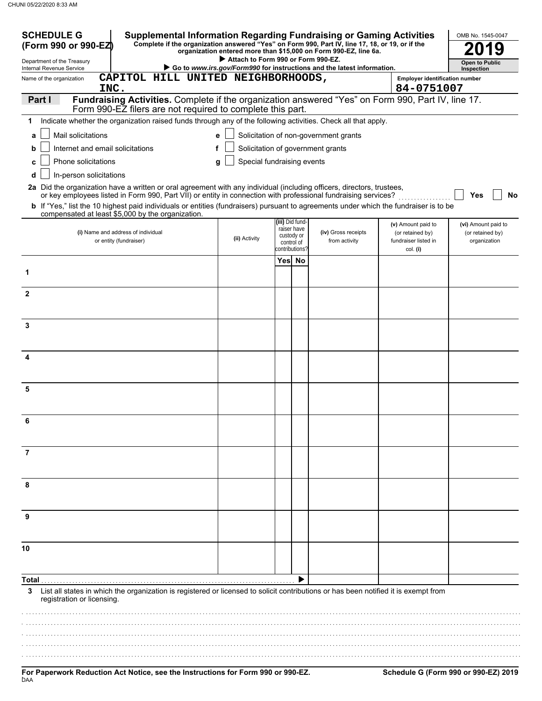| <b>SCHEDULE G</b><br><b>Supplemental Information Regarding Fundraising or Gaming Activities</b><br>Complete if the organization answered "Yes" on Form 990, Part IV, line 17, 18, or 19, or if the<br>(Form 990 or 990-EZ)                                                                                                                                                                                                             |                                    |                                                           | organization entered more than \$15,000 on Form 990-EZ, line 6a.       |                                                      | OMB No. 1545-0047                |
|----------------------------------------------------------------------------------------------------------------------------------------------------------------------------------------------------------------------------------------------------------------------------------------------------------------------------------------------------------------------------------------------------------------------------------------|------------------------------------|-----------------------------------------------------------|------------------------------------------------------------------------|------------------------------------------------------|----------------------------------|
| Department of the Treasury<br>Internal Revenue Service                                                                                                                                                                                                                                                                                                                                                                                 | Attach to Form 990 or Form 990-EZ. |                                                           | Go to www.irs.gov/Form990 for instructions and the latest information. |                                                      | <b>Open to Public</b>            |
| CAPITOL HILL UNITED NEIGHBORHOODS,<br>Name of the organization<br>INC.                                                                                                                                                                                                                                                                                                                                                                 |                                    |                                                           |                                                                        | <b>Employer identification number</b><br>84-0751007  | Inspection                       |
| Fundraising Activities. Complete if the organization answered "Yes" on Form 990, Part IV, line 17.<br>Part I<br>Form 990-EZ filers are not required to complete this part.                                                                                                                                                                                                                                                             |                                    |                                                           |                                                                        |                                                      |                                  |
| Indicate whether the organization raised funds through any of the following activities. Check all that apply.<br>1                                                                                                                                                                                                                                                                                                                     |                                    |                                                           |                                                                        |                                                      |                                  |
| Mail solicitations<br>a                                                                                                                                                                                                                                                                                                                                                                                                                | e                                  |                                                           | Solicitation of non-government grants                                  |                                                      |                                  |
| Internet and email solicitations<br>b                                                                                                                                                                                                                                                                                                                                                                                                  | f                                  |                                                           | Solicitation of government grants                                      |                                                      |                                  |
| Phone solicitations                                                                                                                                                                                                                                                                                                                                                                                                                    | Special fundraising events<br>g    |                                                           |                                                                        |                                                      |                                  |
| In-person solicitations<br>d                                                                                                                                                                                                                                                                                                                                                                                                           |                                    |                                                           |                                                                        |                                                      |                                  |
| 2a Did the organization have a written or oral agreement with any individual (including officers, directors, trustees,<br>or key employees listed in Form 990, Part VII) or entity in connection with professional fundraising services?<br>b If "Yes," list the 10 highest paid individuals or entities (fundraisers) pursuant to agreements under which the fundraiser is to be<br>compensated at least \$5,000 by the organization. |                                    |                                                           |                                                                        |                                                      | Yes<br>No                        |
|                                                                                                                                                                                                                                                                                                                                                                                                                                        |                                    | (iii) Did fund-                                           |                                                                        | (v) Amount paid to                                   | (vi) Amount paid to              |
| (i) Name and address of individual<br>or entity (fundraiser)                                                                                                                                                                                                                                                                                                                                                                           | (ii) Activity                      | raiser have<br>custody or<br>control of<br>contributions? | (iv) Gross receipts<br>from activity                                   | (or retained by)<br>fundraiser listed in<br>col. (i) | (or retained by)<br>organization |
|                                                                                                                                                                                                                                                                                                                                                                                                                                        |                                    | Yes No                                                    |                                                                        |                                                      |                                  |
| 1                                                                                                                                                                                                                                                                                                                                                                                                                                      |                                    |                                                           |                                                                        |                                                      |                                  |
| $\mathbf{2}$                                                                                                                                                                                                                                                                                                                                                                                                                           |                                    |                                                           |                                                                        |                                                      |                                  |
| 3                                                                                                                                                                                                                                                                                                                                                                                                                                      |                                    |                                                           |                                                                        |                                                      |                                  |
| 4                                                                                                                                                                                                                                                                                                                                                                                                                                      |                                    |                                                           |                                                                        |                                                      |                                  |
|                                                                                                                                                                                                                                                                                                                                                                                                                                        |                                    |                                                           |                                                                        |                                                      |                                  |
| 5                                                                                                                                                                                                                                                                                                                                                                                                                                      |                                    |                                                           |                                                                        |                                                      |                                  |
| 6                                                                                                                                                                                                                                                                                                                                                                                                                                      |                                    |                                                           |                                                                        |                                                      |                                  |
| 7                                                                                                                                                                                                                                                                                                                                                                                                                                      |                                    |                                                           |                                                                        |                                                      |                                  |
|                                                                                                                                                                                                                                                                                                                                                                                                                                        |                                    |                                                           |                                                                        |                                                      |                                  |
| 8                                                                                                                                                                                                                                                                                                                                                                                                                                      |                                    |                                                           |                                                                        |                                                      |                                  |
| 9                                                                                                                                                                                                                                                                                                                                                                                                                                      |                                    |                                                           |                                                                        |                                                      |                                  |
| 10                                                                                                                                                                                                                                                                                                                                                                                                                                     |                                    |                                                           |                                                                        |                                                      |                                  |
|                                                                                                                                                                                                                                                                                                                                                                                                                                        |                                    |                                                           |                                                                        |                                                      |                                  |
| Total<br>List all states in which the organization is registered or licensed to solicit contributions or has been notified it is exempt from<br>3<br>registration or licensing.                                                                                                                                                                                                                                                        |                                    |                                                           |                                                                        |                                                      |                                  |
|                                                                                                                                                                                                                                                                                                                                                                                                                                        |                                    |                                                           |                                                                        |                                                      |                                  |
|                                                                                                                                                                                                                                                                                                                                                                                                                                        |                                    |                                                           |                                                                        |                                                      |                                  |
|                                                                                                                                                                                                                                                                                                                                                                                                                                        |                                    |                                                           |                                                                        |                                                      |                                  |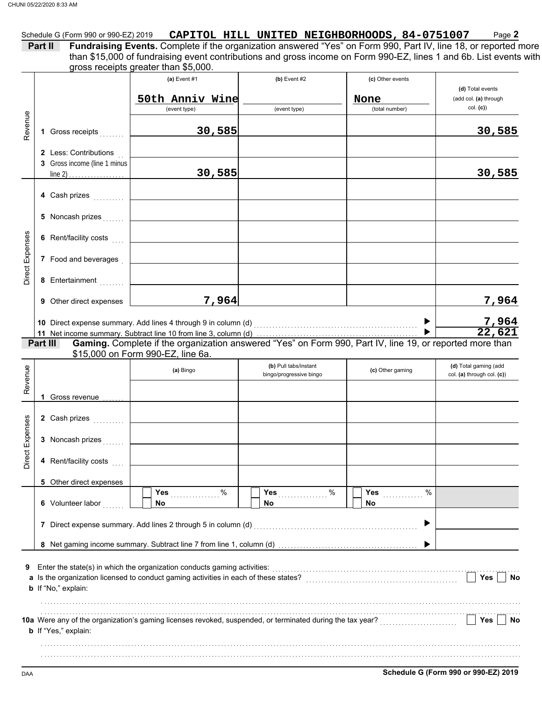|                          | Part II                                                                                     | Fundraising Events. Complete if the organization answered "Yes" on Form 990, Part IV, line 18, or reported more<br>than \$15,000 of fundraising event contributions and gross income on Form 990-EZ, lines 1 and 6b. List events with<br>gross receipts greater than \$5,000. |                                | Schedule G (Form 990 or 990-EZ) 2019 CAPITOL HILL UNITED NEIGHBORHOODS, 84-0751007 | Page 2                                                |
|--------------------------|---------------------------------------------------------------------------------------------|-------------------------------------------------------------------------------------------------------------------------------------------------------------------------------------------------------------------------------------------------------------------------------|--------------------------------|------------------------------------------------------------------------------------|-------------------------------------------------------|
|                          |                                                                                             | $(a)$ Event #1<br>50th Anniv Wine<br>(event type)                                                                                                                                                                                                                             | $(b)$ Event #2<br>(event type) | (c) Other events<br>None<br>(total number)                                         | (d) Total events<br>(add col. (a) through<br>col. (c) |
| Revenue                  | 1 Gross receipts                                                                            | 30,585                                                                                                                                                                                                                                                                        |                                |                                                                                    | 30,585                                                |
|                          | 2 Less: Contributions<br>3 Gross income (line 1 minus<br>line 2) $\ldots$ $\ldots$ $\ldots$ | 30,585                                                                                                                                                                                                                                                                        |                                |                                                                                    | 30,585                                                |
|                          | 4 Cash prizes                                                                               |                                                                                                                                                                                                                                                                               |                                |                                                                                    |                                                       |
|                          | 5 Noncash prizes                                                                            |                                                                                                                                                                                                                                                                               |                                |                                                                                    |                                                       |
|                          | 6 Rent/facility costs [11]                                                                  |                                                                                                                                                                                                                                                                               |                                |                                                                                    |                                                       |
| Direct Expenses          | 7 Food and beverages                                                                        |                                                                                                                                                                                                                                                                               |                                |                                                                                    |                                                       |
|                          | 8 Entertainment                                                                             |                                                                                                                                                                                                                                                                               |                                |                                                                                    |                                                       |
|                          | 9 Other direct expenses                                                                     | 7,964                                                                                                                                                                                                                                                                         |                                |                                                                                    | 7,964                                                 |
|                          | Part III                                                                                    | Gaming. Complete if the organization answered "Yes" on Form 990, Part IV, line 19, or reported more than<br>\$15,000 on Form 990-EZ, line 6a.                                                                                                                                 |                                |                                                                                    | $\frac{7,964}{22,621}$                                |
| Revenue                  |                                                                                             |                                                                                                                                                                                                                                                                               | (b) Pull tabs/instant          |                                                                                    |                                                       |
|                          |                                                                                             | (a) Bingo                                                                                                                                                                                                                                                                     | bingo/progressive bingo        | (c) Other gaming                                                                   | (d) Total gaming (add<br>col. (a) through col. (c))   |
|                          | 1 Gross revenue                                                                             |                                                                                                                                                                                                                                                                               |                                |                                                                                    |                                                       |
|                          | 2 Cash prizes<br>3 Noncash prizes                                                           |                                                                                                                                                                                                                                                                               |                                |                                                                                    |                                                       |
|                          | 4 Rent/facility costs                                                                       |                                                                                                                                                                                                                                                                               |                                |                                                                                    |                                                       |
|                          | 5 Other direct expenses                                                                     |                                                                                                                                                                                                                                                                               |                                |                                                                                    |                                                       |
|                          | 6 Volunteer labor                                                                           | %<br><b>Yes</b><br>No.                                                                                                                                                                                                                                                        | %<br>No                        | %<br><b>Yes</b><br>No                                                              |                                                       |
|                          |                                                                                             | 7 Direct expense summary. Add lines 2 through 5 in column (d)                                                                                                                                                                                                                 |                                |                                                                                    |                                                       |
|                          |                                                                                             |                                                                                                                                                                                                                                                                               |                                |                                                                                    |                                                       |
|                          | <b>b</b> If "No," explain:                                                                  | Enter the state(s) in which the organization conducts gaming activities:                                                                                                                                                                                                      |                                |                                                                                    | Yes<br>No                                             |
| 89<br>Direct Expens<br>9 | b If "Yes," explain:                                                                        |                                                                                                                                                                                                                                                                               |                                |                                                                                    | Yes<br>No                                             |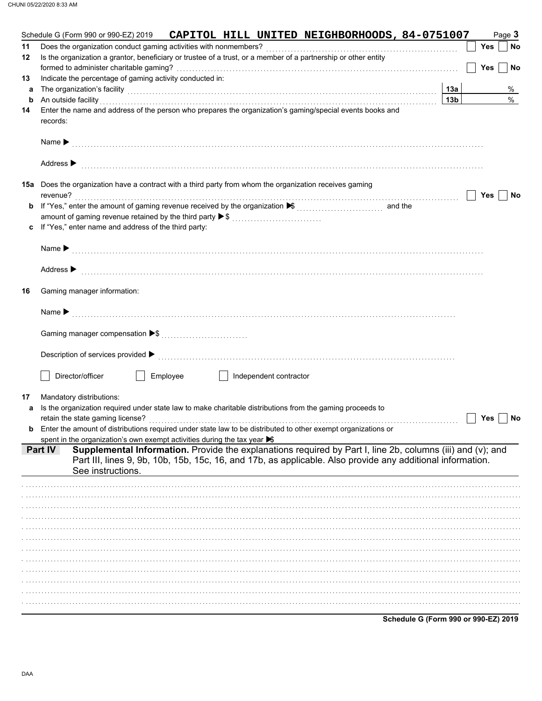|    | CAPITOL HILL UNITED NEIGHBORHOODS, 84-0751007<br>Schedule G (Form 990 or 990-EZ) 2019                                                                                                                                          |                 |            | Page 3 |               |
|----|--------------------------------------------------------------------------------------------------------------------------------------------------------------------------------------------------------------------------------|-----------------|------------|--------|---------------|
| 11 |                                                                                                                                                                                                                                |                 | Yes        |        | No            |
| 12 | Is the organization a grantor, beneficiary or trustee of a trust, or a member of a partnership or other entity                                                                                                                 |                 |            |        |               |
|    |                                                                                                                                                                                                                                |                 | <b>Yes</b> |        | No            |
| 13 | Indicate the percentage of gaming activity conducted in:                                                                                                                                                                       |                 |            |        |               |
| а  | The organization's facility <b>contained a contained a contained a contained a contained a contained a contained a</b>                                                                                                         | 13а             |            |        | %             |
| b  | An outside facility                                                                                                                                                                                                            | 13 <sub>b</sub> |            |        | $\frac{0}{0}$ |
| 14 | Enter the name and address of the person who prepares the organization's gaming/special events books and<br>records:                                                                                                           |                 |            |        |               |
|    |                                                                                                                                                                                                                                |                 |            |        |               |
|    |                                                                                                                                                                                                                                |                 |            |        |               |
|    |                                                                                                                                                                                                                                |                 |            |        |               |
|    | Address $\blacktriangleright$                                                                                                                                                                                                  |                 |            |        |               |
|    |                                                                                                                                                                                                                                |                 |            |        |               |
|    | <b>15a</b> Does the organization have a contract with a third party from whom the organization receives gaming                                                                                                                 |                 |            |        |               |
|    | revenue?                                                                                                                                                                                                                       |                 | Yes        |        | No            |
| b  | If "Yes," enter the amount of gaming revenue received by the organization ▶ [[[[[[[[[[[[[[[[[[[]]]]]]]]] and the                                                                                                               |                 |            |        |               |
|    | amount of gaming revenue retained by the third party ▶ \$                                                                                                                                                                      |                 |            |        |               |
| c  | If "Yes," enter name and address of the third party:                                                                                                                                                                           |                 |            |        |               |
|    |                                                                                                                                                                                                                                |                 |            |        |               |
|    |                                                                                                                                                                                                                                |                 |            |        |               |
|    | Address > production and the contract of the contract of the contract of the contract of the contract of the contract of the contract of the contract of the contract of the contract of the contract of the contract of the c |                 |            |        |               |
|    |                                                                                                                                                                                                                                |                 |            |        |               |
| 16 | Gaming manager information:                                                                                                                                                                                                    |                 |            |        |               |
|    |                                                                                                                                                                                                                                |                 |            |        |               |
|    |                                                                                                                                                                                                                                |                 |            |        |               |
|    |                                                                                                                                                                                                                                |                 |            |        |               |
|    |                                                                                                                                                                                                                                |                 |            |        |               |
|    |                                                                                                                                                                                                                                |                 |            |        |               |
|    |                                                                                                                                                                                                                                |                 |            |        |               |
|    | Director/officer<br>Employee<br>Independent contractor                                                                                                                                                                         |                 |            |        |               |
|    |                                                                                                                                                                                                                                |                 |            |        |               |
| 17 | Mandatory distributions:                                                                                                                                                                                                       |                 |            |        |               |
| a  | Is the organization required under state law to make charitable distributions from the gaming proceeds to                                                                                                                      |                 |            |        |               |
|    |                                                                                                                                                                                                                                |                 | Yes        |        | No            |
|    | Enter the amount of distributions required under state law to be distributed to other exempt organizations or                                                                                                                  |                 |            |        |               |
|    | spent in the organization's own exempt activities during the tax year $\blacktriangleright$<br>Supplemental Information. Provide the explanations required by Part I, line 2b, columns (iii) and (v); and<br><b>Part IV</b>    |                 |            |        |               |
|    | Part III, lines 9, 9b, 10b, 15b, 15c, 16, and 17b, as applicable. Also provide any additional information.                                                                                                                     |                 |            |        |               |
|    | See instructions.                                                                                                                                                                                                              |                 |            |        |               |
|    |                                                                                                                                                                                                                                |                 |            |        |               |
|    |                                                                                                                                                                                                                                |                 |            |        |               |
|    |                                                                                                                                                                                                                                |                 |            |        |               |
|    |                                                                                                                                                                                                                                |                 |            |        |               |
|    |                                                                                                                                                                                                                                |                 |            |        |               |
|    |                                                                                                                                                                                                                                |                 |            |        |               |
|    |                                                                                                                                                                                                                                |                 |            |        |               |
|    |                                                                                                                                                                                                                                |                 |            |        |               |
|    |                                                                                                                                                                                                                                |                 |            |        |               |
|    |                                                                                                                                                                                                                                |                 |            |        |               |
|    |                                                                                                                                                                                                                                |                 |            |        |               |
|    |                                                                                                                                                                                                                                |                 |            |        |               |
|    |                                                                                                                                                                                                                                |                 |            |        |               |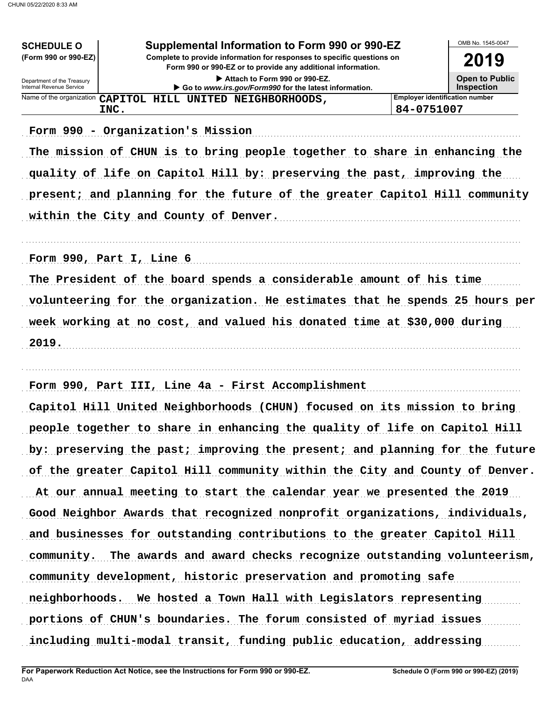| <b>SCHEDULE O</b>                                      | Supplemental Information to Form 990 or 990-EZ                                                                                         |                                       | OMB No. 1545-0047     |
|--------------------------------------------------------|----------------------------------------------------------------------------------------------------------------------------------------|---------------------------------------|-----------------------|
| (Form 990 or 990-EZ)                                   | Complete to provide information for responses to specific questions on<br>Form 990 or 990-EZ or to provide any additional information. |                                       | 2019                  |
| Department of the Treasury<br>Internal Revenue Service | Attach to Form 990 or 990-EZ.                                                                                                          |                                       | <b>Open to Public</b> |
| Name of the organization                               | Go to www.irs.gov/Form990 for the latest information.<br>CAPITOL HILL UNITED NEIGHBORHOODS,                                            | <b>Employer identification number</b> | <b>Inspection</b>     |
|                                                        | INC.                                                                                                                                   | 84-0751007                            |                       |
|                                                        | Form 990 - Organization's Mission                                                                                                      |                                       |                       |
|                                                        | The mission of CHUN is to bring people together to share in enhancing the                                                              |                                       |                       |
|                                                        | quality of life on Capitol Hill by: preserving the past, improving the                                                                 |                                       |                       |
|                                                        | present; and planning for the future of the greater Capitol Hill community                                                             |                                       |                       |
|                                                        |                                                                                                                                        |                                       |                       |
|                                                        | within the City and County of Denver.                                                                                                  |                                       |                       |
|                                                        |                                                                                                                                        |                                       |                       |
|                                                        | Form 990, Part I, Line 6                                                                                                               |                                       |                       |
|                                                        | The President of the board spends a considerable amount of his time                                                                    |                                       |                       |
|                                                        | volunteering for the organization. He estimates that he spends 25 hours per                                                            |                                       |                       |
|                                                        | week working at no cost, and valued his donated time at \$30,000 during                                                                |                                       |                       |
| 2019.                                                  |                                                                                                                                        |                                       |                       |
|                                                        |                                                                                                                                        |                                       |                       |
|                                                        | Form 990, Part III, Line 4a - First Accomplishment                                                                                     |                                       |                       |
|                                                        | Capitol Hill United Neighborhoods (CHUN) focused on its mission to bring                                                               |                                       |                       |
|                                                        |                                                                                                                                        |                                       |                       |
|                                                        | people together to share in enhancing the quality of life on Capitol Hill                                                              |                                       |                       |
|                                                        | by: preserving the past; improving the present; and planning for the future                                                            |                                       |                       |
|                                                        | of the greater Capitol Hill community within the City and County of Denver.                                                            |                                       |                       |
|                                                        | At our annual meeting to start the calendar year we presented the 2019                                                                 |                                       |                       |
|                                                        | Good Neighbor Awards that recognized nonprofit organizations, individuals,                                                             |                                       |                       |
|                                                        | and businesses for outstanding contributions to the greater Capitol Hill                                                               |                                       |                       |
|                                                        | community. The awards and award checks recognize outstanding volunteerism,                                                             |                                       |                       |
|                                                        | community development, historic preservation and promoting safe                                                                        |                                       |                       |
|                                                        | neighborhoods. We hosted a Town Hall with Legislators representing                                                                     |                                       |                       |
|                                                        | portions of CHUN's boundaries. The forum consisted of myriad issues                                                                    |                                       |                       |
|                                                        | including multi-modal transit, funding public education, addressing                                                                    |                                       |                       |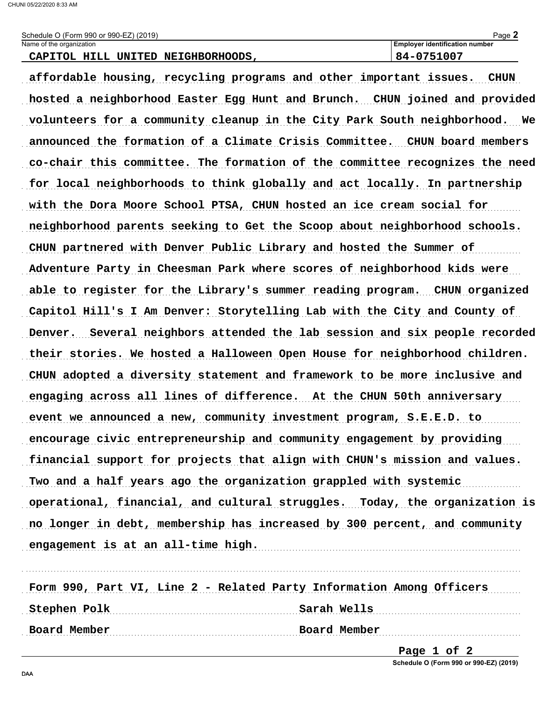| (2019)<br>Schedule O (Form 990 or 990-EZ)              | ⊾∩בּ⊂<br>auc,                         |
|--------------------------------------------------------|---------------------------------------|
| Name of the organization                               | <b>Emplover identification number</b> |
| TT T T<br>NETGHRORHOODS<br><b>INTTED</b><br>. סבר<br>. | .                                     |

affordable housing, recycling programs and other important issues. CHUN hosted a neighborhood Easter Egg Hunt and Brunch. CHUN joined and provided volunteers for a community cleanup in the City Park South neighborhood. We announced the formation of a Climate Crisis Committee. CHUN board members co-chair this committee. The formation of the committee recognizes the need for local neighborhoods to think globally and act locally. In partnership with the Dora Moore School PTSA, CHUN hosted an ice cream social for neighborhood parents seeking to Get the Scoop about neighborhood schools. CHUN partnered with Denver Public Library and hosted the Summer of Adventure Party in Cheesman Park where scores of neighborhood kids were able to register for the Library's summer reading program. CHUN organized Capitol Hill's I Am Denver: Storytelling Lab with the City and County of Denver. Several neighbors attended the lab session and six people recorded their stories. We hosted a Halloween Open House for neighborhood children. CHUN adopted a diversity statement and framework to be more inclusive and engaging across all lines of difference. At the CHUN 50th anniversary event we announced a new, community investment program, S.E.E.D. to encourage civic entrepreneurship and community engagement by providing financial support for projects that align with CHUN's mission and values. Two and a half years ago the organization grappled with systemic operational, financial, and cultural struggles. Today, the organization is no longer in debt, membership has increased by 300 percent, and community engagement is at an all-time high.

| Form 990, Part VI, Line 2 - Related Party Information Among Officers |              |
|----------------------------------------------------------------------|--------------|
| Stephen Polk                                                         | Sarah Wells  |
| Board Member                                                         | Board Member |

Page 1 of 2 Schedule O (Form 990 or 990-EZ) (2019)